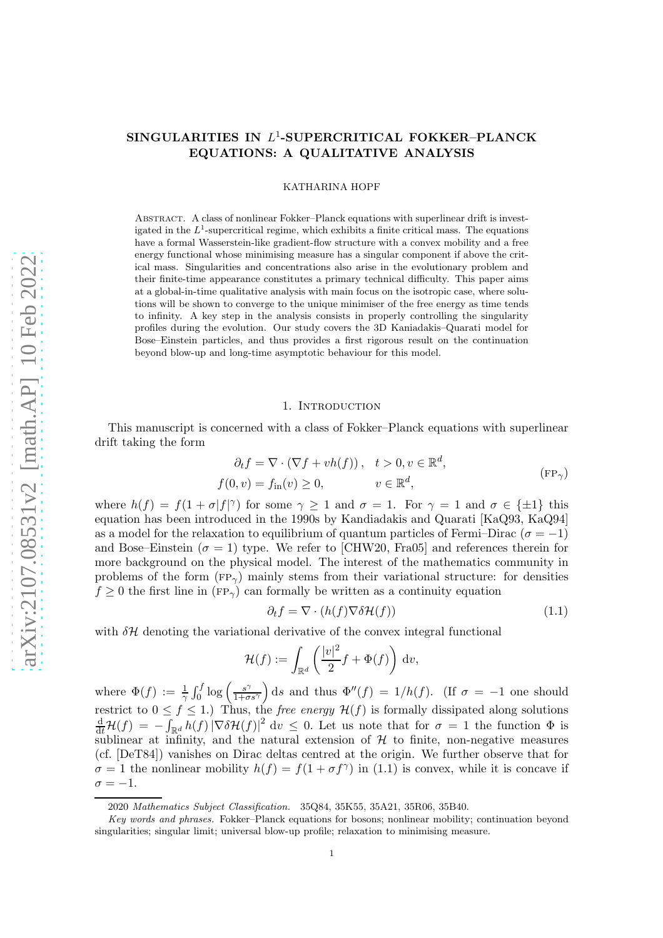# ${\bf SINGULARITIES}$  IN  $L^1\text{-}{\bf SUPERCRITICAL}$  FOKKER-PLANCK EQUATIONS: A QUALITATIVE ANALYSIS

### KATHARINA HOPF

Abstract. A class of nonlinear Fokker–Planck equations with superlinear drift is investigated in the  $L^1$ -supercritical regime, which exhibits a finite critical mass. The equations have a formal Wasserstein-like gradient-flow structure with a convex mobility and a free energy functional whose minimising measure has a singular component if above the critical mass. Singularities and concentrations also arise in the evolutionary problem and their finite-time appearance constitutes a primary technical difficulty. This paper aims at a global-in-time qualitative analysis with main focus on the isotropic case, where solutions will be shown to converge to the unique minimiser of the free energy as time tends to infinity. A key step in the analysis consists in properly controlling the singularity profiles during the evolution. Our study covers the 3D Kaniadakis–Quarati model for Bose–Einstein particles, and thus provides a first rigorous result on the continuation beyond blow-up and long-time asymptotic behaviour for this model.

#### <span id="page-0-0"></span>1. INTRODUCTION

This manuscript is concerned with a class of Fokker–Planck equations with superlinear drift taking the form

$$
\partial_t f = \nabla \cdot (\nabla f + v h(f)), \quad t > 0, v \in \mathbb{R}^d,
$$
  

$$
f(0, v) = f_{\text{in}}(v) \ge 0, \qquad v \in \mathbb{R}^d,
$$
 (FP<sub>γ</sub>)

where  $h(f) = f(1 + \sigma |f|^{\gamma})$  for some  $\gamma \ge 1$  and  $\sigma = 1$ . For  $\gamma = 1$  and  $\sigma \in {\pm 1}$  this equation has been introduced in the 1990s by Kandiadakis and Quarati [\[KaQ93,](#page-33-0) [KaQ94\]](#page-33-1) as a model for the relaxation to equilibrium of quantum particles of Fermi–Dirac ( $\sigma = -1$ ) and Bose–Einstein ( $\sigma = 1$ ) type. We refer to [\[CHW20,](#page-33-2) [Fra05\]](#page-33-3) and references therein for more background on the physical model. The interest of the mathematics community in problems of the form ( $FP_{\gamma}$ ) mainly stems from their variational structure: for densities  $f \geq 0$  the first line in (FP<sub> $\gamma$ </sub>) can formally be written as a continuity equation

<span id="page-0-1"></span>
$$
\partial_t f = \nabla \cdot (h(f) \nabla \delta \mathcal{H}(f)) \tag{1.1}
$$

with  $\delta\mathcal{H}$  denoting the variational derivative of the convex integral functional

$$
\mathcal{H}(f) := \int_{\mathbb{R}^d} \left( \frac{|v|^2}{2} f + \Phi(f) \right) dv,
$$

where  $\Phi(f) := \frac{1}{\gamma} \int_0^f \log \left( \frac{s^{\gamma}}{1+\sigma} \right)$  $\frac{s^{\gamma}}{1+\sigma s^{\gamma}}$  ds and thus  $\Phi''(f) = 1/h(f)$ . (If  $\sigma = -1$  one should restrict to  $0 \le f \le 1$ .) Thus, the *free energy*  $\mathcal{H}(f)$  is formally dissipated along solutions  $\frac{d}{dt}\mathcal{H}(f) = -\int_{\mathbb{R}^d} h(f) |\nabla \delta \mathcal{H}(f)|^2 dv \le 0$ . Let us note that for  $\sigma = 1$  the function  $\Phi$  is sublinear at infinity, and the natural extension of  $H$  to finite, non-negative measures (cf. [\[DeT84\]](#page-33-4)) vanishes on Dirac deltas centred at the origin. We further observe that for  $\sigma = 1$  the nonlinear mobility  $h(f) = f(1 + \sigma f^{\gamma})$  in [\(1.1\)](#page-0-1) is convex, while it is concave if  $\sigma = -1.$ 

<sup>2020</sup> Mathematics Subject Classification. 35Q84, 35K55, 35A21, 35R06, 35B40.

Key words and phrases. Fokker–Planck equations for bosons; nonlinear mobility; continuation beyond singularities; singular limit; universal blow-up profile; relaxation to minimising measure.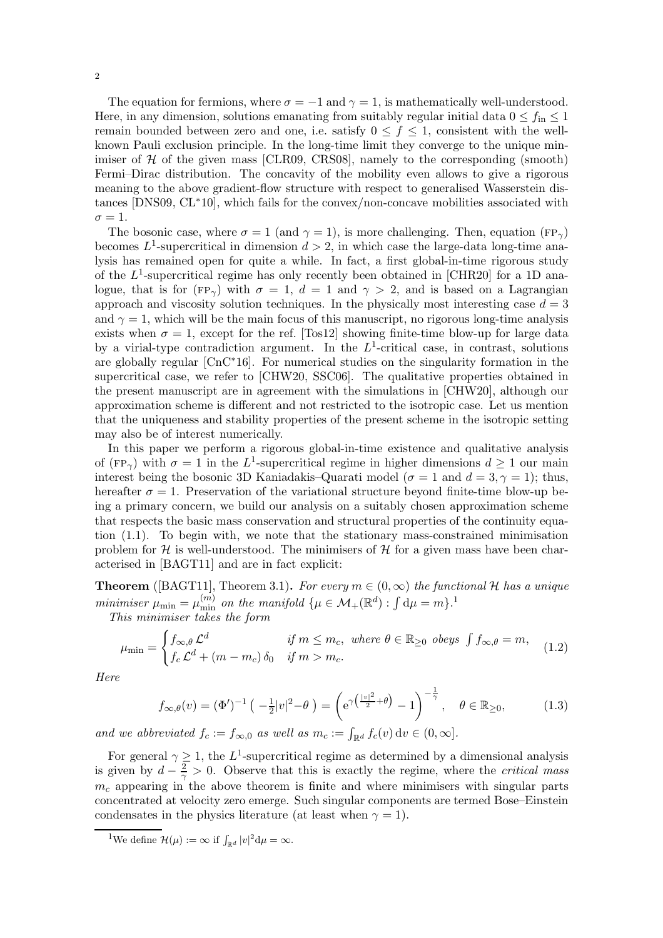The equation for fermions, where  $\sigma = -1$  and  $\gamma = 1$ , is mathematically well-understood. Here, in any dimension, solutions emanating from suitably regular initial data  $0 \le f_{\text{in}} \le 1$ remain bounded between zero and one, i.e. satisfy  $0 \le f \le 1$ , consistent with the wellknown Pauli exclusion principle. In the long-time limit they converge to the unique minimiser of  $H$  of the given mass [\[CLR09,](#page-33-5) [CRS08\]](#page-33-6), namely to the corresponding (smooth) Fermi–Dirac distribution. The concavity of the mobility even allows to give a rigorous meaning to the above gradient-flow structure with respect to generalised Wasserstein distances [\[DNS09,](#page-33-7) [CL](#page-33-8)∗10], which fails for the convex/non-concave mobilities associated with  $\sigma = 1$ .

The bosonic case, where  $\sigma = 1$  (and  $\gamma = 1$ ), is more challenging. Then, equation (FP<sub> $\gamma$ </sub>) becomes  $L^1$ -supercritical in dimension  $d > 2$ , in which case the large-data long-time analysis has remained open for quite a while. In fact, a first global-in-time rigorous study of the  $L^1$ -supercritical regime has only recently been obtained in [\[CHR20\]](#page-33-9) for a 1D analogue, that is for (FP<sub> $\alpha$ </sub>) with  $\sigma = 1$ ,  $d = 1$  and  $\gamma > 2$ , and is based on a Lagrangian approach and viscosity solution techniques. In the physically most interesting case  $d = 3$ and  $\gamma = 1$ , which will be the main focus of this manuscript, no rigorous long-time analysis exists when  $\sigma = 1$ , except for the ref. [\[Tos12\]](#page-34-0) showing finite-time blow-up for large data by a virial-type contradiction argument. In the  $L^1$ -critical case, in contrast, solutions are globally regular [\[CnC](#page-33-10)∗16]. For numerical studies on the singularity formation in the supercritical case, we refer to [\[CHW20,](#page-33-2) [SSC06\]](#page-34-1). The qualitative properties obtained in the present manuscript are in agreement with the simulations in [\[CHW20\]](#page-33-2), although our approximation scheme is different and not restricted to the isotropic case. Let us mention that the uniqueness and stability properties of the present scheme in the isotropic setting may also be of interest numerically.

In this paper we perform a rigorous global-in-time existence and qualitative analysis of  $(\text{FP}_{\gamma})$  with  $\sigma = 1$  in the L<sup>1</sup>-supercritical regime in higher dimensions  $d \geq 1$  our main interest being the bosonic 3D Kaniadakis–Quarati model ( $\sigma = 1$  and  $d = 3, \gamma = 1$ ); thus, hereafter  $\sigma = 1$ . Preservation of the variational structure beyond finite-time blow-up being a primary concern, we build our analysis on a suitably chosen approximation scheme that respects the basic mass conservation and structural properties of the continuity equation [\(1.1\)](#page-0-1). To begin with, we note that the stationary mass-constrained minimisation problem for H is well-understood. The minimisers of H for a given mass have been characterised in [\[BAGT11\]](#page-33-11) and are in fact explicit:

**Theorem** ([\[BAGT11\]](#page-33-11), Theorem 3.1). For every  $m \in (0, \infty)$  the functional H has a unique *minimiser*  $\mu_{\min} = \mu_{\min}^{(m)}$  *on the manifold*  $\{\mu \in \mathcal{M}_+(\mathbb{R}^d) : \int d\mu = m\}$ <sup>[1](#page-1-0)</sup>

*This minimiser takes the form*

$$
\mu_{\min} = \begin{cases} f_{\infty,\theta} \mathcal{L}^d & \text{if } m \le m_c, \text{ where } \theta \in \mathbb{R}_{\ge 0} \text{ obeys } \int f_{\infty,\theta} = m, \\ f_c \mathcal{L}^d + (m - m_c) \, \delta_0 & \text{if } m > m_c. \end{cases} \tag{1.2}
$$

*Here*

<span id="page-1-2"></span><span id="page-1-1"></span>
$$
f_{\infty,\theta}(v) = (\Phi')^{-1} \left( -\frac{1}{2}|v|^2 - \theta \right) = \left( e^{\gamma \left( \frac{|v|^2}{2} + \theta \right)} - 1 \right)^{-\frac{1}{\gamma}}, \quad \theta \in \mathbb{R}_{\geq 0},\tag{1.3}
$$

*and we abbreviated*  $f_c := f_{\infty,0}$  *as well as*  $m_c := \int_{\mathbb{R}^d} f_c(v) dv \in (0,\infty]$ .

For general  $\gamma \geq 1$ , the L<sup>1</sup>-supercritical regime as determined by a dimensional analysis is given by  $d - \frac{2}{\gamma} > 0$ . Observe that this is exactly the regime, where the *critical mass*  $m<sub>c</sub>$  appearing in the above theorem is finite and where minimisers with singular parts concentrated at velocity zero emerge. Such singular components are termed Bose–Einstein condensates in the physics literature (at least when  $\gamma = 1$ ).

<span id="page-1-0"></span><sup>&</sup>lt;sup>1</sup>We define  $\mathcal{H}(\mu) := \infty$  if  $\int_{\mathbb{R}^d} |v|^2 \mathrm{d}\mu = \infty$ .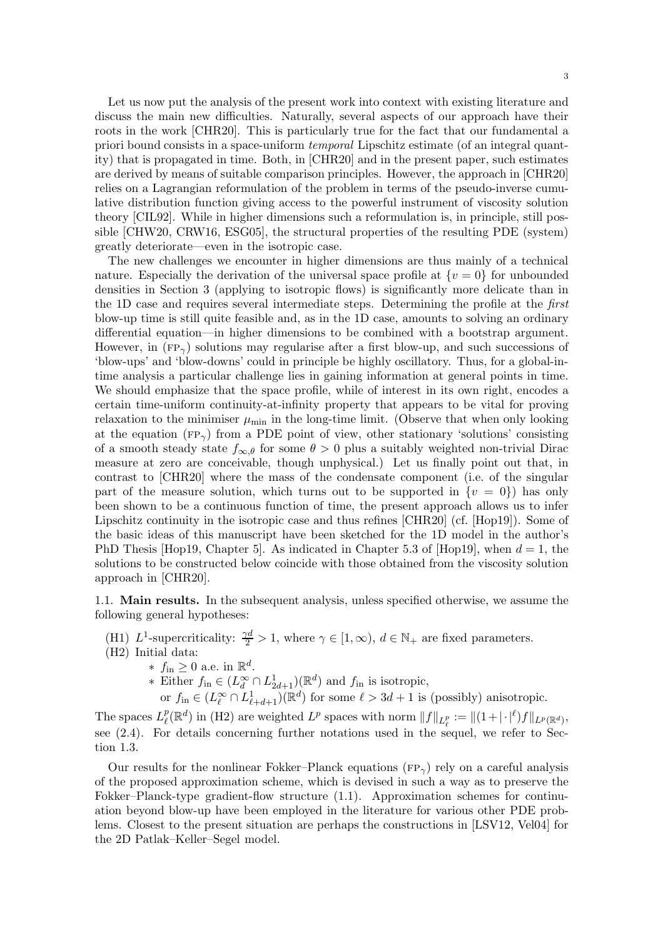Let us now put the analysis of the present work into context with existing literature and discuss the main new difficulties. Naturally, several aspects of our approach have their roots in the work [\[CHR20\]](#page-33-9). This is particularly true for the fact that our fundamental a priori bound consists in a space-uniform *temporal* Lipschitz estimate (of an integral quantity) that is propagated in time. Both, in [\[CHR20\]](#page-33-9) and in the present paper, such estimates are derived by means of suitable comparison principles. However, the approach in [\[CHR20\]](#page-33-9) relies on a Lagrangian reformulation of the problem in terms of the pseudo-inverse cumulative distribution function giving access to the powerful instrument of viscosity solution theory [\[CIL92\]](#page-33-12). While in higher dimensions such a reformulation is, in principle, still possible [\[CHW20,](#page-33-2) [CRW16,](#page-33-13) [ESG05\]](#page-33-14), the structural properties of the resulting PDE (system) greatly deteriorate—even in the isotropic case.

The new challenges we encounter in higher dimensions are thus mainly of a technical nature. Especially the derivation of the universal space profile at  $\{v=0\}$  for unbounded densities in Section [3](#page-17-0) (applying to isotropic flows) is significantly more delicate than in the 1D case and requires several intermediate steps. Determining the profile at the *first* blow-up time is still quite feasible and, as in the 1D case, amounts to solving an ordinary differential equation—in higher dimensions to be combined with a bootstrap argument. However, in  $(FP_{\gamma})$  solutions may regularise after a first blow-up, and such successions of 'blow-ups' and 'blow-downs' could in principle be highly oscillatory. Thus, for a global-intime analysis a particular challenge lies in gaining information at general points in time. We should emphasize that the space profile, while of interest in its own right, encodes a certain time-uniform continuity-at-infinity property that appears to be vital for proving relaxation to the minimiser  $\mu_{\min}$  in the long-time limit. (Observe that when only looking at the equation ( $FP_{\gamma}$ ) from a PDE point of view, other stationary 'solutions' consisting of a smooth steady state  $f_{\infty,\theta}$  for some  $\theta > 0$  plus a suitably weighted non-trivial Dirac measure at zero are conceivable, though unphysical.) Let us finally point out that, in contrast to [\[CHR20\]](#page-33-9) where the mass of the condensate component (i.e. of the singular part of the measure solution, which turns out to be supported in  $\{v = 0\}$  has only been shown to be a continuous function of time, the present approach allows us to infer Lipschitz continuity in the isotropic case and thus refines [\[CHR20\]](#page-33-9) (cf. [\[Hop19\]](#page-33-15)). Some of the basic ideas of this manuscript have been sketched for the 1D model in the author's PhD Thesis [\[Hop19,](#page-33-15) Chapter 5]. As indicated in Chapter 5.3 of [\[Hop19\]](#page-33-15), when  $d = 1$ , the solutions to be constructed below coincide with those obtained from the viscosity solution approach in [\[CHR20\]](#page-33-9).

1.1. Main results. In the subsequent analysis, unless specified otherwise, we assume the following general hypotheses:

- <span id="page-2-1"></span><span id="page-2-0"></span>(H1)  $L^1$ -supercriticality:  $\frac{\gamma d}{2} > 1$ , where  $\gamma \in [1, \infty)$ ,  $d \in \mathbb{N}_+$  are fixed parameters.
- (H2) Initial data:
	- \*  $f_{\text{in}} \geq 0$  a.e. in  $\mathbb{R}^d$ .
	- ∗ Either  $f_{\text{in}} \in (L_d^{\infty} \cap L_{2d+1}^1)(\mathbb{R}^d)$  and  $f_{\text{in}}$  is isotropic,
	- or  $f_{\text{in}} \in (L^{\infty}_{\ell} \cap L^{1}_{\ell+d+1})(\mathbb{R}^{d})$  for some  $\ell > 3d+1$  is (possibly) anisotropic.

The spaces  $L^p_\ell$  $l^p(\mathbb{R}^d)$  in [\(H2\)](#page-2-0) are weighted  $L^p$  spaces with norm  $||f||_{L^p_{\ell}} := ||(1+|\cdot|^{\ell})f||_{L^p(\mathbb{R}^d)}$ , see [\(2.4\)](#page-7-0). For details concerning further notations used in the sequel, we refer to Section [1.3.](#page-6-0)

Our results for the nonlinear Fokker–Planck equations (FP<sub> $\gamma$ </sub>) rely on a careful analysis of the proposed approximation scheme, which is devised in such a way as to preserve the Fokker–Planck-type gradient-flow structure [\(1.1\)](#page-0-1). Approximation schemes for continuation beyond blow-up have been employed in the literature for various other PDE problems. Closest to the present situation are perhaps the constructions in [\[LSV12,](#page-34-2) [Vel04\]](#page-34-3) for the 2D Patlak–Keller–Segel model.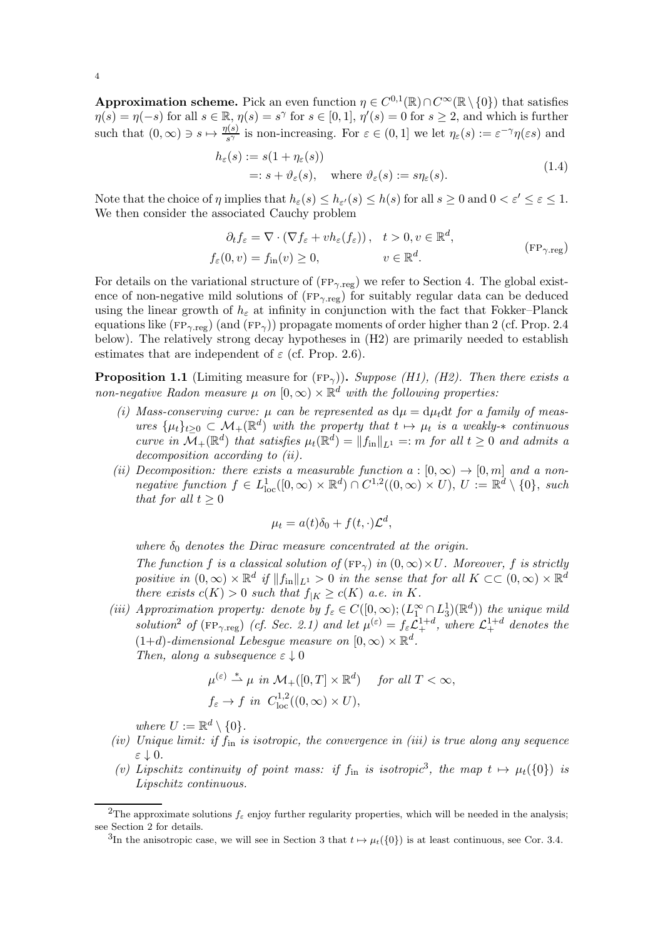Approximation scheme. Pick an even function  $\eta \in C^{0,1}(\mathbb{R}) \cap C^{\infty}(\mathbb{R} \setminus \{0\})$  that satisfies  $\eta(s) = \eta(-s)$  for all  $s \in \mathbb{R}$ ,  $\eta(s) = s^{\gamma}$  for  $s \in [0,1]$ ,  $\eta'(s) = 0$  for  $s \geq 2$ , and which is further such that  $(0, \infty) \ni s \mapsto \frac{\eta(s)}{s^{\gamma}}$  is non-increasing. For  $\varepsilon \in (0, 1]$  we let  $\eta_{\varepsilon}(s) := \varepsilon^{-\gamma} \eta(\varepsilon s)$  and

<span id="page-3-9"></span>
$$
h_{\varepsilon}(s) := s(1 + \eta_{\varepsilon}(s))
$$
  
=:  $s + \vartheta_{\varepsilon}(s)$ , where  $\vartheta_{\varepsilon}(s) := s\eta_{\varepsilon}(s)$ . (1.4)

Note that the choice of  $\eta$  implies that  $h_{\varepsilon}(s) \leq h_{\varepsilon}(s) \leq h(s)$  for all  $s \geq 0$  and  $0 < \varepsilon' \leq \varepsilon \leq 1$ . We then consider the associated Cauchy problem

<span id="page-3-0"></span>
$$
\partial_t f_{\varepsilon} = \nabla \cdot (\nabla f_{\varepsilon} + v h_{\varepsilon}(f_{\varepsilon})), \quad t > 0, v \in \mathbb{R}^d,
$$
  

$$
f_{\varepsilon}(0, v) = f_{\text{in}}(v) \ge 0, \qquad v \in \mathbb{R}^d.
$$
 (FP<sub>γ, reg</sub>)

For details on the variational structure of  $(FP_{\gamma,\text{reg}})$  we refer to Section [4.](#page-26-0) The global existence of non-negative mild solutions of  $(FP_{\gamma,\text{reg}})$  for suitably regular data can be deduced using the linear growth of  $h_{\varepsilon}$  at infinity in conjunction with the fact that Fokker–Planck equations like ( $FP_{\gamma,reg}$ ) (and  $(FP_{\gamma})$ ) propagate moments of order higher than 2 (cf. Prop. [2.4](#page-10-0) below). The relatively strong decay hypotheses in [\(H2\)](#page-2-0) are primarily needed to establish estimates that are independent of  $\varepsilon$  (cf. Prop. [2.6\)](#page-12-0).

<span id="page-3-6"></span><span id="page-3-5"></span>**Proposition 1.1** (Limiting measure for  $(FP_{\gamma})$ ). *Suppose [\(H1\),](#page-2-1) [\(H2\).](#page-2-0) Then there exists a non-negative Radon measure*  $\mu$  *on*  $[0, \infty) \times \mathbb{R}^d$  *with the following properties:* 

- (*i*) Mass-conserving curve:  $\mu$  can be represented as  $d\mu = d\mu_t dt$  for a family of meas $ures \{\mu_t\}_{t\geq 0} \subset \mathcal{M}_+(\mathbb{R}^d)$  *with the property that*  $t \mapsto \mu_t$  *is a weakly-* $*$  *continuous curve in*  $\overline{\mathcal{M}}_+(\mathbb{R}^d)$  *that satisfies*  $\mu_t(\mathbb{R}^d) = ||f_{\text{in}}||_{L^1} =: m$  *for all*  $t \geq 0$  *and admits a decomposition according to [\(ii\).](#page-3-1)*
- <span id="page-3-1"></span>*(ii) Decomposition: there exists a measurable function*  $a : [0, \infty) \to [0, m]$  and a non*negative function*  $f \in L^1_{loc}([0,\infty) \times \mathbb{R}^d) \cap C^{1,2}((0,\infty) \times U)$ ,  $U := \mathbb{R}^d \setminus \{0\}$ , *such that for all*  $t > 0$

$$
\mu_t = a(t)\delta_0 + f(t, \cdot)\mathcal{L}^d,
$$

*where*  $\delta_0$  *denotes the Dirac measure concentrated at the origin. The function* f *is a classical solution of*  $(FP_{\gamma})$  *in*  $(0, \infty) \times U$ *. Moreover,* f *is strictly* positive in  $(0, \infty) \times \mathbb{R}^d$  if  $||f_{in}||_{L^1} > 0$  in the sense that for all  $K \subset\subset (0, \infty) \times \mathbb{R}^d$ *there exists*  $c(K) > 0$  *such that*  $f_{|K} \ge c(K)$  *a.e. in* K.

<span id="page-3-3"></span>*(iii) Approximation property: denote by*  $f_{\varepsilon} \in C([0,\infty); (L_1^{\infty} \cap L_3^1)(\mathbb{R}^d))$  *the unique mild solution*<sup>[2](#page-3-2)</sup> *of* ( $FP_{\gamma \text{reg}}$ ) *(cf. Sec.* [2.1\)](#page-6-1) *and let*  $\mu^{(\varepsilon)} = f_{\varepsilon} \mathcal{L}_{+}^{1+d}$ , *where*  $\mathcal{L}_{+}^{1+d}$  *denotes the* (1+d)-dimensional Lebesgue measure on  $[0, ∞) \times \mathbb{R}^d$ . *Then, along a subsequence*  $\varepsilon \downarrow 0$ 

$$
\mu^{(\varepsilon)} \stackrel{*}{\rightharpoonup} \mu \text{ in } \mathcal{M}_+([0, T] \times \mathbb{R}^d) \quad \text{ for all } T < \infty,
$$
  

$$
f_{\varepsilon} \to f \text{ in } C^{1,2}_{\text{loc}}((0, \infty) \times U),
$$

*where*  $U := \mathbb{R}^d \setminus \{0\}.$ 

- <span id="page-3-7"></span>*(iv) Unique limit: if* fin *is isotropic, the convergence in [\(iii\)](#page-3-3) is true along any sequence* ε ↓ 0*.*
- <span id="page-3-8"></span>(v) Lipschitz continuity of point mass: if  $f_{\text{in}}$  is isotropic<sup>[3](#page-3-4)</sup>, the map  $t \mapsto \mu_t(\{0\})$  is *Lipschitz continuous.*

<sup>&</sup>lt;sup>2</sup>The approximate solutions  $f_{\varepsilon}$  enjoy further regularity properties, which will be needed in the analysis; see Section [2](#page-6-2) for details.

<span id="page-3-4"></span><span id="page-3-2"></span><sup>&</sup>lt;sup>3</sup>In the anisotropic case, we will see in Section [3](#page-17-0) that  $t \mapsto \mu_t(\{0\})$  is at least continuous, see Cor. [3.4.](#page-21-0)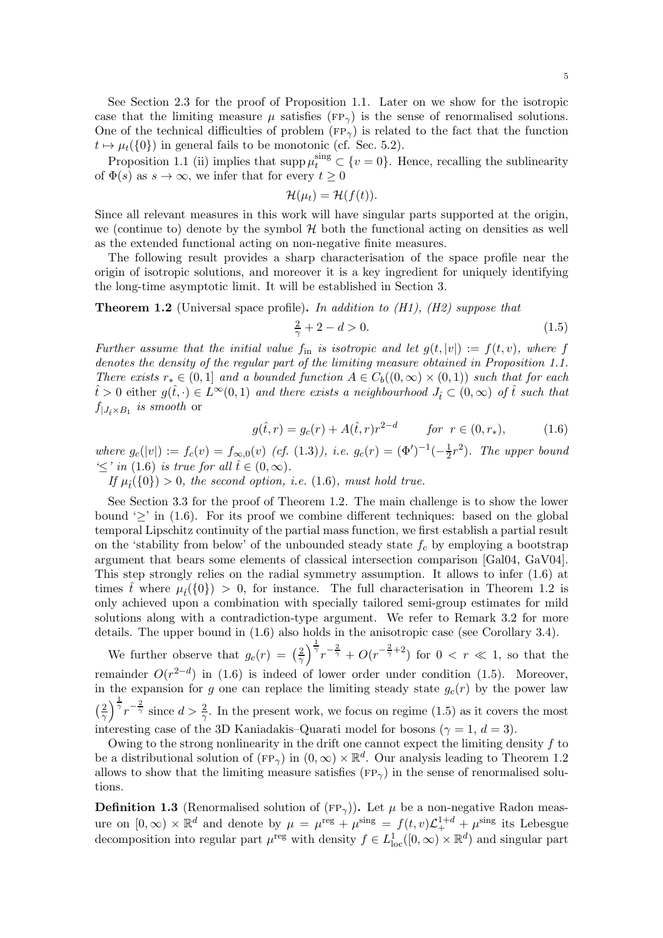Proposition [1.1](#page-3-5) [\(ii\)](#page-3-1) implies that supp  $\mu_t^{\text{sing}} \subset \{v = 0\}$ . Hence, recalling the sublinearity of  $\Phi(s)$  as  $s \to \infty$ , we infer that for every  $t \geq 0$ 

$$
\mathcal{H}(\mu_t)=\mathcal{H}(f(t)).
$$

Since all relevant measures in this work will have singular parts supported at the origin, we (continue to) denote by the symbol  $H$  both the functional acting on densities as well as the extended functional acting on non-negative finite measures.

The following result provides a sharp characterisation of the space profile near the origin of isotropic solutions, and moreover it is a key ingredient for uniquely identifying the long-time asymptotic limit. It will be established in Section [3.](#page-17-0)

<span id="page-4-1"></span>Theorem 1.2 (Universal space profile). *In addition to [\(H1\),](#page-2-1) [\(H2\)](#page-2-0) suppose that*

<span id="page-4-2"></span><span id="page-4-0"></span>
$$
\frac{2}{\gamma} + 2 - d > 0. \tag{1.5}
$$

*Further assume that the initial value*  $f_{\text{in}}$  *is isotropic and let*  $g(t, |v|) := f(t, v)$ *, where* f *denotes the density of the regular part of the limiting measure obtained in Proposition [1.1.](#page-3-5) There exists*  $r_* \in (0,1]$  *and a bounded function*  $A \in C_b((0,\infty) \times (0,1))$  *such that for each*  $\hat{t} > 0$  either  $g(\hat{t},\cdot) \in L^{\infty}(0,1)$  *and there exists a neighbourhood*  $J_{\hat{t}} \subset (0,\infty)$  *of*  $\hat{t}$  *such that*  $f_{|J_{\hat{t}} \times B_1}$  *is smooth* or

$$
g(\hat{t},r) = g_c(r) + A(\hat{t},r)r^{2-d} \qquad for \ r \in (0,r_*), \tag{1.6}
$$

*where*  $g_c(|v|) := f_c(v) = f_{\infty,0}(v)$  *(cf.* [\(1.3\)](#page-1-1)*), i.e.*  $g_c(r) = (\Phi')^{-1}(-\frac{1}{2})$  $(\frac{1}{2}r^2)$ . The upper bound  $\leq'$  *in* [\(1.6\)](#page-4-0) *is true for all*  $\hat{t} \in (0, \infty)$ *.* 

*If*  $\mu_i(\{0\}) > 0$ *, the second option, i.e.* [\(1.6\)](#page-4-0)*, must hold true.* 

See Section [3.3](#page-25-0) for the proof of Theorem [1.2.](#page-4-1) The main challenge is to show the lower bound  $\geq$  in [\(1.6\)](#page-4-0). For its proof we combine different techniques: based on the global temporal Lipschitz continuity of the partial mass function, we first establish a partial result on the 'stability from below' of the unbounded steady state  $f_c$  by employing a bootstrap argument that bears some elements of classical intersection comparison [\[Gal04,](#page-33-16) [GaV04\]](#page-33-17). This step strongly relies on the radial symmetry assumption. It allows to infer [\(1.6\)](#page-4-0) at times the where  $\mu_i(\{0\}) > 0$ , for instance. The full characterisation in Theorem [1.2](#page-4-1) is only achieved upon a combination with specially tailored semi-group estimates for mild solutions along with a contradiction-type argument. We refer to Remark [3.2](#page-18-0) for more details. The upper bound in [\(1.6\)](#page-4-0) also holds in the anisotropic case (see Corollary [3.4\)](#page-21-0).

We further observe that  $g_c(r) = \left(\frac{2}{\gamma}\right)^2$  $\frac{2}{\gamma}$   $\frac{1}{r}$   $\frac{1}{r}$   $\frac{2}{\gamma}$  +  $O(r^{-\frac{2}{\gamma}+2})$  for  $0 < r \ll 1$ , so that the remainder  $O(r^{2-d})$  in [\(1.6\)](#page-4-0) is indeed of lower order under condition [\(1.5\)](#page-4-2). Moreover, in the expansion for g one can replace the limiting steady state  $g_c(r)$  by the power law  $\left(\frac{2}{\infty}\right)$  $\frac{2}{\gamma}$   $\frac{1}{\gamma}$   $\frac{1}{r}$   $\frac{2}{\gamma}$  ince  $d > \frac{2}{\gamma}$ . In the present work, we focus on regime [\(1.5\)](#page-4-2) as it covers the most interesting case of the 3D Kaniadakis–Quarati model for bosons ( $\gamma = 1, d = 3$ ).

Owing to the strong nonlinearity in the drift one cannot expect the limiting density  $f$  to be a distributional solution of  $(\text{FP}_{\gamma})$  in  $(0, \infty) \times \mathbb{R}^d$ . Our analysis leading to Theorem [1.2](#page-4-1) allows to show that the limiting measure satisfies ( $FP_{\gamma}$ ) in the sense of renormalised solutions.

<span id="page-4-3"></span>**Definition 1.3** (Renormalised solution of  $(\text{FP}_{\gamma})$ ). Let  $\mu$  be a non-negative Radon measure on  $[0,\infty) \times \mathbb{R}^d$  and denote by  $\mu = \mu^{\text{reg}} + \mu^{\text{sing}} = f(t,v)\mathcal{L}_+^{1+d} + \mu^{\text{sing}}$  its Lebesgue decomposition into regular part  $\mu^{\text{reg}}$  with density  $f \in L^1_{\text{loc}}([0,\infty) \times \mathbb{R}^d)$  and singular part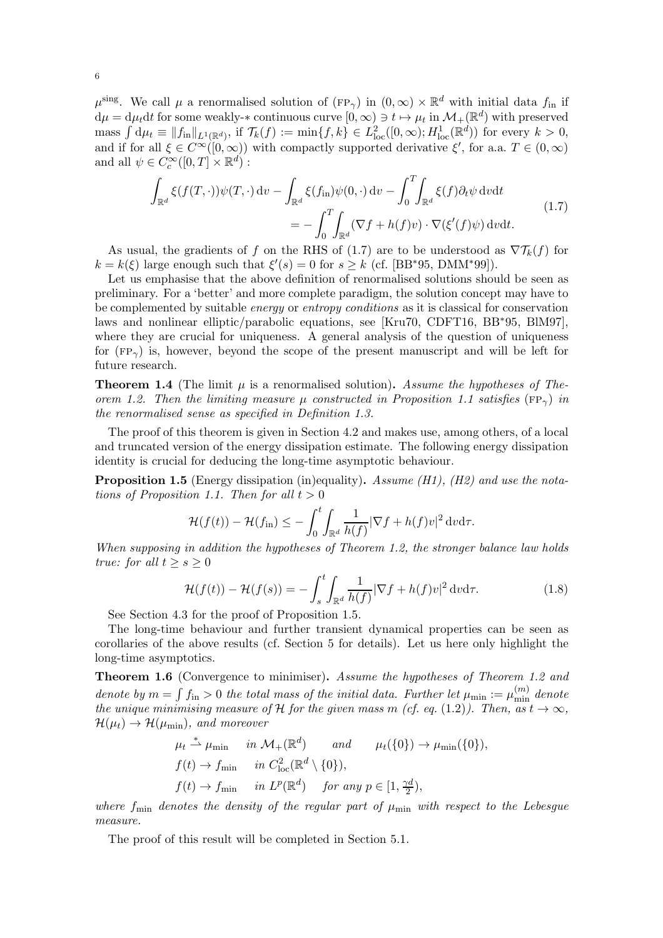$\mu^{\text{sing}}$ . We call  $\mu$  a renormalised solution of  $(\text{FP}_{\gamma})$  in  $(0,\infty) \times \mathbb{R}^d$  with initial data  $f_{\text{in}}$  if  $d\mu = d\mu_t dt$  for some weakly- $*$  continuous curve  $[0, \infty) \ni t \mapsto \mu_t$  in  $\mathcal{M}_+(\mathbb{R}^d)$  with preserved mass  $\int d\mu_t \equiv ||f_{in}||_{L^1(\mathbb{R}^d)}$ , if  $\mathcal{T}_k(f) := \min\{f, k\} \in L^2_{loc}([0, \infty); H^1_{loc}(\mathbb{R}^d))$  for every  $k > 0$ , and if for all  $\xi \in C^{\infty}([0,\infty))$  with compactly supported derivative  $\xi'$ , for a.a.  $T \in (0,\infty)$ and all  $\psi \in C_c^{\infty}([0, T] \times \mathbb{R}^d)$ :

<span id="page-5-0"></span>
$$
\int_{\mathbb{R}^d} \xi(f(T,\cdot))\psi(T,\cdot) \, \mathrm{d}v - \int_{\mathbb{R}^d} \xi(f_{\mathrm{in}})\psi(0,\cdot) \, \mathrm{d}v - \int_0^T \int_{\mathbb{R}^d} \xi(f)\partial_t\psi \, \mathrm{d}v \mathrm{d}t
$$
\n
$$
= -\int_0^T \int_{\mathbb{R}^d} (\nabla f + h(f)v) \cdot \nabla(\xi'(f)\psi) \, \mathrm{d}v \mathrm{d}t.
$$
\n(1.7)

As usual, the gradients of f on the RHS of [\(1.7\)](#page-5-0) are to be understood as  $\nabla T_k(f)$  for  $k = k(\xi)$  large enough such that  $\xi'(s) = 0$  for  $s \ge k$  (cf. [\[BB](#page-33-18)\*95, [DMM](#page-33-19)\*99]).

Let us emphasise that the above definition of renormalised solutions should be seen as preliminary. For a 'better' and more complete paradigm, the solution concept may have to be complemented by suitable *energy* or *entropy conditions* as it is classical for conservation laws and nonlinear elliptic/parabolic equations, see [\[Kru70,](#page-34-4) [CDFT16,](#page-33-20) [BB](#page-33-18)∗95, [BlM97\]](#page-33-21), where they are crucial for uniqueness. A general analysis of the question of uniqueness for ( $FP_{\gamma}$ ) is, however, beyond the scope of the present manuscript and will be left for future research.

<span id="page-5-2"></span>**Theorem 1.4** (The limit  $\mu$  is a renormalised solution). Assume the hypotheses of The*orem* [1.2.](#page-4-1) Then the limiting measure  $\mu$  constructed in Proposition [1.1](#page-3-5) satisfies ( $FP_{\gamma}$ ) *in the renormalised sense as specified in Definition [1.3.](#page-4-3)*

The proof of this theorem is given in Section [4.2](#page-27-0) and makes use, among others, of a local and truncated version of the energy dissipation estimate. The following energy dissipation identity is crucial for deducing the long-time asymptotic behaviour.

<span id="page-5-1"></span>Proposition 1.5 (Energy dissipation (in)equality). *Assume [\(H1\),](#page-2-1) [\(H2\)](#page-2-0) and use the nota-tions of Proposition [1.1.](#page-3-5) Then for all*  $t > 0$ 

$$
\mathcal{H}(f(t)) - \mathcal{H}(f_{\text{in}}) \leq -\int_0^t \int_{\mathbb{R}^d} \frac{1}{h(f)} |\nabla f + h(f)v|^2 \, \mathrm{d}v \mathrm{d}\tau.
$$

*When supposing in addition the hypotheses of Theorem [1.2,](#page-4-1) the stronger balance law holds true: for all*  $t \geq s \geq 0$ 

<span id="page-5-3"></span>
$$
\mathcal{H}(f(t)) - \mathcal{H}(f(s)) = -\int_{s}^{t} \int_{\mathbb{R}^{d}} \frac{1}{h(f)} |\nabla f + h(f)v|^{2} dv d\tau.
$$
 (1.8)

See Section [4.3](#page-29-0) for the proof of Proposition [1.5.](#page-5-1)

The long-time behaviour and further transient dynamical properties can be seen as corollaries of the above results (cf. Section [5](#page-30-0) for details). Let us here only highlight the long-time asymptotics.

<span id="page-5-4"></span>Theorem 1.6 (Convergence to minimiser). *Assume the hypotheses of Theorem [1.2](#page-4-1) and* denote by  $m = \int f_{\text{in}} > 0$  the total mass of the initial data. Further let  $\mu_{\text{min}} := \mu_{\text{min}}^{(m)}$  denote *the unique minimising measure of*  $H$  *for the given mass m (cf. eq.* [\(1.2\)](#page-1-2)). Then, as  $t \to \infty$ ,  $\mathcal{H}(\mu_t) \rightarrow \mathcal{H}(\mu_{\min})$ , and moreover

$$
\mu_t \stackrel{*}{\rightharpoonup} \mu_{\min} \quad in \ \mathcal{M}_+(\mathbb{R}^d) \quad and \quad \mu_t(\{0\}) \to \mu_{\min}(\{0\}),
$$
  

$$
f(t) \to f_{\min} \quad in \ C^2_{\text{loc}}(\mathbb{R}^d \setminus \{0\}),
$$
  

$$
f(t) \to f_{\min} \quad in \ L^p(\mathbb{R}^d) \quad for \ any \ p \in [1, \frac{\gamma d}{2}),
$$

*where*  $f_{\text{min}}$  *denotes the density of the regular part of*  $\mu_{\text{min}}$  *with respect to the Lebesgue measure.*

The proof of this result will be completed in Section [5.1.](#page-30-1)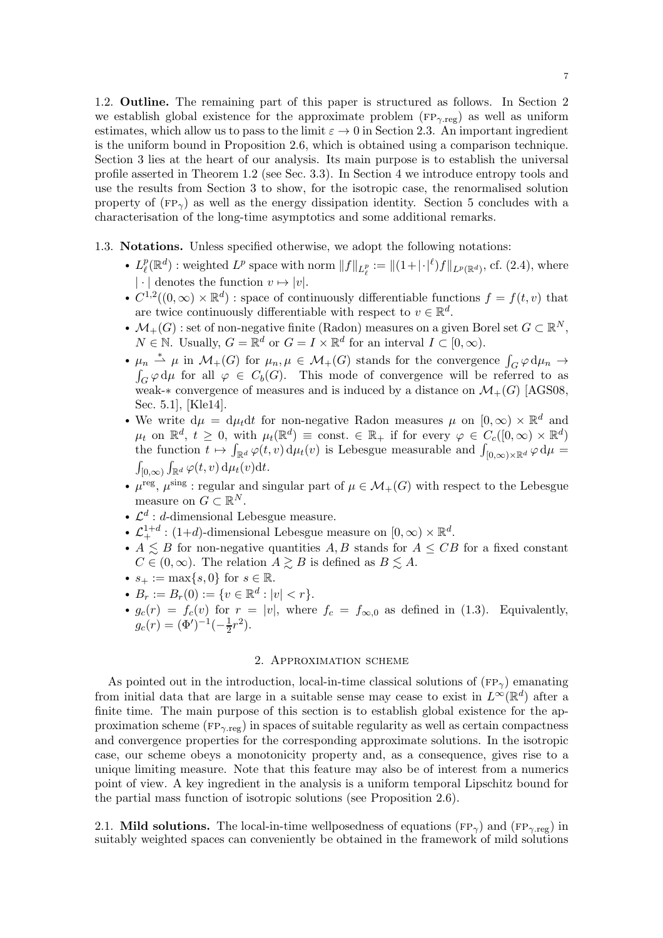1.2. Outline. The remaining part of this paper is structured as follows. In Section [2](#page-6-2) we establish global existence for the approximate problem  $(\text{FP}_{\gamma,\text{reg}})$  as well as uniform estimates, which allow us to pass to the limit  $\varepsilon \to 0$  in Section [2.3.](#page-15-0) An important ingredient is the uniform bound in Proposition [2.6,](#page-12-0) which is obtained using a comparison technique. Section [3](#page-17-0) lies at the heart of our analysis. Its main purpose is to establish the universal profile asserted in Theorem [1.2](#page-4-1) (see Sec. [3.3\)](#page-25-0). In Section [4](#page-26-0) we introduce entropy tools and use the results from Section [3](#page-17-0) to show, for the isotropic case, the renormalised solution property of  $(FP_{\gamma})$  as well as the energy dissipation identity. Section [5](#page-30-0) concludes with a characterisation of the long-time asymptotics and some additional remarks.

- <span id="page-6-0"></span>1.3. Notations. Unless specified otherwise, we adopt the following notations:
	- $L^p_\ell$  $\mathcal{L}^p(\mathbb{R}^d)$  : weighted  $L^p$  space with norm  $||f||_{L^p_{\ell}} := ||(1+|\cdot|^{\ell})f||_{L^p(\mathbb{R}^d)}$ , cf. [\(2.4\)](#page-7-0), where  $|\cdot|$  denotes the function  $v\mapsto |v|.$
	- $C^{1,2}((0,\infty) \times \mathbb{R}^d)$ : space of continuously differentiable functions  $f = f(t, v)$  that are twice continuously differentiable with respect to  $v \in \mathbb{R}^d$ .
	- $\mathcal{M}_+(G)$ : set of non-negative finite (Radon) measures on a given Borel set  $G \subset \mathbb{R}^N$ ,  $N \in \mathbb{N}$ . Usually,  $G = \mathbb{R}^d$  or  $G = I \times \mathbb{R}^d$  for an interval  $I \subset [0, \infty)$ .
	- $\mu_n \stackrel{*}{\rightharpoonup} \mu$  in  $\mathcal{M}_+(G)$  for  $\mu_n, \mu \in \mathcal{M}_+(G)$  stands for the convergence  $\int_G \mathcal{G} \downarrow \mu$  for all  $\varphi \in C_b(G)$ . This mode of convergence will be refer.  $\varphi \, d\mu_n \to$  $G \varphi d\mu$  for all  $\varphi \in C_b(G)$ . This mode of convergence will be referred to as weak-∗ convergence of measures and is induced by a distance on  $\mathcal{M}_+(G)$  [\[AGS08,](#page-33-22) Sec. 5.1], [\[Kle14\]](#page-33-23).
	- We write  $d\mu = d\mu_t dt$  for non-negative Radon measures  $\mu$  on  $[0, \infty) \times \mathbb{R}^d$  and  $\mu_t$  on  $\mathbb{R}^d$ ,  $t \geq 0$ , with  $\mu_t(\mathbb{R}^d) \equiv \text{const.} \in \mathbb{R}_+$  if for every  $\varphi \in C_c([0,\infty) \times \mathbb{R}^d)$ the function  $t \mapsto \int_{\mathbb{R}^d} \varphi(t, v) d\mu_t(v)$  is Lebesgue measurable and  $\int_{[0,\infty)\times\mathbb{R}^d} \varphi d\mu =$  $\int_{[0,\infty)} \int_{\mathbb{R}^d} \varphi(t,v) \, \mathrm{d}\mu_t(v) \mathrm{d}t.$
	- $\mu^{\text{reg}}, \mu^{\text{sing}}$ : regular and singular part of  $\mu \in \mathcal{M}_+(G)$  with respect to the Lebesgue measure on  $G \subset \mathbb{R}^N$ .
	- $\mathcal{L}^d$  : *d*-dimensional Lebesgue measure.
	- $\mathcal{L}_{+}^{1+d}$ : (1+d)-dimensional Lebesgue measure on  $[0,\infty) \times \mathbb{R}^d$ .
	- $A \leq B$  for non-negative quantities A, B stands for  $A \leq CB$  for a fixed constant  $C \in (0,\infty)$ . The relation  $A \gtrsim B$  is defined as  $B \lesssim A$ .
	- $s_+ := \max\{s, 0\}$  for  $s \in \mathbb{R}$ .
	- $B_r := B_r(0) := \{v \in \mathbb{R}^d : |v| < r\}.$
	- $g_c(r) = f_c(v)$  for  $r = |v|$ , where  $f_c = f_{\infty,0}$  as defined in [\(1.3\)](#page-1-1). Equivalently,  $g_c(r) = (\Phi')^{-1}(-\frac{1}{2})$  $(\frac{1}{2}r^2).$

### 2. Approximation scheme

<span id="page-6-2"></span>As pointed out in the introduction, local-in-time classical solutions of  $(\text{FP}_{\gamma})$  emanating from initial data that are large in a suitable sense may cease to exist in  $L^{\infty}(\mathbb{R}^d)$  after a finite time. The main purpose of this section is to establish global existence for the approximation scheme ( $FP_{\gamma,reg}$ ) in spaces of suitable regularity as well as certain compactness and convergence properties for the corresponding approximate solutions. In the isotropic case, our scheme obeys a monotonicity property and, as a consequence, gives rise to a unique limiting measure. Note that this feature may also be of interest from a numerics point of view. A key ingredient in the analysis is a uniform temporal Lipschitz bound for the partial mass function of isotropic solutions (see Proposition [2.6\)](#page-12-0).

<span id="page-6-1"></span>2.1. Mild solutions. The local-in-time wellposedness of equations (FP<sub> $\gamma$ </sub>) and (FP<sub> $\gamma$ </sub> reg) in suitably weighted spaces can conveniently be obtained in the framework of mild solutions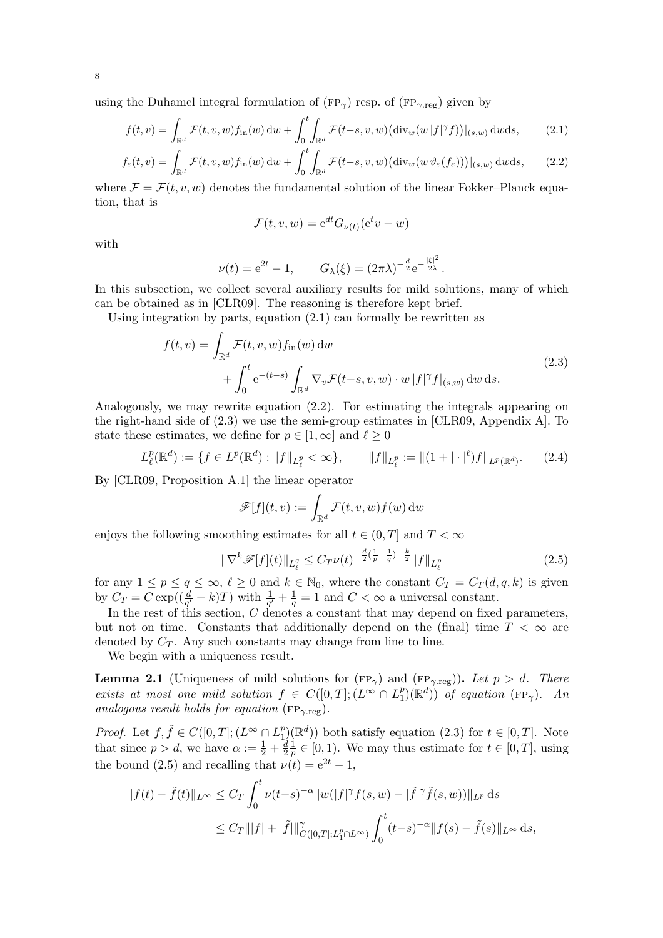using the Duhamel integral formulation of ( $FP_{\gamma}$ ) resp. of ( $FP_{\gamma, reg}$ ) given by

$$
f(t,v) = \int_{\mathbb{R}^d} \mathcal{F}(t,v,w) f_{\text{in}}(w) \, \mathrm{d}w + \int_0^t \int_{\mathbb{R}^d} \mathcal{F}(t-s,v,w) \big( \text{div}_w(w|f|^\gamma f) \big)|_{(s,w)} \, \mathrm{d}w \mathrm{d}s,\tag{2.1}
$$

$$
f_{\varepsilon}(t,v) = \int_{\mathbb{R}^d} \mathcal{F}(t,v,w) f_{\text{in}}(w) \, \mathrm{d}w + \int_0^t \int_{\mathbb{R}^d} \mathcal{F}(t-s,v,w) \big( \mathrm{div}_w(w \, \vartheta_{\varepsilon}(f_{\varepsilon})) \big) |_{(s,w)} \, \mathrm{d}w \mathrm{d}s,\qquad(2.2)
$$

where  $\mathcal{F} = \mathcal{F}(t, v, w)$  denotes the fundamental solution of the linear Fokker–Planck equation, that is

<span id="page-7-3"></span><span id="page-7-2"></span><span id="page-7-1"></span>
$$
\mathcal{F}(t, v, w) = e^{dt} G_{\nu(t)}(e^t v - w)
$$

with

$$
\nu(t) = e^{2t} - 1,
$$
  $G_{\lambda}(\xi) = (2\pi\lambda)^{-\frac{d}{2}} e^{-\frac{|\xi|^2}{2\lambda}}.$ 

In this subsection, we collect several auxiliary results for mild solutions, many of which can be obtained as in [\[CLR09\]](#page-33-5). The reasoning is therefore kept brief.

Using integration by parts, equation  $(2.1)$  can formally be rewritten as

$$
f(t,v) = \int_{\mathbb{R}^d} \mathcal{F}(t,v,w) f_{\text{in}}(w) \, dw
$$
  
+ 
$$
\int_0^t e^{-(t-s)} \int_{\mathbb{R}^d} \nabla_v \mathcal{F}(t-s,v,w) \cdot w |f|^\gamma f|_{(s,w)} \, dw \, ds.
$$
 (2.3)

Analogously, we may rewrite equation [\(2.2\)](#page-7-2). For estimating the integrals appearing on the right-hand side of [\(2.3\)](#page-7-3) we use the semi-group estimates in [\[CLR09,](#page-33-5) Appendix A]. To state these estimates, we define for  $p \in [1,\infty]$  and  $\ell \geq 0$ 

$$
L^p_\ell(\mathbb{R}^d) := \{ f \in L^p(\mathbb{R}^d) : \|f\|_{L^p_\ell} < \infty \}, \qquad \|f\|_{L^p_\ell} := \|(1 + |\cdot|^\ell)f\|_{L^p(\mathbb{R}^d)}. \tag{2.4}
$$

By [\[CLR09,](#page-33-5) Proposition A.1] the linear operator

<span id="page-7-4"></span><span id="page-7-0"></span>
$$
\mathscr{F}[f](t,v) := \int_{\mathbb{R}^d} \mathcal{F}(t,v,w) f(w) \, \mathrm{d}w
$$

enjoys the following smoothing estimates for all  $t \in (0, T]$  and  $T < \infty$ 

$$
\|\nabla^k \mathscr{F}[f](t)\|_{L^q_\ell} \le C_T \nu(t)^{-\frac{d}{2}\left(\frac{1}{p} - \frac{1}{q}\right) - \frac{k}{2}} \|f\|_{L^p_\ell} \tag{2.5}
$$

for any  $1 \le p \le q \le \infty$ ,  $\ell \ge 0$  and  $k \in \mathbb{N}_0$ , where the constant  $C_T = C_T(d, q, k)$  is given by  $C_T = C \exp((\frac{d}{q'}+k)T)$  with  $\frac{1}{q'}+\frac{1}{q}$  $\frac{1}{q} = 1$  and  $C < \infty$  a universal constant.

In the rest of this section, C denotes a constant that may depend on fixed parameters, but not on time. Constants that additionally depend on the (final) time  $T < \infty$  are denoted by  $C_T$ . Any such constants may change from line to line.

We begin with a uniqueness result.

<span id="page-7-5"></span>**Lemma 2.1** (Uniqueness of mild solutions for  $(FP_{\gamma})$  and  $(FP_{\gamma \text{reg}})$ ). Let  $p > d$ . There  $exists \; at \; most \; one \; mild \; solution \; f \; \in \; C([0,T]; (\overline{L^{\infty}} \cap L^{p}_{1}))$  $\binom{p}{1}(\mathbb{R}^d)$  *of equation* (FP<sub> $\gamma$ </sub>). An *analogous result holds for equation* ( $FP_{\gamma \text{reg}}$ ).

*Proof.* Let  $f, \tilde{f} \in C([0, T]; (L^{\infty} \cap L_1^p))$  $\binom{p}{1}(\mathbb{R}^d)$  both satisfy equation  $(2.3)$  for  $t \in [0, T]$ . Note that since  $p > d$ , we have  $\alpha := \frac{1}{2} + \frac{d}{2}$ 2 1  $\frac{1}{p} \in [0, 1)$ . We may thus estimate for  $t \in [0, T]$ , using the bound [\(2.5\)](#page-7-4) and recalling that  $\nu(t) = e^{2t} - 1$ ,

$$
||f(t) - \tilde{f}(t)||_{L^{\infty}} \le C_T \int_0^t \nu(t-s)^{-\alpha} ||w(|f|^{\gamma} f(s, w) - |\tilde{f}|^{\gamma} \tilde{f}(s, w))||_{L^p} ds
$$
  

$$
\le C_T |||f| + |\tilde{f}||_{C([0,T];L_1^p \cap L^{\infty})}^{\gamma} \int_0^t (t-s)^{-\alpha} ||f(s) - \tilde{f}(s)||_{L^{\infty}} ds,
$$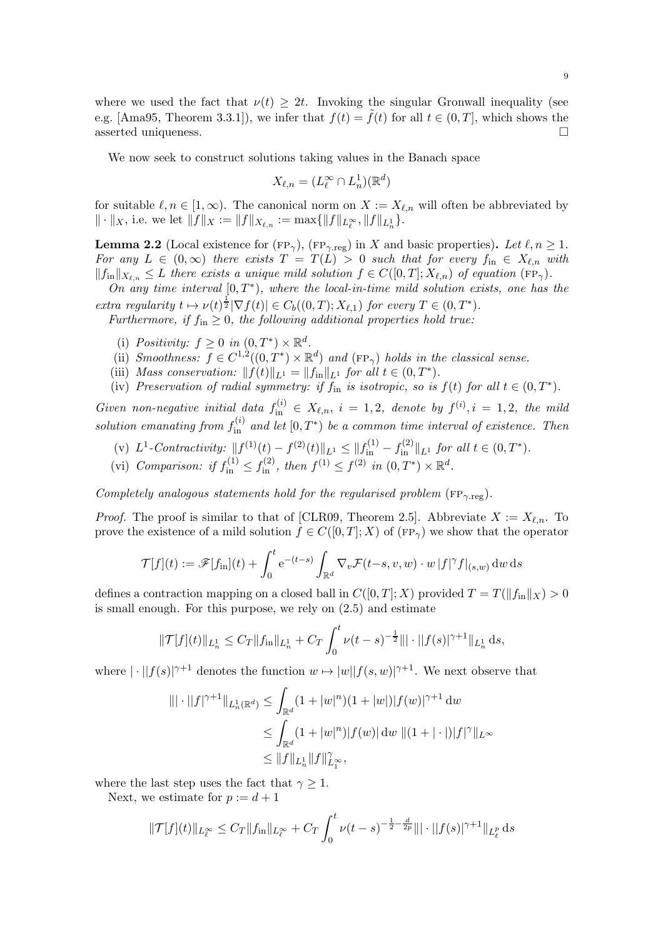where we used the fact that  $\nu(t) \geq 2t$ . Invoking the singular Gronwall inequality (see e.g. [\[Ama95,](#page-33-24) Theorem 3.3.1]), we infer that  $f(t) = \tilde{f}(t)$  for all  $t \in (0, T]$ , which shows the asserted uniqueness. asserted uniqueness.

We now seek to construct solutions taking values in the Banach space

$$
X_{\ell,n} = (L_{\ell}^{\infty} \cap L_n^1)(\mathbb{R}^d)
$$

for suitable  $\ell, n \in [1,\infty)$ . The canonical norm on  $X := X_{\ell,n}$  will often be abbreviated by  $\| \cdot \|_X$ , i.e. we let  $||f||_X := ||f||_{X_{\ell,n}} := \max\{||f||_{L^{\infty}_{\ell}}, ||f||_{L^1_n}\}.$ 

<span id="page-8-0"></span>**Lemma 2.2** (Local existence for (FP<sub>γ</sub>), (FP<sub>γ</sub>,reg) in X and basic properties). Let  $\ell, n \geq 1$ . *For any*  $L \in (0,\infty)$  *there exists*  $T = T(L) > 0$  *such that for every*  $f_{\text{in}} \in X_{\ell,n}$  *with*  $||f_{in}||_{X_{\ell,n}} \leq L$  *there exists a unique mild solution*  $f \in C([0,T]; X_{\ell,n})$  *of equation*  $(\text{FP}_{\gamma})$ *.* 

*On any time interval* [0,*T*<sup>\*</sup>)*, where the local-in-time mild solution exists, one has the extra regularity*  $t \mapsto \nu(t)^{\frac{1}{2}} |\nabla f(t)| \in C_b((0,T); X_{\ell,1})$  *for every*  $T \in (0,T^*)$ *.* 

<span id="page-8-1"></span>*Furthermore, if*  $f_{\text{in}} \geq 0$ *, the following additional properties hold true:* 

- <span id="page-8-4"></span>(i) Positivity:  $f ">= 0$  in  $(0, T^*) \times \mathbb{R}^d$ .
- (ii) *Smoothness:*  $f \in C^{1,2}((0,T^*) \times \mathbb{R}^d)$  and  $(\text{FP}_{\gamma})$  holds in the classical sense.
- <span id="page-8-3"></span>(iii) *Mass conservation:*  $|| f(t) ||_{L^1} = || f_{in} ||_{L^1}$  *for all*  $t \in (0, T^*)$ *.*
- (iv) Preservation of radial symmetry: if  $f_{\text{in}}$  is isotropic, so is  $f(t)$  for all  $t \in (0, T^*)$ .

*Given non-negative initial data*  $f_{\text{in}}^{(i)} \in X_{\ell,n}$ ,  $i = 1, 2$ , denote by  $f^{(i)}$ ,  $i = 1, 2$ , the mild solution emanating from  $f_{\text{in}}^{(i)}$  and let  $[0, T^*)$  be a common time interval of existence. Then

- <span id="page-8-2"></span>(v)  $L^1$ -Contractivity:  $||f^{(1)}(t) - f^{(2)}(t)||_{L^1} \leq ||f_{\text{in}}^{(1)} - f_{\text{in}}^{(2)}||_{L^1}$  for all  $t \in (0, T^*)$ .
- (vi) *Comparison: if*  $f_{\text{in}}^{(1)} \leq f_{\text{in}}^{(2)}$ , then  $f^{(1)} \leq f^{(2)}$  in  $(0, T^*) \times \mathbb{R}^d$ .

*Completely analogous statements hold for the regularised problem* ( $FP_{\gamma, reg}$ ).

*Proof.* The proof is similar to that of [\[CLR09,](#page-33-5) Theorem 2.5]. Abbreviate  $X := X_{\ell,n}$ . To prove the existence of a mild solution  $f \in C([0,T];X)$  of  $(\text{FP}_{\gamma})$  we show that the operator

$$
\mathcal{T}[f](t) := \mathscr{F}[f_{\text{in}}](t) + \int_0^t e^{-(t-s)} \int_{\mathbb{R}^d} \nabla_v \mathcal{F}(t-s, v, w) \cdot w |f|^\gamma f|_{(s,w)} dw ds
$$

defines a contraction mapping on a closed ball in  $C([0, T]; X)$  provided  $T = T(||f_{\text{in}}||_X) > 0$ is small enough. For this purpose, we rely on [\(2.5\)](#page-7-4) and estimate

$$
\|\mathcal{T}[f](t)\|_{L^1_n} \leq C_T \|f_{\text{in}}\|_{L^1_n} + C_T \int_0^t \nu(t-s)^{-\frac{1}{2}} \|\cdot \|f(s)|^{\gamma+1} \|_{L^1_n} ds,
$$

where  $|\cdot||f(s)|^{\gamma+1}$  denotes the function  $w \mapsto |w||f(s, w)|^{\gamma+1}$ . We next observe that

$$
\|\cdot\|f|^{\gamma+1}\|_{L_n^1(\mathbb{R}^d)} \le \int_{\mathbb{R}^d} (1+|w|^n)(1+|w|)|f(w)|^{\gamma+1} \, dw
$$
  
\n
$$
\le \int_{\mathbb{R}^d} (1+|w|^n)|f(w)| \, dw \, \|(1+|\cdot|)|f|^\gamma\|_{L^\infty}
$$
  
\n
$$
\le \|f\|_{L_n^1} \|f\|_{L^\infty}^\gamma,
$$

where the last step uses the fact that  $\gamma \geq 1$ .

Next, we estimate for  $p := d + 1$ 

$$
\|\mathcal{T}[f](t)\|_{L_{\ell}^{\infty}} \leq C_T \|f_{\text{in}}\|_{L_{\ell}^{\infty}} + C_T \int_0^t \nu(t-s)^{-\frac{1}{2}-\frac{d}{2p}} \|\cdot \|f(s)|^{\gamma+1} \|_{L_{\ell}^p} \,\mathrm{d} s
$$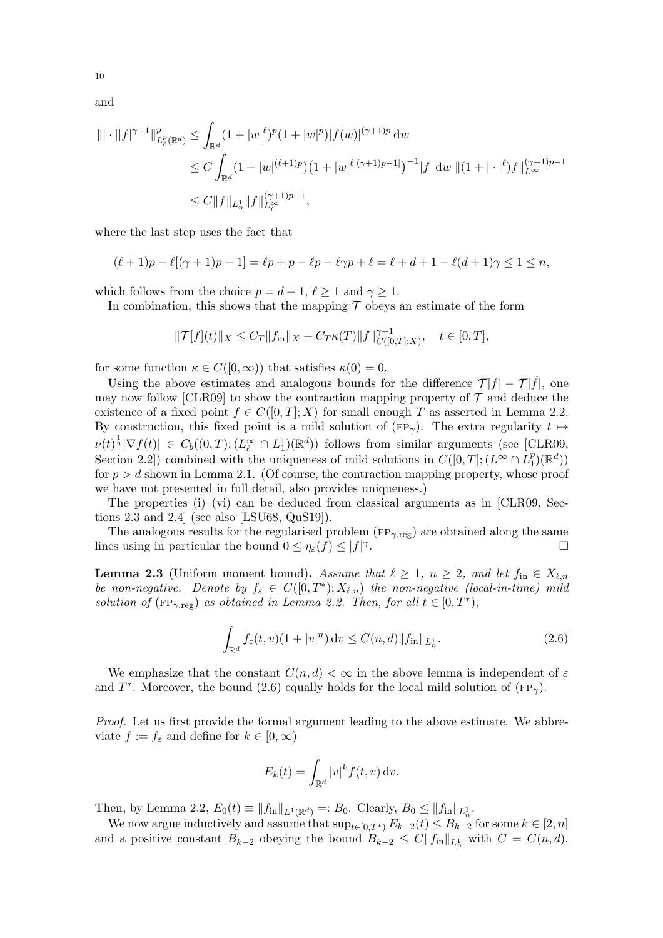and

$$
\|\cdot\|f|^{\gamma+1}\|_{L^p_{\ell}(\mathbb{R}^d)}^p \leq \int_{\mathbb{R}^d} (1+|w|^{\ell})^p (1+|w|^p)|f(w)|^{(\gamma+1)p} \, \mathrm{d}w
$$
  
\n
$$
\leq C \int_{\mathbb{R}^d} (1+|w|^{(\ell+1)p}) \left(1+|w|^{\ell[(\gamma+1)p-1]}\right)^{-1} |f| \, \mathrm{d}w \, \|(1+|\cdot|^{\ell})f\|_{L^\infty}^{(\gamma+1)p-1}
$$
  
\n
$$
\leq C \|f\|_{L^1_n} \|f\|_{L^\infty_{\ell}}^{(\gamma+1)p-1},
$$

where the last step uses the fact that

$$
(\ell+1)p - \ell[(\gamma+1)p - 1] = \ell p + p - \ell p - \ell \gamma p + \ell = \ell + d + 1 - \ell(d+1)\gamma \leq 1 \leq n,
$$

which follows from the choice  $p = d + 1$ ,  $\ell \geq 1$  and  $\gamma \geq 1$ .

In combination, this shows that the mapping  $\mathcal T$  obeys an estimate of the form

$$
\|\mathcal{T}[f](t)\|_{X} \leq C_T \|f_{\text{in}}\|_{X} + C_T \kappa(T) \|f\|_{C([0,T];X)}^{\gamma+1}, \quad t \in [0,T],
$$

for some function  $\kappa \in C([0,\infty))$  that satisfies  $\kappa(0) = 0$ .

Using the above estimates and analogous bounds for the difference  $\mathcal{T}[f] - \mathcal{T}[\tilde{f}]$ , one may now follow [\[CLR09\]](#page-33-5) to show the contraction mapping property of  $\mathcal T$  and deduce the existence of a fixed point  $f \in C([0,T];X)$  for small enough T as asserted in Lemma [2.2.](#page-8-0) By construction, this fixed point is a mild solution of (FP<sub> $\gamma$ </sub>). The extra regularity  $t \mapsto$  $\nu(t)^{\frac{1}{2}}|\nabla f(t)| \in C_b((0,T);(L^\infty_\ell \cap L^1_1)(\mathbb{R}^d))$  follows from similar arguments (see [\[CLR09,](#page-33-5) Section 2.2) combined with the uniqueness of mild solutions in  $C([0, T]; (L^{\infty} \cap L_1^p))$  $_{1}^{p})$  $(\mathbb{R}^{d})$ for  $p > d$  shown in Lemma [2.1.](#page-7-5) (Of course, the contraction mapping property, whose proof we have not presented in full detail, also provides uniqueness.)

The properties  $(i)$ –[\(vi\)](#page-8-2) can be deduced from classical arguments as in [\[CLR09,](#page-33-5) Sections 2.3 and 2.4] (see also [\[LSU68,](#page-34-5) [QuS19\]](#page-34-6)).

The analogous results for the regularised problem ( $FP_{\gamma, reg}$ ) are obtained along the same lines using in particular the bound  $0 \leq \eta_{\varepsilon}(f) \leq |f|$ <sup> $\gamma$ </sup> . В последните поставите на производите на селото на селото на селото на селото на селото на селото на селото<br>В селото на селото на селото на селото на селото на селото на селото на селото на селото на селото на селото н

<span id="page-9-1"></span>**Lemma 2.3** (Uniform moment bound). Assume that  $\ell \geq 1$ ,  $n \geq 2$ , and let  $f_{\text{in}} \in X_{\ell,n}$ *be non-negative.* Denote by  $f_{\varepsilon} \in C([0,T^*); X_{\ell,n})$  the non-negative (local-in-time) mild *solution of*  $(\text{FP}_{\gamma \text{reg}})$  *as obtained in Lemma [2.2.](#page-8-0) Then, for all*  $t \in [0, T^*)$ ,

$$
\int_{\mathbb{R}^d} f_{\varepsilon}(t, v)(1+|v|^n) dv \le C(n, d) \|f_{\mathrm{in}}\|_{L_n^1}.
$$
\n(2.6)

We emphasize that the constant  $C(n, d) < \infty$  in the above lemma is independent of  $\varepsilon$ and  $T^*$ . Moreover, the bound [\(2.6\)](#page-9-0) equally holds for the local mild solution of (FP<sub> $\gamma$ </sub>).

*Proof.* Let us first provide the formal argument leading to the above estimate. We abbreviate  $f := f_{\varepsilon}$  and define for  $k \in [0, \infty)$ 

<span id="page-9-0"></span>
$$
E_k(t) = \int_{\mathbb{R}^d} |v|^k f(t, v) \, \mathrm{d}v.
$$

Then, by Lemma [2.2,](#page-8-0)  $E_0(t) \equiv ||f_{\text{in}}||_{L^1(\mathbb{R}^d)} =: B_0$ . Clearly,  $B_0 \le ||f_{\text{in}}||_{L^1_n}$ .

We now argue inductively and assume that  $\sup_{t\in[0,T^*)} E_{k-2}(t) \leq B_{k-2}$  for some  $k \in [2,n]$ and a positive constant  $B_{k-2}$  obeying the bound  $B_{k-2} \leq C ||f_{in}||_{L^1_n}$  with  $C = C(n, d)$ .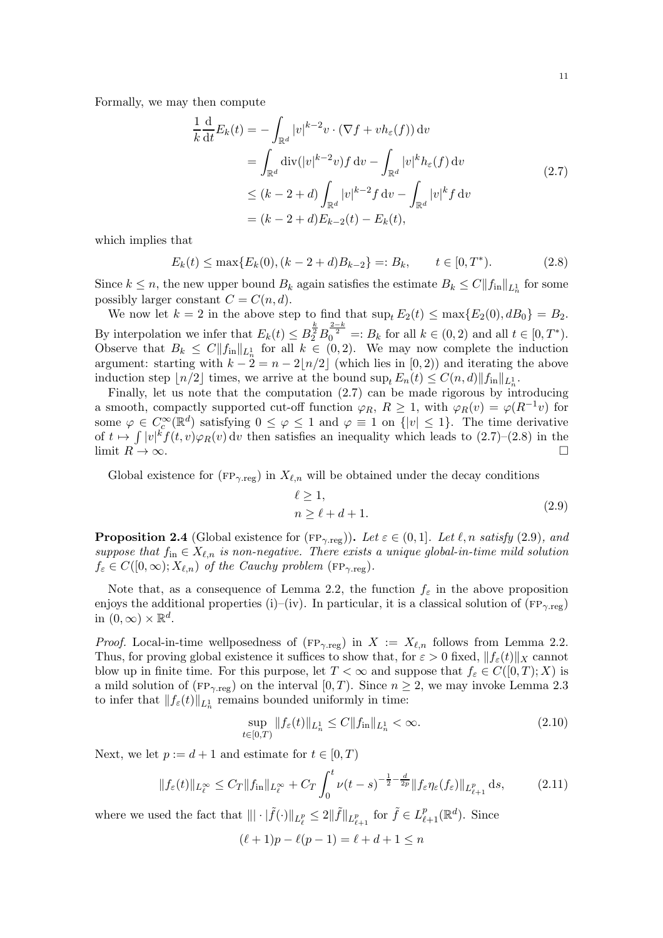Formally, we may then compute

<span id="page-10-1"></span>
$$
\frac{1}{k} \frac{d}{dt} E_k(t) = - \int_{\mathbb{R}^d} |v|^{k-2} v \cdot (\nabla f + v h_{\varepsilon}(f)) dv
$$
\n
$$
= \int_{\mathbb{R}^d} \text{div}(|v|^{k-2} v) f dv - \int_{\mathbb{R}^d} |v|^k h_{\varepsilon}(f) dv
$$
\n
$$
\le (k - 2 + d) \int_{\mathbb{R}^d} |v|^{k-2} f dv - \int_{\mathbb{R}^d} |v|^k f dv
$$
\n
$$
= (k - 2 + d) E_{k-2}(t) - E_k(t),
$$
\n(2.7)

which implies that

$$
E_k(t) \le \max\{E_k(0), (k-2+d)B_{k-2}\} =: B_k, \qquad t \in [0, T^*). \tag{2.8}
$$

Since  $k \leq n$ , the new upper bound  $B_k$  again satisfies the estimate  $B_k \leq C||f_{in}||_{L^1_n}$  for some possibly larger constant  $C = C(n, d)$ .

We now let  $k = 2$  in the above step to find that  $\sup_t E_2(t) \leq \max\{E_2(0), dB_0\} = B_2$ . By interpolation we infer that  $E_k(t) \leq B_2^{\frac{k}{2}} B_0^{\frac{2-k}{2}} =: B_k$  for all  $k \in (0, 2)$  and all  $t \in [0, T^*)$ . Observe that  $B_k \n\t\le C \|f_{in}\|_{L^1_n}$  for all  $k \in (0,2)$ . We may now complete the induction argument: starting with  $k - 2 = n - 2\lfloor n/2 \rfloor$  (which lies in [0, 2)) and iterating the above induction step  $\lfloor n/2 \rfloor$  times, we arrive at the bound  $\sup_t E_n(t) \leq C(n,d) \|f_{\text{in}}\|_{L^1_n}$ .

Finally, let us note that the computation [\(2.7\)](#page-10-1) can be made rigorous by introducing a smooth, compactly supported cut-off function  $\varphi_R$ ,  $R \geq 1$ , with  $\varphi_R(v) = \varphi(R^{-1}v)$  for some  $\varphi \in C_c^{\infty}(\mathbb{R}^d)$  satisfying  $0 \leq \varphi \leq 1$  and  $\varphi \equiv 1$  on  $\{|v| \leq 1\}$ . The time derivative of  $t \mapsto \int |v|^k f(t, v) \varphi_R(v) dv$  then satisfies an inequality which leads to  $(2.7)$ – $(2.8)$  in the limit  $R \to \infty$ .

Global existence for ( $FP_{\gamma, reg}$ ) in  $X_{\ell,n}$  will be obtained under the decay conditions

<span id="page-10-3"></span><span id="page-10-2"></span>
$$
\ell \ge 1,n \ge \ell + d + 1.
$$
\n(2.9)

<span id="page-10-0"></span>**Proposition 2.4** (Global existence for (FP<sub>γ.reg</sub>)). Let  $\varepsilon \in (0,1]$ . Let  $\ell, n$  satisfy [\(2.9\)](#page-10-3), and *suppose that*  $f_{\text{in}} \in X_{\ell,n}$  *is non-negative. There exists a unique global-in-time mild solution*  $f_{\varepsilon} \in C([0,\infty); X_{\ell,n})$  *of the Cauchy problem* (FP<sub>γreg</sub>).

Note that, as a consequence of Lemma [2.2,](#page-8-0) the function  $f_{\varepsilon}$  in the above proposition enjoys the additional properties [\(i\)–](#page-8-1)[\(iv\).](#page-8-3) In particular, it is a classical solution of  $(\text{FP}_{\gamma,\text{reg}})$ in  $(0,\infty)\times \mathbb{R}^d$ .

*Proof.* Local-in-time wellposedness of ( $FP_{\gamma, reg}$ ) in  $X := X_{\ell,n}$  follows from Lemma [2.2.](#page-8-0) Thus, for proving global existence it suffices to show that, for  $\varepsilon > 0$  fixed,  $|| f_{\varepsilon}(t) ||_X$  cannot blow up in finite time. For this purpose, let  $T < \infty$  and suppose that  $f_{\varepsilon} \in C([0,T); X)$  is a mild solution of ( $FP_{\gamma,reg}$ ) on the interval  $[0, T)$ . Since  $n \geq 2$ , we may invoke Lemma [2.3](#page-9-1) to infer that  $|| f_{\varepsilon}(t) ||_{L^1_n}$  remains bounded uniformly in time:

<span id="page-10-5"></span><span id="page-10-4"></span>
$$
\sup_{t \in [0,T)} \|f_{\varepsilon}(t)\|_{L_n^1} \le C \|f_{\rm in}\|_{L_n^1} < \infty. \tag{2.10}
$$

Next, we let  $p := d + 1$  and estimate for  $t \in [0, T)$ 

$$
||f_{\varepsilon}(t)||_{L_{\ell}^{\infty}} \leq C_{T} ||f_{\text{in}}||_{L_{\ell}^{\infty}} + C_{T} \int_{0}^{t} \nu(t-s)^{-\frac{1}{2} - \frac{d}{2p}} ||f_{\varepsilon}\eta_{\varepsilon}(f_{\varepsilon})||_{L_{\ell+1}^{p}} ds, \qquad (2.11)
$$

where we used the fact that  $||| \cdot ||\tilde{f}(\cdot)||_{L^p_{\ell}} \leq 2||\tilde{f}||_{L^p_{\ell+1}}$  for  $\tilde{f} \in L^p_{\ell+1}(\mathbb{R}^d)$ . Since

$$
(\ell + 1)p - \ell(p - 1) = \ell + d + 1 \le n
$$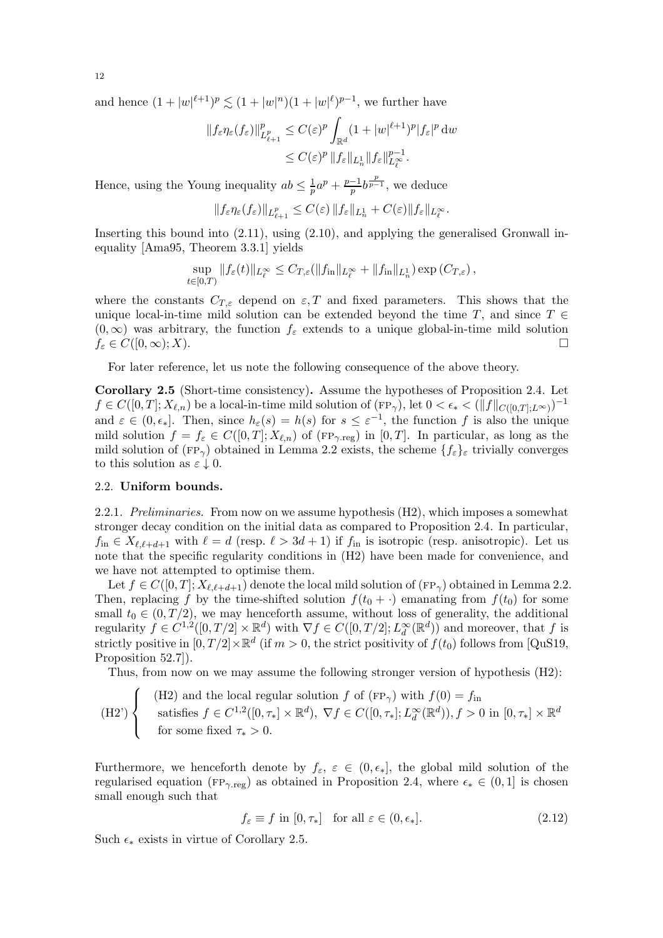and hence  $(1+|w|^{\ell+1})^p \lesssim (1+|w|^n)(1+|w|^{\ell})^{p-1}$ , we further have

$$
||f_{\varepsilon}\eta_{\varepsilon}(f_{\varepsilon})||_{L_{\ell+1}^p}^p \le C(\varepsilon)^p \int_{\mathbb{R}^d} (1+|w|^{\ell+1})^p |f_{\varepsilon}|^p \, dw
$$
  

$$
\le C(\varepsilon)^p ||f_{\varepsilon}||_{L_n^1} ||f_{\varepsilon}||_{L_{\ell}^{\infty}}^{p-1}.
$$

Hence, using the Young inequality  $ab \leq \frac{1}{p}$  $rac{1}{p}a^p + \frac{p-1}{p}$  $\frac{-1}{p}b^{\frac{p}{p-1}}$ , we deduce

$$
\|f_\varepsilon \eta_\varepsilon(f_\varepsilon)\|_{L^p_{\ell+1}}\leq C(\varepsilon)\,\|f_\varepsilon\|_{L^1_n}+C(\varepsilon)\|f_\varepsilon\|_{L^\infty_\ell}.
$$

Inserting this bound into [\(2.11\)](#page-10-4), using [\(2.10\)](#page-10-5), and applying the generalised Gronwall inequality [\[Ama95,](#page-33-24) Theorem 3.3.1] yields

$$
\sup_{t\in[0,T)}\|f_{\varepsilon}(t)\|_{L_{\ell}^{\infty}}\leq C_{T,\varepsilon}(\|f_{\mathrm{in}}\|_{L_{\ell}^{\infty}}+\|f_{\mathrm{in}}\|_{L_{n}^{1}})\exp\left(C_{T,\varepsilon}\right),
$$

where the constants  $C_{T,\varepsilon}$  depend on  $\varepsilon$ , T and fixed parameters. This shows that the unique local-in-time mild solution can be extended beyond the time T, and since  $T \in$  $(0, \infty)$  was arbitrary, the function  $f_{\varepsilon}$  extends to a unique global-in-time mild solution  $f_{\varepsilon} \in C([0, \infty); X)$ .  $f_{\varepsilon} \in C([0,\infty);X).$ 

For later reference, let us note the following consequence of the above theory.

<span id="page-11-0"></span>Corollary 2.5 (Short-time consistency). Assume the hypotheses of Proposition [2.4.](#page-10-0) Let  $f \in C([0,T]; X_{\ell,n})$  be a local-in-time mild solution of  $(\text{FP}_{\gamma}),$  let  $0 < \epsilon_* < (\|f\|_{C([0,T]; L^{\infty})})^{-1}$ and  $\varepsilon \in (0, \epsilon_*]$ . Then, since  $h_{\varepsilon}(s) = h(s)$  for  $s \leq \varepsilon^{-1}$ , the function f is also the unique mild solution  $f = f_{\varepsilon} \in C([0,T]; X_{\ell,n})$  of  $(\text{FP}_{\gamma,\text{reg}})$  in  $[0,T]$ . In particular, as long as the mild solution of (FP<sub> $\gamma$ </sub>) obtained in Lemma [2.2](#page-8-0) exists, the scheme  $\{f_{\varepsilon}\}_{\varepsilon}$  trivially converges to this solution as  $\varepsilon \downarrow 0$ .

## <span id="page-11-2"></span>2.2. Uniform bounds.

2.2.1. *Preliminaries.* From now on we assume hypothesis [\(H2\),](#page-2-0) which imposes a somewhat stronger decay condition on the initial data as compared to Proposition [2.4.](#page-10-0) In particular,  $f_{\text{in}} \in X_{\ell,\ell+d+1}$  with  $\ell = d$  (resp.  $\ell > 3d+1$ ) if  $f_{\text{in}}$  is isotropic (resp. anisotropic). Let us note that the specific regularity conditions in [\(H2\)](#page-2-0) have been made for convenience, and we have not attempted to optimise them.

Let  $f \in C([0,T]; X_{\ell,\ell+d+1})$  denote the local mild solution of  $(\text{FP}_{\gamma})$  obtained in Lemma [2.2.](#page-8-0) Then, replacing f by the time-shifted solution  $f(t_0 + \cdot)$  emanating from  $f(t_0)$  for some small  $t_0 \in (0, T/2)$ , we may henceforth assume, without loss of generality, the additional regularity  $f \in C^{1,2}([0,T/2] \times \mathbb{R}^d)$  with  $\nabla f \in C([0,T/2]; L^\infty_d(\mathbb{R}^d))$  and moreover, that f is strictly positive in  $[0, T/2] \times \mathbb{R}^d$  (if  $m > 0$ , the strict positivity of  $f(t_0)$  follows from [\[QuS19,](#page-34-6) Proposition 52.7.

Thus, from now on we may assume the following stronger version of hypothesis [\(H2\):](#page-2-0)

(H2')   
\n(H2) and the local regular solution 
$$
f
$$
 of  $(FP_{\gamma})$  with  $f(0) = f_{\text{in}}$   
\nsatisfies  $f \in C^{1,2}([0, \tau_*] \times \mathbb{R}^d)$ ,  $\nabla f \in C([0, \tau_*]; L_d^{\infty}(\mathbb{R}^d))$ ,  $f > 0$  in  $[0, \tau_*] \times \mathbb{R}^d$   
\nfor some fixed  $\tau_* > 0$ .

Furthermore, we henceforth denote by  $f_{\varepsilon}$ ,  $\varepsilon \in (0, \epsilon_*]$ , the global mild solution of the regularised equation ( $FP_{\gamma,reg}$ ) as obtained in Proposition [2.4,](#page-10-0) where  $\epsilon_* \in (0,1]$  is chosen small enough such that

<span id="page-11-1"></span>
$$
f_{\varepsilon} \equiv f \text{ in } [0, \tau_*] \quad \text{for all } \varepsilon \in (0, \epsilon_*]. \tag{2.12}
$$

Such  $\epsilon_*$  exists in virtue of Corollary [2.5.](#page-11-0)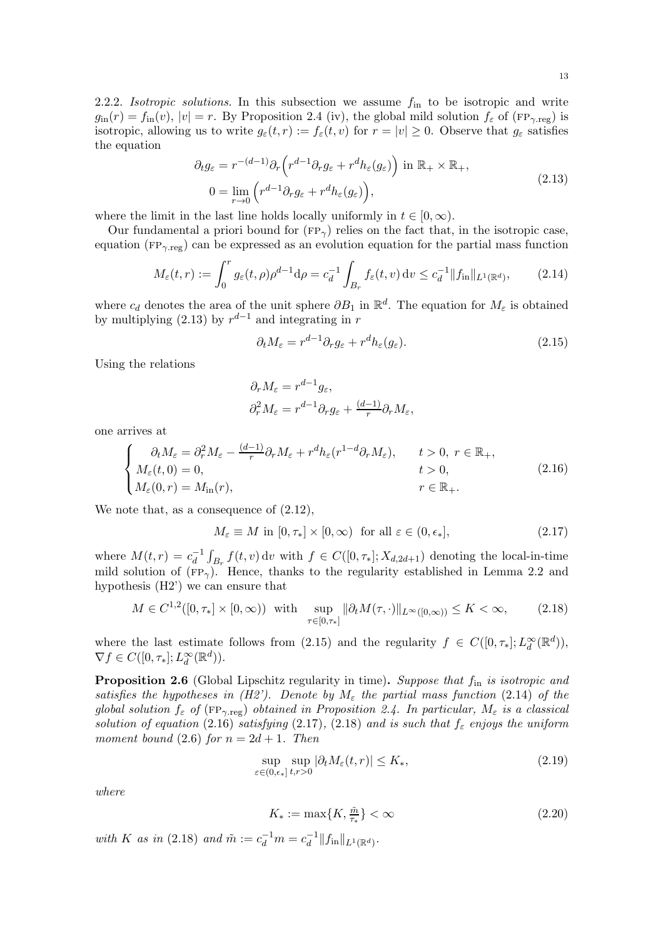<span id="page-12-9"></span>2.2.2. *Isotropic solutions*. In this subsection we assume  $f_{\text{in}}$  to be isotropic and write  $g_{\text{in}}(r) = f_{\text{in}}(v)$ ,  $|v| = r$ . By Proposition [2.4](#page-10-0) [\(iv\),](#page-8-3) the global mild solution  $f_{\varepsilon}$  of (FP<sub>γ.reg</sub>) is isotropic, allowing us to write  $g_{\varepsilon}(t,r) := f_{\varepsilon}(t,v)$  for  $r = |v| \geq 0$ . Observe that  $g_{\varepsilon}$  satisfies the equation

$$
\partial_t g_{\varepsilon} = r^{-(d-1)} \partial_r \left( r^{d-1} \partial_r g_{\varepsilon} + r^d h_{\varepsilon}(g_{\varepsilon}) \right) \text{ in } \mathbb{R}_+ \times \mathbb{R}_+,
$$
  
\n
$$
0 = \lim_{r \to 0} \left( r^{d-1} \partial_r g_{\varepsilon} + r^d h_{\varepsilon}(g_{\varepsilon}) \right),
$$
\n(2.13)

where the limit in the last line holds locally uniformly in  $t \in [0, \infty)$ .

Our fundamental a priori bound for  $(FP_{\gamma})$  relies on the fact that, in the isotropic case, equation ( $FP_{\gamma,reg}$ ) can be expressed as an evolution equation for the partial mass function

$$
M_{\varepsilon}(t,r) := \int_0^r g_{\varepsilon}(t,\rho)\rho^{d-1}\mathrm{d}\rho = c_d^{-1} \int_{B_r} f_{\varepsilon}(t,v)\,\mathrm{d}v \le c_d^{-1} \|f_{\mathrm{in}}\|_{L^1(\mathbb{R}^d)},\tag{2.14}
$$

where  $c_d$  denotes the area of the unit sphere  $\partial B_1$  in  $\mathbb{R}^d$ . The equation for  $M_\varepsilon$  is obtained by multiplying [\(2.13\)](#page-12-1) by  $r^{d-1}$  and integrating in r

<span id="page-12-3"></span><span id="page-12-2"></span><span id="page-12-1"></span>
$$
\partial_t M_{\varepsilon} = r^{d-1} \partial_r g_{\varepsilon} + r^d h_{\varepsilon}(g_{\varepsilon}). \tag{2.15}
$$

Using the relations

<span id="page-12-5"></span><span id="page-12-4"></span>
$$
\partial_r M_{\varepsilon} = r^{d-1} g_{\varepsilon},
$$
  

$$
\partial_r^2 M_{\varepsilon} = r^{d-1} \partial_r g_{\varepsilon} + \frac{(d-1)}{r} \partial_r M_{\varepsilon},
$$

one arrives at

$$
\begin{cases}\n\partial_t M_{\varepsilon} = \partial_r^2 M_{\varepsilon} - \frac{(d-1)}{r} \partial_r M_{\varepsilon} + r^d h_{\varepsilon} (r^{1-d} \partial_r M_{\varepsilon}), & t > 0, r \in \mathbb{R}_+, \\
M_{\varepsilon}(t, 0) = 0, & t > 0, \\
M_{\varepsilon}(0, r) = M_{\rm in}(r), & r \in \mathbb{R}_+.\n\end{cases}
$$
\n(2.16)

We note that, as a consequence of [\(2.12\)](#page-11-1),

$$
M_{\varepsilon} \equiv M \text{ in } [0, \tau_*] \times [0, \infty) \text{ for all } \varepsilon \in (0, \epsilon_*], \tag{2.17}
$$

where  $M(t,r) = c_d^{-1}$  $\overline{d}^{\perp} \int_{B_r} f(t, v) dv$  with  $f \in C([0, \tau_*]; X_{d, 2d+1})$  denoting the local-in-time mild solution of  $(FP_{\gamma})$ . Hence, thanks to the regularity established in Lemma [2.2](#page-8-0) and hypothesis [\(H2'\)](#page-11-2) we can ensure that

$$
M \in C^{1,2}([0,\tau_*] \times [0,\infty)) \text{ with } \sup_{\tau \in [0,\tau_*]} \|\partial_t M(\tau,\cdot)\|_{L^\infty([0,\infty))} \le K < \infty,
$$
 (2.18)

where the last estimate follows from [\(2.15\)](#page-12-2) and the regularity  $f \in C([0, \tau_*]; L_d^{\infty}(\mathbb{R}^d))$ ,  $\nabla f \in C([0, \tau_*]; L_d^{\infty}(\mathbb{R}^d)).$ 

<span id="page-12-0"></span>**Proposition 2.6** (Global Lipschitz regularity in time). Suppose that  $f_{\text{in}}$  is isotropic and *satisfies the hypotheses in [\(H2'\).](#page-11-2)* Denote by  $M_{\varepsilon}$  the partial mass function [\(2.14\)](#page-12-3) of the *global solution*  $f_{\varepsilon}$  *of* ( $FP_{\gamma, reg}$ ) *obtained in Proposition [2.4.](#page-10-0) In particular,*  $M_{\varepsilon}$  *is a classical solution of equation* [\(2.16\)](#page-12-4) *satisfying* [\(2.17\)](#page-12-5)*,* [\(2.18\)](#page-12-6) *and is such that*  $f_{\varepsilon}$  *enjoys the uniform moment bound* [\(2.6\)](#page-9-0) *for*  $n = 2d + 1$ *. Then* 

<span id="page-12-6"></span>
$$
\sup_{\varepsilon \in (0,\epsilon_*]} \sup_{t,r>0} |\partial_t M_{\varepsilon}(t,r)| \le K_*,
$$
\n(2.19)

*where*

<span id="page-12-8"></span><span id="page-12-7"></span>
$$
K_* := \max\{K, \frac{\tilde{m}}{\tau_*}\} < \infty \tag{2.20}
$$

*with K as in* [\(2.18\)](#page-12-6) *and*  $\tilde{m} := c_d^{-1}m = c_d^{-1}$  $\frac{-1}{d}\|f_{\textup{in}}\|_{L^1(\mathbb{R}^d)}.$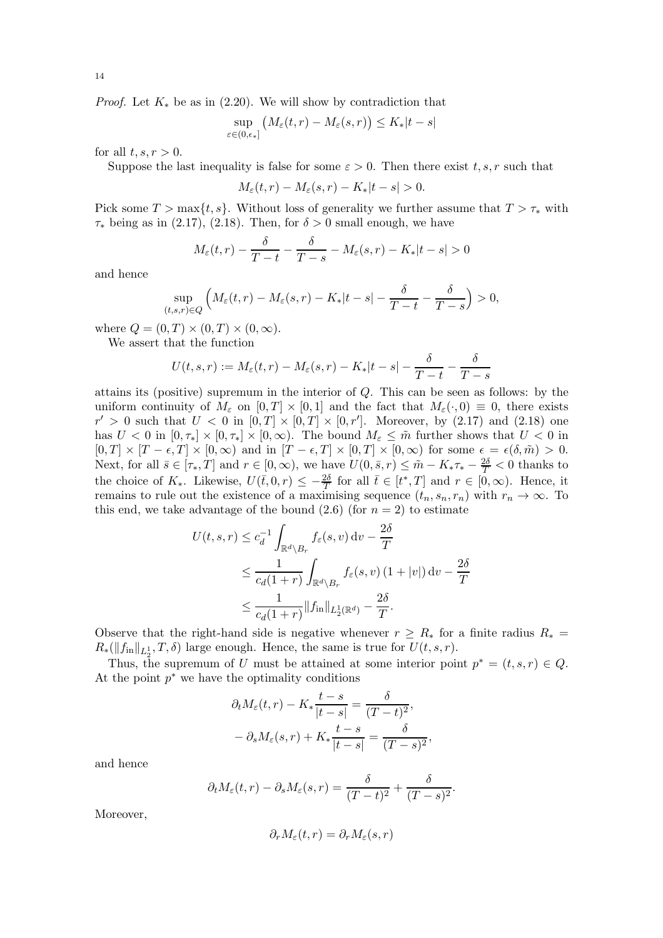*Proof.* Let  $K_*$  be as in [\(2.20\)](#page-12-7). We will show by contradiction that

$$
\sup_{\varepsilon \in (0,\epsilon_*]} \left( M_{\varepsilon}(t,r) - M_{\varepsilon}(s,r) \right) \le K_*|t-s|
$$

for all  $t, s, r > 0$ .

Suppose the last inequality is false for some  $\varepsilon > 0$ . Then there exist t, s, r such that

$$
M_{\varepsilon}(t,r) - M_{\varepsilon}(s,r) - K_{*}|t-s| > 0.
$$

Pick some  $T > \max\{t, s\}$ . Without loss of generality we further assume that  $T > \tau_*$  with  $\tau_*$  being as in [\(2.17\)](#page-12-5), [\(2.18\)](#page-12-6). Then, for  $\delta > 0$  small enough, we have

$$
M_{\varepsilon}(t,r) - \frac{\delta}{T-t} - \frac{\delta}{T-s} - M_{\varepsilon}(s,r) - K_{*}|t-s| > 0
$$

and hence

$$
\sup_{(t,s,r)\in Q} \left( M_{\varepsilon}(t,r) - M_{\varepsilon}(s,r) - K_*|t-s| - \frac{\delta}{T-t} - \frac{\delta}{T-s} \right) > 0,
$$

where  $Q = (0, T) \times (0, T) \times (0, \infty)$ .

We assert that the function

$$
U(t,s,r) := M_{\varepsilon}(t,r) - M_{\varepsilon}(s,r) - K_{*}|t-s| - \frac{\delta}{T-t} - \frac{\delta}{T-s}
$$

attains its (positive) supremum in the interior of Q. This can be seen as follows: by the uniform continuity of  $M_{\varepsilon}$  on  $[0, T] \times [0, 1]$  and the fact that  $M_{\varepsilon}(\cdot, 0) \equiv 0$ , there exists  $r' > 0$  such that  $U < 0$  in  $[0, T] \times [0, T] \times [0, r']$ . Moreover, by [\(2.17\)](#page-12-5) and [\(2.18\)](#page-12-6) one has  $U < 0$  in  $[0, \tau_*] \times [0, \tau_*] \times [0, \infty)$ . The bound  $M_{\varepsilon} \leq \tilde{m}$  further shows that  $U < 0$  in  $[0, T] \times [T - \epsilon, T] \times [0, \infty)$  and in  $[T - \epsilon, T] \times [0, T] \times [0, \infty)$  for some  $\epsilon = \epsilon(\delta, \tilde{m}) > 0$ . Next, for all  $\bar{s} \in [\tau_*, T]$  and  $r \in [0, \infty)$ , we have  $U(0, \bar{s}, r) \leq \tilde{m} - K_* \tau_* - \frac{2\delta}{T} < 0$  thanks to the choice of  $K_*$ . Likewise,  $U(\bar{t},0,r) \leq -\frac{2\delta}{T}$  for all  $\bar{t} \in [t^*,T]$  and  $r \in [0,\infty)$ . Hence, it remains to rule out the existence of a maximising sequence  $(t_n, s_n, r_n)$  with  $r_n \to \infty$ . To this end, we take advantage of the bound  $(2.6)$  (for  $n = 2$ ) to estimate

$$
U(t, s, r) \le c_d^{-1} \int_{\mathbb{R}^d \backslash B_r} f_{\varepsilon}(s, v) dv - \frac{2\delta}{T}
$$
  

$$
\le \frac{1}{c_d(1+r)} \int_{\mathbb{R}^d \backslash B_r} f_{\varepsilon}(s, v) (1+|v|) dv - \frac{2\delta}{T}
$$
  

$$
\le \frac{1}{c_d(1+r)} ||f_{\text{in}}||_{L_2^1(\mathbb{R}^d)} - \frac{2\delta}{T}.
$$

Observe that the right-hand side is negative whenever  $r \geq R_*$  for a finite radius  $R_* =$  $R_*(\|f_{\text{in}}\|_{L_2^1}, T, \delta)$  large enough. Hence, the same is true for  $U(t, s, r)$ .

Thus, the supremum of U must be attained at some interior point  $p^* = (t, s, r) \in Q$ . At the point  $p^*$  we have the optimality conditions

$$
\partial_t M_{\varepsilon}(t,r) - K_* \frac{t-s}{|t-s|} = \frac{\delta}{(T-t)^2},
$$
  

$$
- \partial_s M_{\varepsilon}(s,r) + K_* \frac{t-s}{|t-s|} = \frac{\delta}{(T-s)^2},
$$

and hence

$$
\partial_t M_{\varepsilon}(t,r) - \partial_s M_{\varepsilon}(s,r) = \frac{\delta}{(T-t)^2} + \frac{\delta}{(T-s)^2}
$$

.

Moreover,

$$
\partial_r M_\varepsilon(t,r)=\partial_r M_\varepsilon(s,r)
$$

14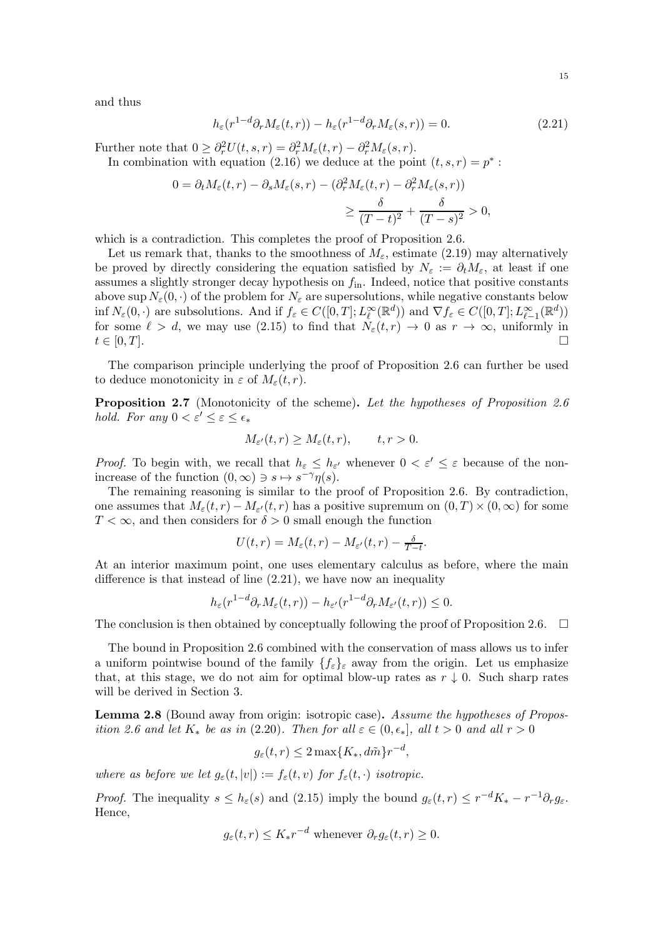and thus

<span id="page-14-0"></span>
$$
h_{\varepsilon}(r^{1-d}\partial_r M_{\varepsilon}(t,r)) - h_{\varepsilon}(r^{1-d}\partial_r M_{\varepsilon}(s,r)) = 0.
$$
\n(2.21)

Further note that  $0 \geq \partial_r^2 U(t,s,r) = \partial_r^2 M_{\varepsilon}(t,r) - \partial_r^2 M_{\varepsilon}(s,r)$ .

In combination with equation [\(2.16\)](#page-12-4) we deduce at the point  $(t, s, r) = p^*$ :

$$
0 = \partial_t M_{\varepsilon}(t, r) - \partial_s M_{\varepsilon}(s, r) - (\partial_r^2 M_{\varepsilon}(t, r) - \partial_r^2 M_{\varepsilon}(s, r))
$$
  

$$
\geq \frac{\delta}{(T - t)^2} + \frac{\delta}{(T - s)^2} > 0,
$$

which is a contradiction. This completes the proof of Proposition [2.6.](#page-12-0)

Let us remark that, thanks to the smoothness of  $M_{\varepsilon}$ , estimate [\(2.19\)](#page-12-8) may alternatively be proved by directly considering the equation satisfied by  $N_{\varepsilon} := \partial_t M_{\varepsilon}$ , at least if one assumes a slightly stronger decay hypothesis on  $f_{\text{in}}$ . Indeed, notice that positive constants above sup  $N_{\varepsilon}(0, \cdot)$  of the problem for  $N_{\varepsilon}$  are supersolutions, while negative constants below inf  $N_{\varepsilon}(0, \cdot)$  are subsolutions. And if  $f_{\varepsilon} \in C([0, T]; L^{\infty}_{\ell}(\mathbb{R}^d))$  and  $\nabla f_{\varepsilon} \in C([0, T]; L^{\infty}_{\ell-1}(\mathbb{R}^d))$ for some  $\ell > d$ , we may use [\(2.15\)](#page-12-2) to find that  $N_{\varepsilon}(t,r) \to 0$  as  $r \to \infty$ , uniformly in  $t \in [0, T].$ 

The comparison principle underlying the proof of Proposition [2.6](#page-12-0) can further be used to deduce monotonicity in  $\varepsilon$  of  $M_{\varepsilon}(t,r)$ .

<span id="page-14-2"></span>Proposition 2.7 (Monotonicity of the scheme). *Let the hypotheses of Proposition [2.6](#page-12-0) hold. For any*  $0 < \varepsilon' \leq \varepsilon \leq \epsilon_*$ 

$$
M_{\varepsilon'}(t,r) \ge M_{\varepsilon}(t,r), \qquad t, r > 0.
$$

*Proof.* To begin with, we recall that  $h_{\varepsilon} \leq h_{\varepsilon'}$  whenever  $0 < \varepsilon' \leq \varepsilon$  because of the nonincrease of the function  $(0, \infty) \ni s \mapsto s^{-\gamma} \eta(s)$ .

The remaining reasoning is similar to the proof of Proposition [2.6.](#page-12-0) By contradiction, one assumes that  $M_{\varepsilon}(t,r) - M_{\varepsilon'}(t,r)$  has a positive supremum on  $(0,T) \times (0,\infty)$  for some  $T < \infty$ , and then considers for  $\delta > 0$  small enough the function

$$
U(t,r) = M_{\varepsilon}(t,r) - M_{\varepsilon'}(t,r) - \frac{\delta}{T-t}.
$$

At an interior maximum point, one uses elementary calculus as before, where the main difference is that instead of line [\(2.21\)](#page-14-0), we have now an inequality

$$
h_{\varepsilon}(r^{1-d}\partial_r M_{\varepsilon}(t,r)) - h_{\varepsilon'}(r^{1-d}\partial_r M_{\varepsilon'}(t,r)) \leq 0.
$$

The conclusion is then obtained by conceptually following the proof of Proposition [2.6.](#page-12-0)  $\Box$ 

The bound in Proposition [2.6](#page-12-0) combined with the conservation of mass allows us to infer a uniform pointwise bound of the family  $\{f_{\varepsilon}\}_{\varepsilon}$  away from the origin. Let us emphasize that, at this stage, we do not aim for optimal blow-up rates as  $r \downarrow 0$ . Such sharp rates will be derived in Section [3.](#page-17-0)

<span id="page-14-1"></span>Lemma 2.8 (Bound away from origin: isotropic case). *Assume the hypotheses of Proposition* [2.6](#page-12-0) and let  $K_*$  be as in [\(2.20\)](#page-12-7). Then for all  $\varepsilon \in (0, \epsilon_*]$ , all  $t > 0$  and all  $r > 0$ 

$$
g_{\varepsilon}(t,r) \le 2 \max\{K_*, d\tilde{m}\} r^{-d},
$$

*where as before we let*  $g_{\varepsilon}(t, |v|) := f_{\varepsilon}(t, v)$  *for*  $f_{\varepsilon}(t, \cdot)$  *isotropic.* 

*Proof.* The inequality  $s \leq h_{\varepsilon}(s)$  and [\(2.15\)](#page-12-2) imply the bound  $g_{\varepsilon}(t,r) \leq r^{-d}K_{*} - r^{-1}\partial_{r}g_{\varepsilon}$ . Hence,

$$
g_{\varepsilon}(t,r) \leq K_* r^{-d}
$$
 whenever  $\partial_r g_{\varepsilon}(t,r) \geq 0$ .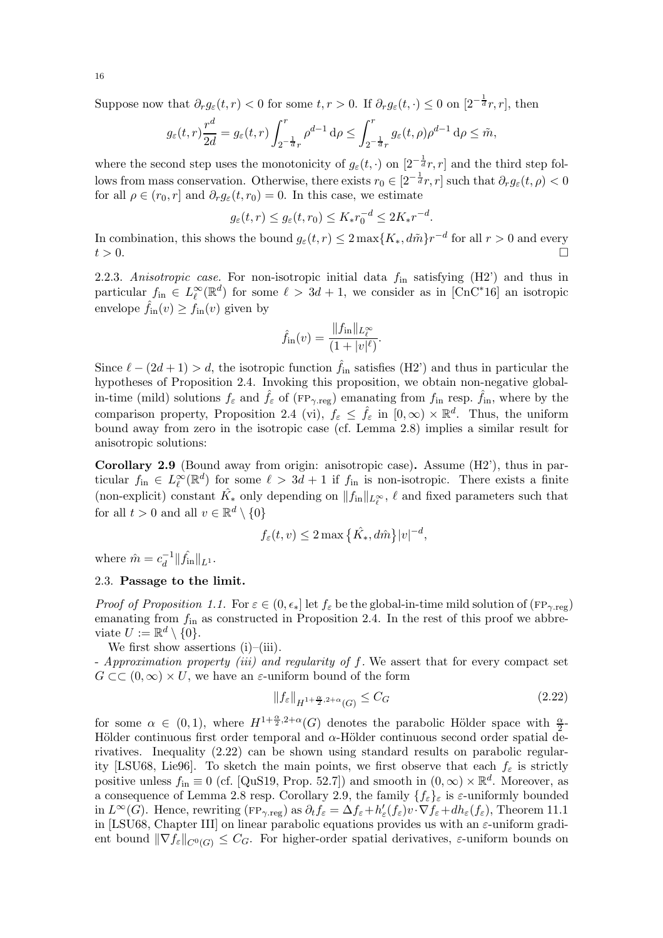Suppose now that  $\partial_r g_\varepsilon(t,r) < 0$  for some  $t, r > 0$ . If  $\partial_r g_\varepsilon(t, \cdot) \leq 0$  on  $[2^{-\frac{1}{d}}r, r]$ , then

$$
g_{\varepsilon}(t,r)\frac{r^d}{2d} = g_{\varepsilon}(t,r) \int_{2^{-\frac{1}{d}}r}^{r} \rho^{d-1} d\rho \le \int_{2^{-\frac{1}{d}}r}^{r} g_{\varepsilon}(t,\rho)\rho^{d-1} d\rho \le \tilde{m},
$$

where the second step uses the monotonicity of  $g_{\varepsilon}(t, \cdot)$  on  $[2^{-\frac{1}{d}}r, r]$  and the third step follows from mass conservation. Otherwise, there exists  $r_0 \in [2^{-\frac{1}{d}}r, r]$  such that  $\partial_r g_{\varepsilon}(t, \rho) < 0$ for all  $\rho \in (r_0, r]$  and  $\partial_r g_\varepsilon(t, r_0) = 0$ . In this case, we estimate

$$
g_{\varepsilon}(t,r) \le g_{\varepsilon}(t,r_0) \le K_* r_0^{-d} \le 2K_* r^{-d}.
$$

In combination, this shows the bound  $g_{\varepsilon}(t,r) \leq 2 \max\{K_*, d\tilde{m}\}r^{-d}$  for all  $r > 0$  and every  $t > 0$ .

<span id="page-15-3"></span>2.2.3. *Anisotropic case*. For non-isotropic initial data  $f_{\text{in}}$  satisfying [\(H2'\)](#page-11-2) and thus in particular  $f_{\text{in}} \in L^{\infty}_{\ell}(\mathbb{R}^d)$  for some  $\ell > 3d + 1$ , we consider as in [\[CnC](#page-33-10)\*16] an isotropic envelope  $\hat{f}_{in}(v) \ge f_{in}(v)$  given by

$$
\hat{f}_{\rm in}(v) = \frac{\|f_{\rm in}\|_{L_{\ell}^{\infty}}}{(1+|v|^{\ell})}.
$$

Since  $\ell - (2d + 1) > d$ , the isotropic function  $\hat{f}_{in}$  satisfies [\(H2'\)](#page-11-2) and thus in particular the hypotheses of Proposition [2.4.](#page-10-0) Invoking this proposition, we obtain non-negative globalin-time (mild) solutions  $f_{\varepsilon}$  and  $\hat{f}_{\varepsilon}$  of (FP<sub> $\gamma$ </sub> reg) emanating from  $f_{\rm in}$  resp.  $\hat{f}_{\rm in}$ , where by the comparison property, Proposition [2.4](#page-10-0) [\(vi\),](#page-8-2)  $f_{\varepsilon} \leq \hat{f}_{\varepsilon}$  in  $[0,\infty) \times \mathbb{R}^d$ . Thus, the uniform bound away from zero in the isotropic case (cf. Lemma [2.8\)](#page-14-1) implies a similar result for anisotropic solutions:

<span id="page-15-2"></span>**Corollary 2.9** (Bound away from origin: anisotropic case). Assume  $(H2)$ , thus in particular  $f_{\text{in}} \in L^{\infty}_{\ell}(\mathbb{R}^d)$  for some  $\ell > 3d + 1$  if  $f_{\text{in}}$  is non-isotropic. There exists a finite (non-explicit) constant  $\hat{K}_*$  only depending on  $||f_{in}||_{L^{\infty}_{\ell}}, \ell$  and fixed parameters such that for all  $t > 0$  and all  $v \in \mathbb{R}^d \setminus \{0\}$ 

$$
f_{\varepsilon}(t,v) \le 2 \max \left\{ \hat{K}_*, d\hat{m} \right\} |v|^{-d},
$$

where  $\hat{m} = c_d^{-1}$  $\hat{d}^{-1}$   $\|\hat{f}_{\text{in}}\|_{L^1}$ .

# <span id="page-15-0"></span>2.3. Passage to the limit.

*Proof of Proposition [1.1.](#page-3-5)* For  $\varepsilon \in (0, \epsilon_*]$  let  $f_{\varepsilon}$  be the global-in-time mild solution of ( $FP_{\gamma, reg}$ ) emanating from  $f_{\text{in}}$  as constructed in Proposition [2.4.](#page-10-0) In the rest of this proof we abbreviate  $U := \mathbb{R}^d \setminus \{0\}.$ 

We first show assertions  $(i)$ – $(iii)$ .

- *Approximation property [\(iii\)](#page-3-3) and regularity of* f*.* We assert that for every compact set  $G \subset \subset (0,\infty) \times U$ , we have an  $\varepsilon$ -uniform bound of the form

<span id="page-15-1"></span>
$$
\|f_{\varepsilon}\|_{H^{1+\frac{\alpha}{2},2+\alpha}(G)} \le C_G \tag{2.22}
$$

for some  $\alpha \in (0,1)$ , where  $H^{1+\frac{\alpha}{2},2+\alpha}(G)$  denotes the parabolic Hölder space with  $\frac{\alpha}{2}$ -Hölder continuous first order temporal and  $\alpha$ -Hölder continuous second order spatial derivatives. Inequality [\(2.22\)](#page-15-1) can be shown using standard results on parabolic regular-ity [\[LSU68,](#page-34-5) [Lie96\]](#page-34-7). To sketch the main points, we first observe that each  $f_{\varepsilon}$  is strictly positive unless  $f_{\text{in}} \equiv 0$  (cf. [\[QuS19,](#page-34-6) Prop. 52.7]) and smooth in  $(0, \infty) \times \mathbb{R}^d$ . Moreover, as a consequence of Lemma [2.8](#page-14-1) resp. Corollary [2.9,](#page-15-2) the family  $\{f_{\varepsilon}\}_{\varepsilon}$  is  $\varepsilon$ -uniformly bounded in  $L^{\infty}(G)$ . Hence, rewriting (FP<sub>γ.reg</sub>) as  $\partial_t f_{\varepsilon} = \Delta f_{\varepsilon} + h'_{\varepsilon}(f_{\varepsilon})v \cdot \nabla f_{\varepsilon} + dh_{\varepsilon}(f_{\varepsilon})$ , Theorem 11.1 in [\[LSU68,](#page-34-5) Chapter III] on linear parabolic equations provides us with an  $\varepsilon$ -uniform gradient bound  $\|\nabla f_{\varepsilon}\|_{C^0(G)} \leq C_G$ . For higher-order spatial derivatives,  $\varepsilon$ -uniform bounds on

16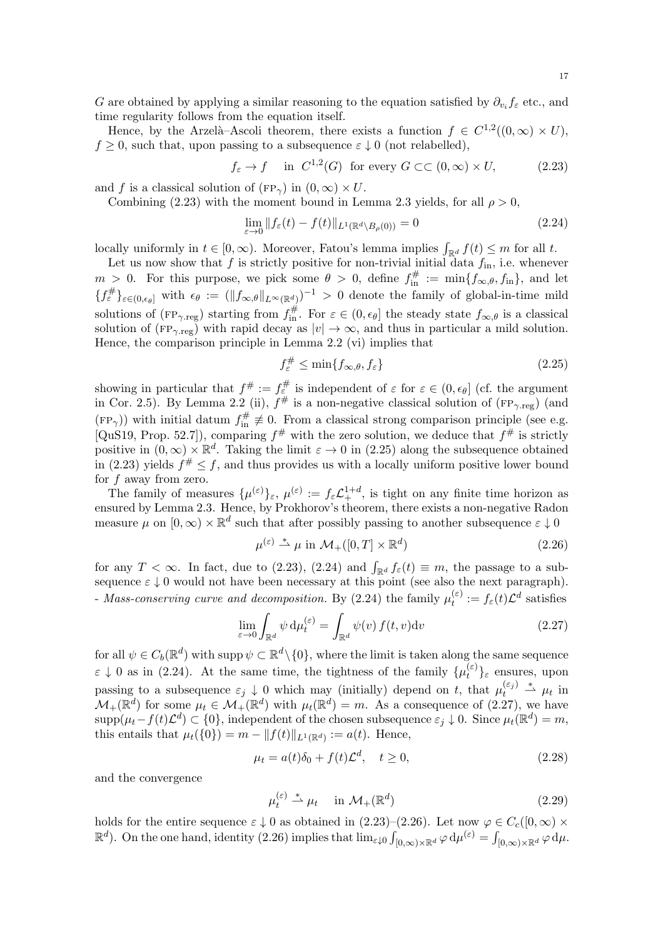G are obtained by applying a similar reasoning to the equation satisfied by  $\partial_{v_i} f_\varepsilon$  etc., and time regularity follows from the equation itself.

Hence, by the Arzelà–Ascoli theorem, there exists a function  $f \in C^{1,2}((0,\infty) \times U)$ ,  $f \geq 0$ , such that, upon passing to a subsequence  $\varepsilon \downarrow 0$  (not relabelled),

$$
f_{\varepsilon} \to f
$$
 in  $C^{1,2}(G)$  for every  $G \subset\subset (0,\infty) \times U$ , (2.23)

and f is a classical solution of  $(\text{FP}_{\gamma})$  in  $(0,\infty) \times U$ .

Combining [\(2.23\)](#page-16-0) with the moment bound in Lemma [2.3](#page-9-1) yields, for all  $\rho > 0$ ,

<span id="page-16-2"></span><span id="page-16-0"></span>
$$
\lim_{\varepsilon \to 0} \|f_{\varepsilon}(t) - f(t)\|_{L^{1}(\mathbb{R}^{d} \setminus B_{\rho}(0))} = 0
$$
\n(2.24)

locally uniformly in  $t \in [0, \infty)$ . Moreover, Fatou's lemma implies  $\int_{\mathbb{R}^d} f(t) \leq m$  for all t.

Let us now show that f is strictly positive for non-trivial initial data  $f_{\text{in}}$ , i.e. whenever  $m > 0$ . For this purpose, we pick some  $\theta > 0$ , define  $f_{\text{in}}^{\#} := \min\{f_{\infty,\theta}, f_{\text{in}}\}$ , and let  ${f_{\varepsilon}^{\#}}_{\varepsilon\in(0,\epsilon_{\theta}]}\nightharpoonup \text{with}\nightharpoonup \epsilon_{\theta} := (\|f_{\infty,\theta}\|_{L^{\infty}(\mathbb{R}^d)})^{-1} > 0$  denote the family of global-in-time mild solutions of ( $FP_{\gamma \text{reg}}$ ) starting from  $f_{\text{in}}^{\#}$ . For  $\varepsilon \in (0, \epsilon_{\theta}]$  the steady state  $f_{\infty,\theta}$  is a classical solution of ( $FP_{\gamma,reg}$ ) with rapid decay as  $|v| \to \infty$ , and thus in particular a mild solution. Hence, the comparison principle in Lemma [2.2](#page-8-0) [\(vi\)](#page-8-2) implies that

<span id="page-16-1"></span>
$$
f_{\varepsilon}^{\#} \le \min\{f_{\infty,\theta}, f_{\varepsilon}\}\tag{2.25}
$$

showing in particular that  $f^{\#} := f_{\varepsilon}^{\#}$  is independent of  $\varepsilon$  for  $\varepsilon \in (0, \epsilon_{\theta}]$  (cf. the argument in Cor. [2.5\)](#page-11-0). By Lemma [2.2](#page-8-0) [\(ii\),](#page-8-4)  $f^{\#}$  is a non-negative classical solution of (FP<sub> $\gamma$ ·reg)</sub> (and  $(FP_{\gamma})$ ) with initial datum  $f_{\text{in}}^{\#} \neq 0$ . From a classical strong comparison principle (see e.g. [\[QuS19,](#page-34-6) Prop. 52.7]), comparing  $f^{\#}$  with the zero solution, we deduce that  $f^{\#}$  is strictly positive in  $(0, \infty) \times \mathbb{R}^d$ . Taking the limit  $\varepsilon \to 0$  in [\(2.25\)](#page-16-1) along the subsequence obtained in [\(2.23\)](#page-16-0) yields  $f^{\#} \leq f$ , and thus provides us with a locally uniform positive lower bound for  $f$  away from zero.

The family of measures  $\{\mu^{(\varepsilon)}\}_\varepsilon$ ,  $\mu^{(\varepsilon)} := f_\varepsilon \mathcal{L}^{1+d}_+$ , is tight on any finite time horizon as ensured by Lemma [2.3.](#page-9-1) Hence, by Prokhorov's theorem, there exists a non-negative Radon measure  $\mu$  on  $[0, \infty) \times \mathbb{R}^d$  such that after possibly passing to another subsequence  $\varepsilon \downarrow 0$ 

<span id="page-16-4"></span><span id="page-16-3"></span>
$$
\mu^{(\varepsilon)} \stackrel{*}{\rightharpoonup} \mu \text{ in } \mathcal{M}_+([0, T] \times \mathbb{R}^d) \tag{2.26}
$$

for any  $T < \infty$ . In fact, due to [\(2.23\)](#page-16-0), [\(2.24\)](#page-16-2) and  $\int_{\mathbb{R}^d} f_{\varepsilon}(t) \equiv m$ , the passage to a subsequence  $\varepsilon \downarrow 0$  would not have been necessary at this point (see also the next paragraph). - *Mass-conserving curve and decomposition*. By [\(2.24\)](#page-16-2) the family  $\mu_t^{(\varepsilon)}$  $t^{(\varepsilon)}_t := f_{\varepsilon}(t)\mathcal{L}^d$  satisfies

$$
\lim_{\varepsilon \to 0} \int_{\mathbb{R}^d} \psi \, \mathrm{d}\mu_t^{(\varepsilon)} = \int_{\mathbb{R}^d} \psi(v) \, f(t, v) \mathrm{d}v \tag{2.27}
$$

for all  $\psi \in C_b(\mathbb{R}^d)$  with supp  $\psi \subset \mathbb{R}^d \setminus \{0\}$ , where the limit is taken along the same sequence  $\varepsilon \downarrow 0$  as in [\(2.24\)](#page-16-2). At the same time, the tightness of the family  $\{\mu_t^{(\varepsilon)}\}$  $\{e^{i\epsilon}\}_\epsilon$  ensures, upon passing to a subsequence  $\varepsilon_j \downarrow 0$  which may (initially) depend on t, that  $\mu_t^{(\varepsilon_j)}$  $t_t^{(\varepsilon_j)} \stackrel{*}{\rightharpoonup} \mu_t$  in  $\mathcal{M}_{+}(\mathbb{R}^{d})$  for some  $\mu_{t} \in \mathcal{M}_{+}(\mathbb{R}^{d})$  with  $\mu_{t}(\mathbb{R}^{d}) = m$ . As a consequence of [\(2.27\)](#page-16-3), we have  $\text{supp}(\mu_t - f(t)\mathcal{L}^d) \subset \{0\},\$ independent of the chosen subsequence  $\varepsilon_j \downarrow 0$ . Since  $\mu_t(\mathbb{R}^d) = m$ , this entails that  $\mu_t({0}) = m - ||f(t)||_{L^1(\mathbb{R}^d)} := a(t)$ . Hence,

$$
\mu_t = a(t)\delta_0 + f(t)\mathcal{L}^d, \quad t \ge 0,
$$
\n(2.28)

and the convergence

<span id="page-16-6"></span><span id="page-16-5"></span>
$$
\mu_t^{(\varepsilon)} \stackrel{*}{\rightharpoonup} \mu_t \quad \text{in } \mathcal{M}_+(\mathbb{R}^d) \tag{2.29}
$$

holds for the entire sequence  $\varepsilon \downarrow 0$  as obtained in [\(2.23\)](#page-16-0)–[\(2.26\)](#page-16-4). Let now  $\varphi \in C_c([0,\infty) \times$  $\mathbb{R}^d$ ). On the one hand, identity [\(2.26\)](#page-16-4) implies that  $\lim_{\varepsilon \downarrow 0} \int_{[0,\infty) \times \mathbb{R}^d} \varphi \, d\mu^{(\varepsilon)} = \int_{[0,\infty) \times \mathbb{R}^d} \varphi \, d\mu$ .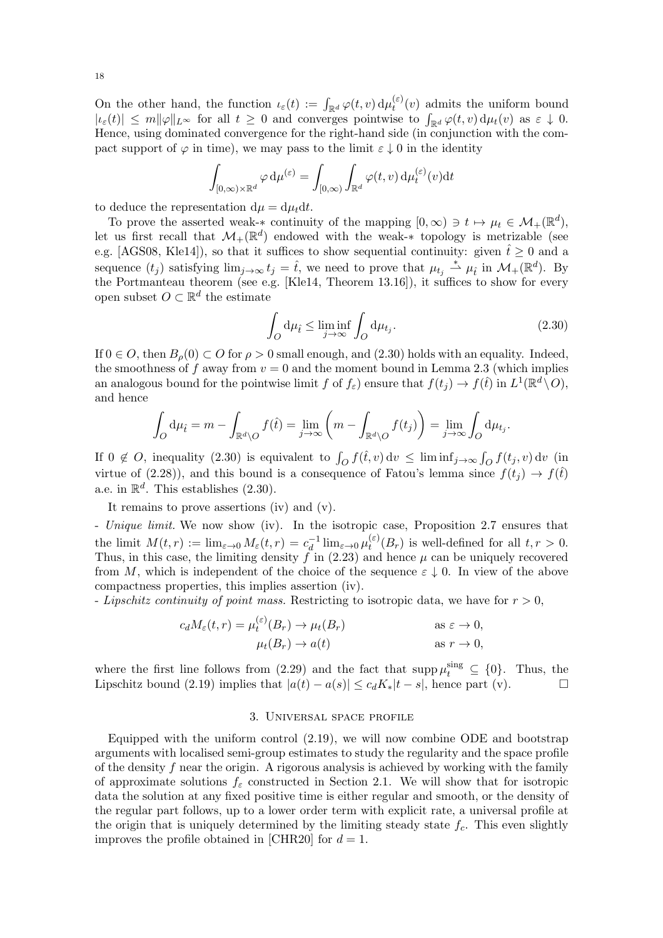On the other hand, the function  $\iota_{\varepsilon}(t) := \int_{\mathbb{R}^d} \varphi(t,v) d\mu_t^{(\varepsilon)}$  $t_t^{(e)}(v)$  admits the uniform bound  $|\iota_{\varepsilon}(t)| \leq m \|\varphi\|_{L^{\infty}}$  for all  $t \geq 0$  and converges pointwise to  $\int_{\mathbb{R}^d} \varphi(t, v) d\mu_t(v)$  as  $\varepsilon \downarrow 0$ . Hence, using dominated convergence for the right-hand side (in conjunction with the compact support of  $\varphi$  in time), we may pass to the limit  $\varepsilon \downarrow 0$  in the identity

$$
\int_{[0,\infty)\times\mathbb{R}^d} \varphi \,d\mu^{(\varepsilon)} = \int_{[0,\infty)} \int_{\mathbb{R}^d} \varphi(t,v) \,d\mu_t^{(\varepsilon)}(v) \mathrm{d}t
$$

to deduce the representation  $d\mu = d\mu_t dt$ .

To prove the asserted weak-\* continuity of the mapping  $[0, \infty) \ni t \mapsto \mu_t \in \mathcal{M}_+(\mathbb{R}^d)$ , let us first recall that  $\mathcal{M}_{+}(\mathbb{R}^{d})$  endowed with the weak-\* topology is metrizable (see e.g. [\[AGS08,](#page-33-22) [Kle14\]](#page-33-23)), so that it suffices to show sequential continuity: given  $\hat{t} \geq 0$  and a sequence  $(t_j)$  satisfying  $\lim_{j\to\infty} t_j = \hat{t}$ , we need to prove that  $\mu_{t_j} \stackrel{*}{\rightharpoonup} \mu_{\hat{t}}$  in  $\mathcal{M}_+(\mathbb{R}^d)$ . By the Portmanteau theorem (see e.g. [\[Kle14,](#page-33-23) Theorem 13.16]), it suffices to show for every open subset  $O \subset \mathbb{R}^d$  the estimate

<span id="page-17-1"></span>
$$
\int_{O} d\mu_{\hat{t}} \le \liminf_{j \to \infty} \int_{O} d\mu_{t_j}.
$$
\n(2.30)

If  $0 \in O$ , then  $B_{\rho}(0) \subset O$  for  $\rho > 0$  small enough, and [\(2.30\)](#page-17-1) holds with an equality. Indeed, the smoothness of f away from  $v = 0$  and the moment bound in Lemma [2.3](#page-9-1) (which implies an analogous bound for the pointwise limit f of  $f_{\varepsilon}$ ) ensure that  $f(t_j) \to f(\hat{t})$  in  $L^1(\mathbb{R}^d \setminus O)$ , and hence

$$
\int_O d\mu_{\hat{t}} = m - \int_{\mathbb{R}^d \setminus O} f(\hat{t}) = \lim_{j \to \infty} \left( m - \int_{\mathbb{R}^d \setminus O} f(t_j) \right) = \lim_{j \to \infty} \int_O d\mu_{t_j}.
$$

If  $0 \notin O$ , inequality  $(2.30)$  is equivalent to  $\int_O f(\hat{t}, v) dv \leq \liminf_{j \to \infty} \int_O f(t_j, v) dv$  (in virtue of [\(2.28\)](#page-16-5)), and this bound is a consequence of Fatou's lemma since  $f(t_j) \rightarrow f(\hat{t})$ a.e. in  $\mathbb{R}^d$ . This establishes  $(2.30)$ .

It remains to prove assertions [\(iv\)](#page-3-7) and [\(v\).](#page-3-8)

- *Unique limit.* We now show [\(iv\).](#page-3-7) In the isotropic case, Proposition [2.7](#page-14-2) ensures that the limit  $M(t,r) := \lim_{\varepsilon \to 0} M_{\varepsilon}(t,r) = c_d^{-1}$  $\frac{1}{d}$ lim<sub>ε→0</sub> μ<sup>(ε)</sup>  $t_t^{(0)}(B_r)$  is well-defined for all  $t, r > 0$ . Thus, in this case, the limiting density  $\ddot{f}$  in [\(2.23\)](#page-16-0) and hence  $\mu$  can be uniquely recovered from M, which is independent of the choice of the sequence  $\varepsilon \downarrow 0$ . In view of the above compactness properties, this implies assertion [\(iv\).](#page-3-7)

- *Lipschitz continuity of point mass.* Restricting to isotropic data, we have for  $r > 0$ ,

$$
c_d M_{\varepsilon}(t, r) = \mu_t^{(\varepsilon)}(B_r) \to \mu_t(B_r) \quad \text{as } \varepsilon \to 0,
$$
  

$$
\mu_t(B_r) \to a(t) \quad \text{as } r \to 0,
$$

where the first line follows from  $(2.29)$  and the fact that supp  $\mu_t^{\text{sing}} \subseteq \{0\}$ . Thus, the Lipschitz bound [\(2.19\)](#page-12-8) implies that  $|a(t) - a(s)| \leq c_d K_* |t - s|$ , hence part [\(v\).](#page-3-8)

#### 3. Universal space profile

<span id="page-17-0"></span>Equipped with the uniform control [\(2.19\)](#page-12-8), we will now combine ODE and bootstrap arguments with localised semi-group estimates to study the regularity and the space profile of the density  $f$  near the origin. A rigorous analysis is achieved by working with the family of approximate solutions  $f_{\varepsilon}$  constructed in Section [2.1.](#page-6-1) We will show that for isotropic data the solution at any fixed positive time is either regular and smooth, or the density of the regular part follows, up to a lower order term with explicit rate, a universal profile at the origin that is uniquely determined by the limiting steady state  $f_c$ . This even slightly improves the profile obtained in [\[CHR20\]](#page-33-9) for  $d = 1$ .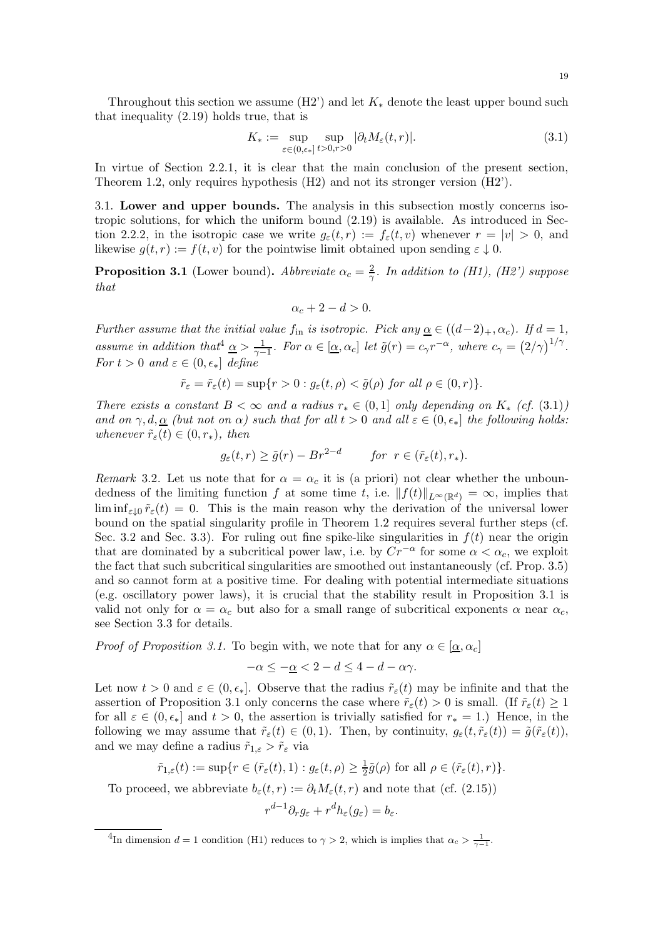Throughout this section we assume  $(H2')$  and let  $K_*$  denote the least upper bound such that inequality [\(2.19\)](#page-12-8) holds true, that is

<span id="page-18-2"></span>
$$
K_* := \sup_{\varepsilon \in (0,\epsilon_*]}\sup_{t>0,r>0} |\partial_t M_{\varepsilon}(t,r)|. \tag{3.1}
$$

In virtue of Section [2.2.1,](#page-11-2) it is clear that the main conclusion of the present section, Theorem [1.2,](#page-4-1) only requires hypothesis [\(H2\)](#page-2-0) and not its stronger version [\(H2'\).](#page-11-2)

3.1. Lower and upper bounds. The analysis in this subsection mostly concerns isotropic solutions, for which the uniform bound [\(2.19\)](#page-12-8) is available. As introduced in Sec-tion [2.2.2,](#page-12-9) in the isotropic case we write  $g_{\varepsilon}(t,r) := f_{\varepsilon}(t,v)$  whenever  $r = |v| > 0$ , and likewise  $g(t, r) := f(t, v)$  for the pointwise limit obtained upon sending  $\varepsilon \downarrow 0$ .

<span id="page-18-3"></span>**Proposition 3.1** (Lower bound). Abbreviate  $\alpha_c = \frac{2}{\gamma}$  $\frac{2}{\gamma}$ *. In addition to [\(H1\),](#page-2-1) [\(H2'\)](#page-11-2) suppose that*

$$
\alpha_c + 2 - d > 0.
$$

*Further assume that the initial value*  $f_{\text{in}}$  *is isotropic. Pick any*  $\underline{\alpha} \in ((d-2)_+, \alpha_c)$ *. If*  $d = 1$ *,* assume in addition that  $\underline{\alpha} > \frac{1}{\gamma - 1}$ . For  $\alpha \in [\underline{\alpha}, \alpha_c]$  let  $\tilde{g}(r) = c_\gamma r^{-\alpha}$ , where  $c_\gamma = (2/\gamma)^{1/\gamma}$ . *For*  $t > 0$  *and*  $\varepsilon \in (0, \epsilon_*]$  *define* 

$$
\tilde{r}_{\varepsilon} = \tilde{r}_{\varepsilon}(t) = \sup\{r > 0 : g_{\varepsilon}(t,\rho) < \tilde{g}(\rho) \text{ for all } \rho \in (0,r)\}.
$$

*There exists a constant*  $B < \infty$  *and a radius*  $r_* \in (0,1]$  *only depending on*  $K_*$  *(cf.* [\(3.1\)](#page-18-2)*) and on*  $\gamma$ ,  $d, \underline{\alpha}$  *(but not on*  $\alpha$ *) such that for all*  $t > 0$  *and all*  $\varepsilon \in (0, \epsilon_*)$  *the following holds: whenever*  $\tilde{r}_{\varepsilon}(t) \in (0, r_*)$ , then

$$
g_{\varepsilon}(t,r) \ge \tilde{g}(r) - Br^{2-d}
$$
 for  $r \in (\tilde{r}_{\varepsilon}(t), r_*)$ .

<span id="page-18-0"></span>*Remark* 3.2. Let us note that for  $\alpha = \alpha_c$  it is (a priori) not clear whether the unboundedness of the limiting function f at some time t, i.e.  $||f(t)||_{L^{\infty}(\mathbb{R}^d)} = \infty$ , implies that  $\liminf_{\varepsilon\to 0} \tilde{r}_{\varepsilon}(t) = 0$ . This is the main reason why the derivation of the universal lower bound on the spatial singularity profile in Theorem [1.2](#page-4-1) requires several further steps (cf. Sec. [3.2](#page-21-1) and Sec. [3.3\)](#page-25-0). For ruling out fine spike-like singularities in  $f(t)$  near the origin that are dominated by a subcritical power law, i.e. by  $Cr^{-\alpha}$  for some  $\alpha < \alpha_c$ , we exploit the fact that such subcritical singularities are smoothed out instantaneously (cf. Prop. [3.5\)](#page-21-2) and so cannot form at a positive time. For dealing with potential intermediate situations (e.g. oscillatory power laws), it is crucial that the stability result in Proposition [3.1](#page-18-3) is valid not only for  $\alpha = \alpha_c$  but also for a small range of subcritical exponents  $\alpha$  near  $\alpha_c$ , see Section [3.3](#page-25-0) for details.

*Proof of Proposition [3.1.](#page-18-3)* To begin with, we note that for any  $\alpha \in [\alpha, \alpha_c]$ 

$$
-\alpha \le -\underline{\alpha} < 2 - d \le 4 - d - \alpha \gamma.
$$

Let now  $t > 0$  and  $\varepsilon \in (0, \epsilon_*]$ . Observe that the radius  $\tilde{r}_\varepsilon(t)$  may be infinite and that the assertion of Proposition [3.1](#page-18-3) only concerns the case where  $\tilde{r}_\varepsilon(t) > 0$  is small. (If  $\tilde{r}_\varepsilon(t) \geq 1$ for all  $\varepsilon \in (0, \epsilon_*]$  and  $t > 0$ , the assertion is trivially satisfied for  $r_* = 1$ .) Hence, in the following we may assume that  $\tilde{r}_{\varepsilon}(t) \in (0,1)$ . Then, by continuity,  $g_{\varepsilon}(t, \tilde{r}_{\varepsilon}(t)) = \tilde{g}(\tilde{r}_{\varepsilon}(t)),$ and we may define a radius  $\tilde{r}_{1,\varepsilon} > \tilde{r}_{\varepsilon}$  via

$$
\tilde{r}_{1,\varepsilon}(t) := \sup\{r \in (\tilde{r}_{\varepsilon}(t),1) : g_{\varepsilon}(t,\rho) \ge \frac{1}{2}\tilde{g}(\rho) \text{ for all } \rho \in (\tilde{r}_{\varepsilon}(t),r)\}.
$$

To proceed, we abbreviate  $b_{\varepsilon}(t,r) := \partial_t M_{\varepsilon}(t,r)$  and note that (cf. [\(2.15\)](#page-12-2))

$$
r^{d-1}\partial_r g_{\varepsilon} + r^d h_{\varepsilon}(g_{\varepsilon}) = b_{\varepsilon}.
$$

<span id="page-18-1"></span><sup>&</sup>lt;sup>4</sup>In dimension  $d = 1$  condition [\(H1\)](#page-2-1) reduces to  $\gamma > 2$ , which is implies that  $\alpha_c > \frac{1}{\gamma - 1}$ .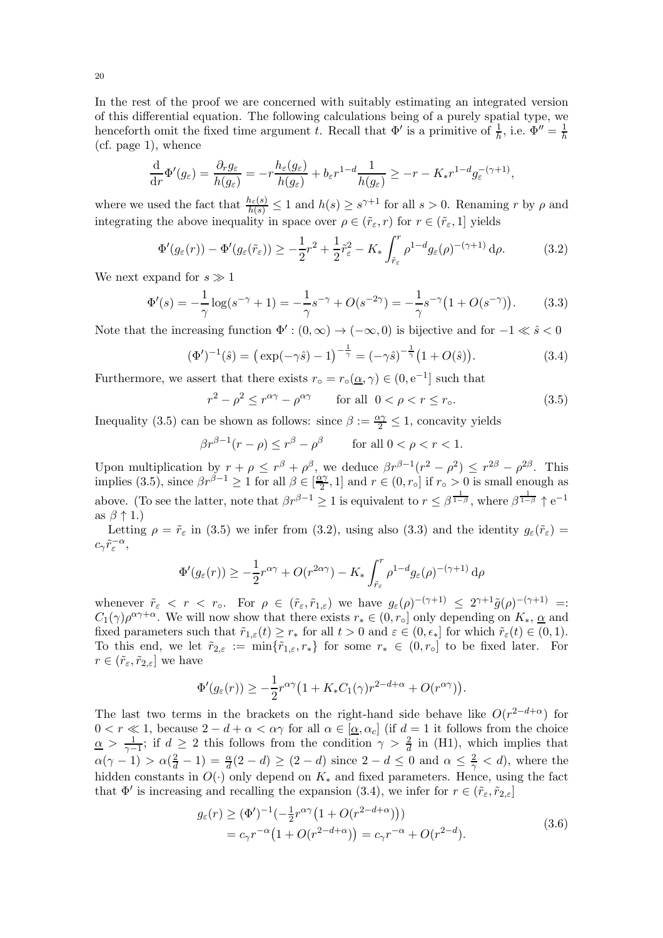In the rest of the proof we are concerned with suitably estimating an integrated version of this differential equation. The following calculations being of a purely spatial type, we henceforth omit the fixed time argument t. Recall that  $\Phi'$  is a primitive of  $\frac{1}{h}$ , i.e.  $\Phi'' = \frac{1}{h}$ h (cf. page [1\)](#page-0-1), whence

$$
\frac{\mathrm{d}}{\mathrm{d}r}\Phi'(g_{\varepsilon}) = \frac{\partial_r g_{\varepsilon}}{h(g_{\varepsilon})} = -r \frac{h_{\varepsilon}(g_{\varepsilon})}{h(g_{\varepsilon})} + b_{\varepsilon} r^{1-d} \frac{1}{h(g_{\varepsilon})} \geq -r - K_* r^{1-d} g_{\varepsilon}^{-(\gamma+1)},
$$

where we used the fact that  $\frac{h_{\varepsilon}(s)}{h(s)} \leq 1$  and  $h(s) \geq s^{\gamma+1}$  for all  $s > 0$ . Renaming r by  $\rho$  and integrating the above inequality in space over  $\rho\in (\tilde{r}_\varepsilon,r)$  for  $r\in (\tilde{r}_\varepsilon,1]$  yields

$$
\Phi'(g_{\varepsilon}(r)) - \Phi'(g_{\varepsilon}(\tilde{r}_{\varepsilon})) \ge -\frac{1}{2}r^2 + \frac{1}{2}\tilde{r}_{\varepsilon}^2 - K_* \int_{\tilde{r}_{\varepsilon}}^r \rho^{1-d} g_{\varepsilon}(\rho)^{-(\gamma+1)} d\rho.
$$
 (3.2)

We next expand for  $s \gg 1$ 

$$
\Phi'(s) = -\frac{1}{\gamma} \log(s^{-\gamma} + 1) = -\frac{1}{\gamma} s^{-\gamma} + O(s^{-2\gamma}) = -\frac{1}{\gamma} s^{-\gamma} \left( 1 + O(s^{-\gamma}) \right). \tag{3.3}
$$

Note that the increasing function  $\Phi': (0, \infty) \to (-\infty, 0)$  is bijective and for  $-1 \ll \hat{s} < 0$ 

$$
(\Phi')^{-1}(\hat{s}) = \left(\exp(-\gamma \hat{s}) - 1\right)^{-\frac{1}{\gamma}} = (-\gamma \hat{s})^{-\frac{1}{\gamma}} \left(1 + O(\hat{s})\right). \tag{3.4}
$$

Furthermore, we assert that there exists  $r_0 = r_0(\underline{\alpha}, \gamma) \in (0, e^{-1}]$  such that

<span id="page-19-3"></span><span id="page-19-2"></span><span id="page-19-1"></span><span id="page-19-0"></span>
$$
r^2 - \rho^2 \le r^{\alpha \gamma} - \rho^{\alpha \gamma} \qquad \text{for all } 0 < \rho < r \le r_\text{o}.\tag{3.5}
$$

Inequality [\(3.5\)](#page-19-0) can be shown as follows: since  $\beta := \frac{\alpha \gamma}{2} \leq 1$ , concavity yields

 $\beta r^{\beta-1}(r-\rho) \leq r^{\beta} - \rho^{\beta}$  for all  $0 < \rho < r < 1$ .

Upon multiplication by  $r + \rho \leq r^{\beta} + \rho^{\beta}$ , we deduce  $\beta r^{\beta-1}(r^2 - \rho^2) \leq r^{2\beta} - \rho^{2\beta}$ . This implies [\(3.5\)](#page-19-0), since  $\beta r^{\beta - 1} \ge 1$  for all  $\beta \in \left[\frac{\alpha \gamma}{2}\right]$  $\left[\frac{y}{2}, 1\right]$  and  $r \in (0, r_{\circ}]$  if  $r_{\circ} > 0$  is small enough as above. (To see the latter, note that  $\beta r^{\beta-1} \geq 1$  is equivalent to  $r \leq \beta^{\frac{1}{1-\beta}}$ , where  $\beta^{\frac{1}{1-\beta}} \uparrow e^{-1}$ as  $\beta \uparrow 1$ .)

Letting  $\rho = \tilde{r}_{\varepsilon}$  in [\(3.5\)](#page-19-0) we infer from [\(3.2\)](#page-19-1), using also [\(3.3\)](#page-19-2) and the identity  $g_{\varepsilon}(\tilde{r}_{\varepsilon}) =$  $c_{\gamma} \tilde{r}_{\varepsilon}^{-\alpha},$ 

$$
\Phi'(g_{\varepsilon}(r)) \geq -\frac{1}{2}r^{\alpha\gamma} + O(r^{2\alpha\gamma}) - K_{*} \int_{\tilde{r}_{\varepsilon}}^{r} \rho^{1-d} g_{\varepsilon}(\rho)^{-(\gamma+1)} d\rho
$$

whenever  $\tilde{r}_{\varepsilon} < r < r_{\circ}$ . For  $\rho \in (\tilde{r}_{\varepsilon}, \tilde{r}_{1,\varepsilon})$  we have  $g_{\varepsilon}(\rho)^{-(\gamma+1)} \leq 2^{\gamma+1}\tilde{g}(\rho)^{-(\gamma+1)} =$  $C_1(\gamma)\rho^{\alpha\gamma+\alpha}$ . We will now show that there exists  $r_* \in (0, r_\circ]$  only depending on  $K_*$ ,  $\alpha$  and fixed parameters such that  $\tilde{r}_{1,\varepsilon}(t) \geq r_*$  for all  $t > 0$  and  $\varepsilon \in (0, \epsilon_*]$  for which  $\tilde{r}_{\varepsilon}(t) \in (0, 1)$ . To this end, we let  $\tilde{r}_{2,\varepsilon} := \min\{\tilde{r}_{1,\varepsilon}, r_*\}$  for some  $r_* \in (0, r_\circ]$  to be fixed later. For  $r \in (\tilde{r}_{\varepsilon}, \tilde{r}_{2, \varepsilon}]$  we have

$$
\Phi'(g_{\varepsilon}(r)) \geq -\frac{1}{2}r^{\alpha\gamma}\big(1 + K_*C_1(\gamma)r^{2-d+\alpha} + O(r^{\alpha\gamma})\big).
$$

The last two terms in the brackets on the right-hand side behave like  $O(r^{2-d+\alpha})$  for  $0 < r \ll 1$ , because  $2 - d + \alpha < \alpha \gamma$  for all  $\alpha \in [\alpha, \alpha_c]$  (if  $d = 1$  it follows from the choice  $\alpha > \frac{1}{\gamma - 1}$  $\frac{1}{\gamma-1}$ ; if  $d \geq 2$  this follows from the condition  $\gamma > \frac{2}{d}$  in [\(H1\),](#page-2-1) which implies that  $\alpha(\gamma - 1) > \alpha(\frac{2}{d} - 1) = \frac{\alpha}{d}(2 - d) \ge (2 - d)$  since  $2 - d \le 0$  and  $\alpha \le \frac{2}{\gamma} < d$ , where the hidden constants in  $O(·)$  only depend on  $K_*$  and fixed parameters. Hence, using the fact that  $\Phi'$  is increasing and recalling the expansion [\(3.4\)](#page-19-3), we infer for  $r \in (\tilde{r}_{\varepsilon}, \tilde{r}_{2,\varepsilon}]$ 

<span id="page-19-4"></span>
$$
g_{\varepsilon}(r) \ge (\Phi')^{-1}(-\frac{1}{2}r^{\alpha\gamma}(1+O(r^{2-d+\alpha})))
$$
  
=  $c_{\gamma}r^{-\alpha}(1+O(r^{2-d+\alpha})) = c_{\gamma}r^{-\alpha} + O(r^{2-d}).$  (3.6)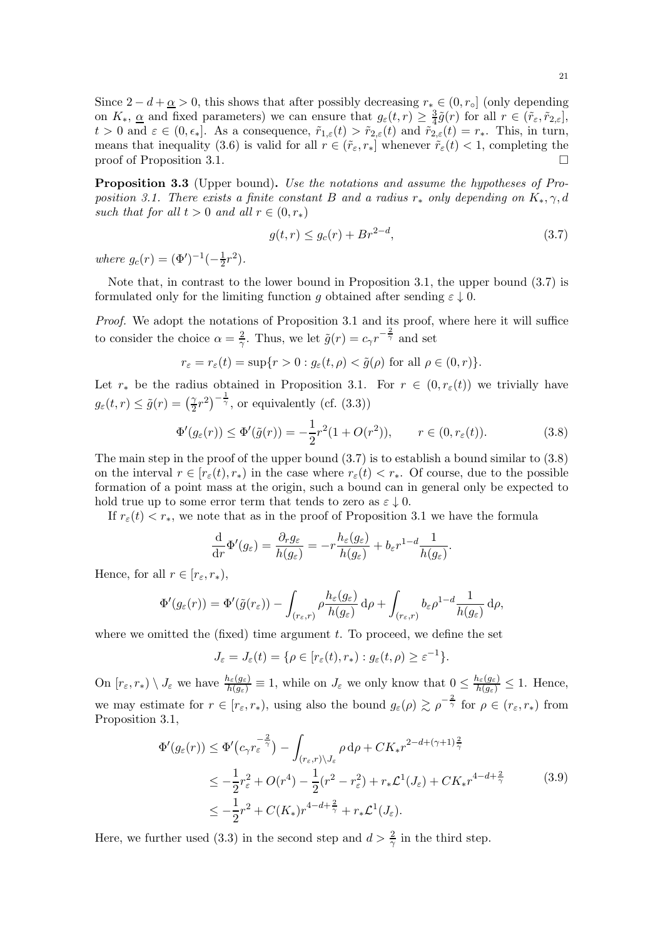Since  $2 - d + \underline{\alpha} > 0$ , this shows that after possibly decreasing  $r_* \in (0, r_{\circ}]$  (only depending on  $K_{*}$ ,  $\underline{\alpha}$  and fixed parameters) we can ensure that  $g_{\varepsilon}(t,r) \geq \frac{3}{4}\tilde{g}(r)$  for all  $r \in (\tilde{r}_{\varepsilon}, \tilde{r}_{2,\varepsilon}],$  $t > 0$  and  $\varepsilon \in (0, \epsilon_*]$ . As a consequence,  $\tilde{r}_{1,\varepsilon}(t) > \tilde{r}_{2,\varepsilon}(t)$  and  $\tilde{r}_{2,\varepsilon}(t) = r_*$ . This, in turn, means that inequality [\(3.6\)](#page-19-4) is valid for all  $r \in (\tilde{r}_{\varepsilon}, r_*]$  whenever  $\tilde{r}_{\varepsilon}(t) < 1$ , completing the proof of Proposition [3.1.](#page-18-3)

<span id="page-20-3"></span>Proposition 3.3 (Upper bound). *Use the notations and assume the hypotheses of Proposition* [3.1.](#page-18-3) There exists a finite constant B and a radius  $r_*$  only depending on  $K_*, \gamma, d$ *such that for all*  $t > 0$  *and all*  $r \in (0, r_*)$ 

<span id="page-20-1"></span><span id="page-20-0"></span>
$$
g(t,r) \le g_c(r) + Br^{2-d},\tag{3.7}
$$

*where*  $g_c(r) = (\Phi')^{-1}(-\frac{1}{2})$  $(\frac{1}{2}r^2)$ .

Note that, in contrast to the lower bound in Proposition [3.1,](#page-18-3) the upper bound [\(3.7\)](#page-20-0) is formulated only for the limiting function g obtained after sending  $\varepsilon \downarrow 0$ .

*Proof.* We adopt the notations of Proposition [3.1](#page-18-3) and its proof, where here it will suffice to consider the choice  $\alpha = \frac{2}{\gamma}$  $\frac{2}{\gamma}$ . Thus, we let  $\tilde{g}(r) = c_{\gamma} r^{-\frac{2}{\gamma}}$  and set

$$
r_{\varepsilon} = r_{\varepsilon}(t) = \sup\{r > 0 : g_{\varepsilon}(t,\rho) < \tilde{g}(\rho) \text{ for all } \rho \in (0,r)\}.
$$

Let  $r_*$  be the radius obtained in Proposition [3.1.](#page-18-3) For  $r \in (0, r_{{\varepsilon}}(t))$  we trivially have  $g_{\varepsilon}(t,r) \leq \tilde{g}(r) = \left(\frac{\gamma}{2}\right)$  $(\frac{\gamma}{2}r^2)^{-\frac{1}{\gamma}},$  or equivalently (cf. [\(3.3\)](#page-19-2))

$$
\Phi'(g_{\varepsilon}(r)) \le \Phi'(\tilde{g}(r)) = -\frac{1}{2}r^2(1 + O(r^2)), \qquad r \in (0, r_{\varepsilon}(t)).
$$
\n(3.8)

The main step in the proof of the upper bound  $(3.7)$  is to establish a bound similar to  $(3.8)$ on the interval  $r \in [r_{\varepsilon}(t), r_*)$  in the case where  $r_{\varepsilon}(t) < r_*$ . Of course, due to the possible formation of a point mass at the origin, such a bound can in general only be expected to hold true up to some error term that tends to zero as  $\varepsilon \downarrow 0$ .

If  $r_{\varepsilon}(t) < r_*$ , we note that as in the proof of Proposition [3.1](#page-18-3) we have the formula

$$
\frac{\mathrm{d}}{\mathrm{d}r}\Phi'(g_{\varepsilon}) = \frac{\partial_r g_{\varepsilon}}{h(g_{\varepsilon})} = -r \frac{h_{\varepsilon}(g_{\varepsilon})}{h(g_{\varepsilon})} + b_{\varepsilon} r^{1-d} \frac{1}{h(g_{\varepsilon})}.
$$

Hence, for all  $r \in [r_{\varepsilon}, r_*)$ ,

$$
\Phi'(g_{\varepsilon}(r)) = \Phi'(\tilde{g}(r_{\varepsilon})) - \int_{(r_{\varepsilon},r)} \rho \frac{h_{\varepsilon}(g_{\varepsilon})}{h(g_{\varepsilon})} d\rho + \int_{(r_{\varepsilon},r)} b_{\varepsilon} \rho^{1-d} \frac{1}{h(g_{\varepsilon})} d\rho,
$$

where we omitted the  $(fixed)$  time argument t. To proceed, we define the set

<span id="page-20-2"></span>
$$
J_{\varepsilon} = J_{\varepsilon}(t) = \{ \rho \in [r_{\varepsilon}(t), r_*) : g_{\varepsilon}(t, \rho) \geq \varepsilon^{-1} \}.
$$

On  $[r_{\varepsilon}, r_*) \setminus J_{\varepsilon}$  we have  $\frac{h_{\varepsilon}(g_{\varepsilon})}{h(g_{\varepsilon})} \equiv 1$ , while on  $J_{\varepsilon}$  we only know that  $0 \leq \frac{h_{\varepsilon}(g_{\varepsilon})}{h(g_{\varepsilon})} \leq 1$ . Hence, we may estimate for  $r \in [r_{\varepsilon}, r_*)$ , using also the bound  $g_{\varepsilon}(\rho) \gtrsim \rho^{-\frac{2}{\gamma}}$  for  $\rho \in (r_{\varepsilon}, r_*)$  from Proposition [3.1,](#page-18-3)

$$
\Phi'(g_{\varepsilon}(r)) \leq \Phi'(c_{\gamma}r_{\varepsilon}^{-\frac{2}{\gamma}}) - \int_{(r_{\varepsilon},r)\setminus J_{\varepsilon}} \rho \,d\rho + CK_{*}r^{2-d+(\gamma+1)\frac{2}{\gamma}} \n\leq -\frac{1}{2}r_{\varepsilon}^{2} + O(r^{4}) - \frac{1}{2}(r^{2} - r_{\varepsilon}^{2}) + r_{*}\mathcal{L}^{1}(J_{\varepsilon}) + CK_{*}r^{4-d+\frac{2}{\gamma}} \n\leq -\frac{1}{2}r^{2} + C(K_{*})r^{4-d+\frac{2}{\gamma}} + r_{*}\mathcal{L}^{1}(J_{\varepsilon}).
$$
\n(3.9)

Here, we further used [\(3.3\)](#page-19-2) in the second step and  $d > \frac{2}{\gamma}$  in the third step.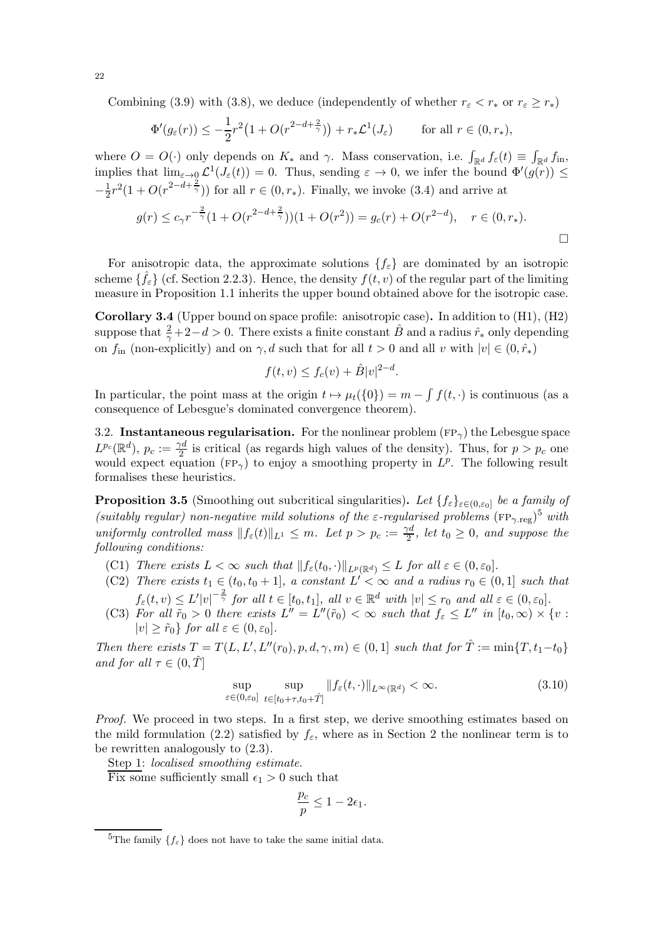Combining [\(3.9\)](#page-20-2) with [\(3.8\)](#page-20-1), we deduce (independently of whether  $r_{\varepsilon} < r_*$  or  $r_{\varepsilon} \geq r_*$ )

$$
\Phi'(g_{\varepsilon}(r)) \le -\frac{1}{2}r^2\left(1 + O(r^{2-d+\frac{2}{\gamma}})\right) + r_*\mathcal{L}^1(J_{\varepsilon}) \qquad \text{for all } r \in (0, r_*),
$$

where  $O = O(\cdot)$  only depends on  $K_*$  and  $\gamma$ . Mass conservation, i.e.  $\int_{\mathbb{R}^d} f_{\varepsilon}(t) \equiv \int_{\mathbb{R}^d} f_{\text{in}}$ , implies that  $\lim_{\varepsilon\to 0} \mathcal{L}^1(J_\varepsilon(t)) = 0$ . Thus, sending  $\varepsilon \to 0$ , we infer the bound  $\Phi'(g(r)) \leq$  $-\frac{1}{2}$  $\frac{1}{2}r^2(1+O(r^{2-d+\frac{2}{\gamma}}))$  for all  $r \in (0,r_*)$ . Finally, we invoke [\(3.4\)](#page-19-3) and arrive at

$$
g(r) \le c_{\gamma} r^{-\frac{2}{\gamma}} (1 + O(r^{2-d+\frac{2}{\gamma}}))(1 + O(r^2)) = g_c(r) + O(r^{2-d}), \quad r \in (0, r_*).
$$

For anisotropic data, the approximate solutions  $\{f_{\varepsilon}\}\$ are dominated by an isotropic scheme  $\{\hat{f}_{\varepsilon}\}$  (cf. Section [2.2.3\)](#page-15-3). Hence, the density  $f(t, v)$  of the regular part of the limiting measure in Proposition [1.1](#page-3-5) inherits the upper bound obtained above for the isotropic case.

<span id="page-21-0"></span>Corollary 3.4 (Upper bound on space profile: anisotropic case). In addition to [\(H1\),](#page-2-1) [\(H2\)](#page-2-0) suppose that  $\frac{2}{\gamma}+2-d>0$ . There exists a finite constant  $\hat{B}$  and a radius  $\hat{r}_*$  only depending on  $f_{\text{in}}$  (non-explicitly) and on  $\gamma$ , d such that for all  $t > 0$  and all v with  $|v| \in (0, \hat{r}_*)$ 

$$
f(t, v) \le f_c(v) + \hat{B}|v|^{2-d}.
$$

In particular, the point mass at the origin  $t \mapsto \mu_t({0}) = m - \int f(t, \cdot)$  is continuous (as a consequence of Lebesgue's dominated convergence theorem).

<span id="page-21-1"></span>3.2. Instantaneous regularisation. For the nonlinear problem  $(\text{FP}_{\gamma})$  the Lebesgue space  $L^{p_c}(\mathbb{R}^d), p_c := \frac{\gamma d}{2}$  $\frac{\gamma a}{2}$  is critical (as regards high values of the density). Thus, for  $p > p_c$  one would expect equation (FP<sub> $\gamma$ </sub>) to enjoy a smoothing property in  $L^p$ . The following result formalises these heuristics.

<span id="page-21-2"></span>**Proposition 3.5** (Smoothing out subcritical singularities). Let  $\{f_{\varepsilon}\}_{{\varepsilon}\in(0,\varepsilon_0]}$  be a family of (suitably regular) non-negative mild solutions of the  $\varepsilon$ -regularised problems  $(\text{FP}_{\gamma.\text{reg}})^5$  $(\text{FP}_{\gamma.\text{reg}})^5$  with *uniformly controlled mass*  $||f_{\varepsilon}(t)||_{L^{1}} \leq m$ *. Let*  $p > p_{c} := \frac{\gamma d}{2}$  $\frac{\pi}{2}$ , let  $t_0 \geq 0$ , and suppose the *following conditions:*

- <span id="page-21-7"></span><span id="page-21-4"></span>(C1) *There exists*  $L < \infty$  *such that*  $|| f_{\varepsilon}(t_0, \cdot) ||_{L^p(\mathbb{R}^d)} \leq L$  *for all*  $\varepsilon \in (0, \varepsilon_0]$ *.*
- (C2) *There exists*  $t_1 \in (t_0, t_0 + 1]$ , a constant  $L' < \infty$  and a radius  $r_0 \in (0, 1]$  such that  $f_{\varepsilon}(t, v) \leq L'|v|^{-\frac{2}{\gamma}}$  for all  $t \in [t_0, t_1]$ , all  $v \in \mathbb{R}^d$  with  $|v| \leq r_0$  and all  $\varepsilon \in (0, \varepsilon_0]$ .
- <span id="page-21-5"></span>(C3) For all  $\tilde{r}_0 > 0$  there exists  $L'' = L''(\tilde{r}_0) < \infty$  such that  $f_{\varepsilon} \leq L''$  in  $[t_0, \infty) \times \{v : L''(t_0) \leq \varepsilon\}$  $|v| > \tilde{r}_0$ *} for all*  $\varepsilon \in (0, \varepsilon_0]$ *.*

*Then there exists*  $T = T(L, L', L''(r_0), p, d, \gamma, m) \in (0, 1]$  *such that for*  $\hat{T} := \min\{T, t_1 - t_0\}$ *and for all*  $\tau \in (0, T]$ 

$$
\sup_{\varepsilon \in (0,\varepsilon_0]} \sup_{t \in [t_0 + \tau, t_0 + \hat{T}]} \|f_{\varepsilon}(t, \cdot)\|_{L^{\infty}(\mathbb{R}^d)} < \infty.
$$
\n(3.10)

*Proof.* We proceed in two steps. In a first step, we derive smoothing estimates based on the mild formulation [\(2.2\)](#page-7-2) satisfied by  $f_{\varepsilon}$ , where as in Section [2](#page-6-2) the nonlinear term is to be rewritten analogously to [\(2.3\)](#page-7-3).

Step 1: *localised smoothing estimate*.

Fix some sufficiently small  $\epsilon_1 > 0$  such that

<span id="page-21-6"></span>
$$
\frac{p_c}{p} \leq 1-2\epsilon_1.
$$

22

<span id="page-21-3"></span><sup>&</sup>lt;sup>5</sup>The family  $\{f_{\varepsilon}\}\)$  does not have to take the same initial data.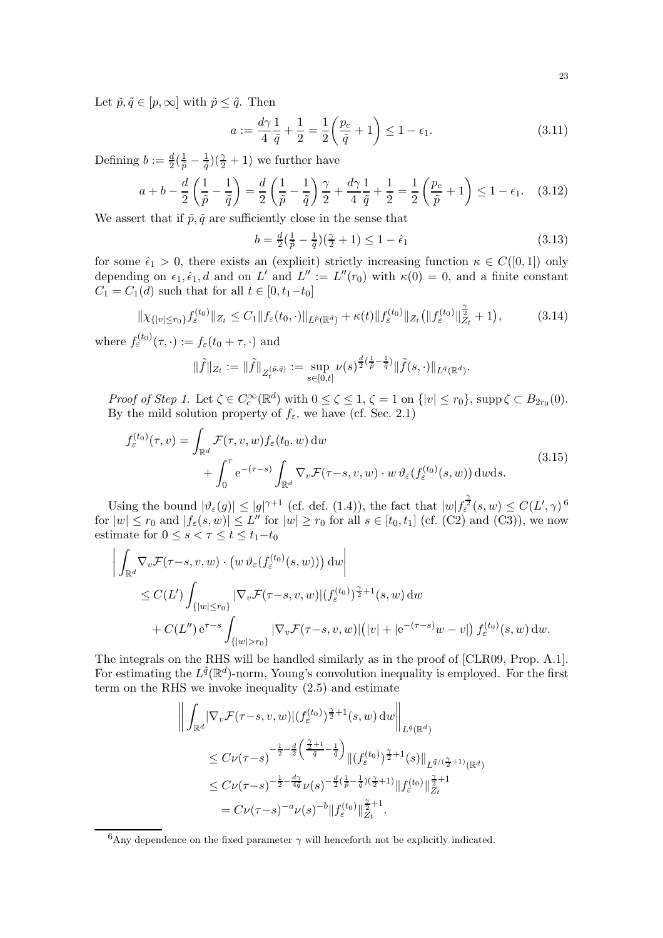Let  $\tilde{p}, \tilde{q} \in [p, \infty]$  with  $\tilde{p} \leq \tilde{q}$ . Then

$$
a := \frac{d\gamma}{4} \frac{1}{\tilde{q}} + \frac{1}{2} = \frac{1}{2} \left( \frac{p_c}{\tilde{q}} + 1 \right) \le 1 - \epsilon_1.
$$
 (3.11)

Defining  $b := \frac{d}{2}(\frac{1}{\tilde{p}} - \frac{1}{\tilde{q}})$  $\frac{1}{\tilde{q}}$  $\left(\frac{\gamma}{2} + 1\right)$  we further have

$$
a+b-\frac{d}{2}\left(\frac{1}{\tilde{p}}-\frac{1}{\tilde{q}}\right)=\frac{d}{2}\left(\frac{1}{\tilde{p}}-\frac{1}{\tilde{q}}\right)\frac{\gamma}{2}+\frac{d\gamma}{4}\frac{1}{\tilde{q}}+\frac{1}{2}=\frac{1}{2}\left(\frac{p_c}{\tilde{p}}+1\right)\leq 1-\epsilon_1.\tag{3.12}
$$

We assert that if  $\tilde{p}, \tilde{q}$  are sufficiently close in the sense that

$$
b = \frac{d}{2}(\frac{1}{\tilde{p}} - \frac{1}{\tilde{q}})(\frac{\gamma}{2} + 1) \le 1 - \hat{\epsilon}_1
$$
\n(3.13)

<span id="page-22-5"></span><span id="page-22-4"></span><span id="page-22-3"></span><span id="page-22-2"></span><span id="page-22-1"></span>.

for some  $\hat{\epsilon}_1 > 0$ , there exists an (explicit) strictly increasing function  $\kappa \in C([0,1])$  only depending on  $\epsilon_1, \hat{\epsilon}_1, d$  and on L' and L'' :=  $L''(r_0)$  with  $\kappa(0) = 0$ , and a finite constant  $C_1 = C_1(d)$  such that for all  $t \in [0, t_1-t_0]$ 

$$
\|\chi_{\{|v|\leq r_0\}}f_{\varepsilon}^{(t_0)}\|_{Z_t} \leq C_1 \|f_{\varepsilon}(t_0,\cdot)\|_{L^{\tilde{p}}(\mathbb{R}^d)} + \kappa(t) \|f_{\varepsilon}^{(t_0)}\|_{Z_t} (\|f_{\varepsilon}^{(t_0)}\|_{Z_t}^{\frac{\gamma}{2}} + 1), \tag{3.14}
$$

where  $f_{\varepsilon}^{(t_0)}(\tau, \cdot) := f_{\varepsilon}(t_0 + \tau, \cdot)$  and

**ALCOHOL:** 

$$
\|\tilde{f}\|_{Z_t}:=\|\tilde{f}\|_{Z_t^{(\tilde{p},\tilde{q})}}:=\sup_{s\in[0,t]}\nu(s)^{\frac{d}{2}(\frac{1}{\tilde{p}}-\frac{1}{\tilde{q}})}\|\tilde{f}(s,\cdot)\|_{L^{\tilde{q}}(\mathbb{R}^d)}
$$

*Proof of Step 1.* Let  $\zeta \in C_c^{\infty}(\mathbb{R}^d)$  with  $0 \le \zeta \le 1$ ,  $\zeta = 1$  on  $\{|v| \le r_0\}$ , supp  $\zeta \subset B_{2r_0}(0)$ . By the mild solution property of  $f_{\varepsilon}$ , we have (cf. Sec. [2.1\)](#page-6-1)

$$
f_{\varepsilon}^{(t_0)}(\tau, v) = \int_{\mathbb{R}^d} \mathcal{F}(\tau, v, w) f_{\varepsilon}(t_0, w) \, dw
$$
  
+ 
$$
\int_0^{\tau} e^{-(\tau - s)} \int_{\mathbb{R}^d} \nabla_v \mathcal{F}(\tau - s, v, w) \cdot w \, \vartheta_{\varepsilon}(f_{\varepsilon}^{(t_0)}(s, w)) \, dw \, ds.
$$
 (3.15)

Using the bound  $|\vartheta_{\varepsilon}(g)| \leq |g|^{\gamma+1}$  (cf. def. [\(1.4\)](#page-3-9)), the fact that  $|w| f_{\varepsilon}^{\frac{\gamma}{2}}(s,w) \leq C(L',\gamma)^{6}$  $|w| f_{\varepsilon}^{\frac{\gamma}{2}}(s,w) \leq C(L',\gamma)^{6}$  $|w| f_{\varepsilon}^{\frac{\gamma}{2}}(s,w) \leq C(L',\gamma)^{6}$ for  $|w| \le r_0$  and  $|f_{\varepsilon}(s, w)| \le L''$  for  $|w| \ge r_0$  for all  $s \in [t_0, t_1]$  (cf. [\(C2\)](#page-21-4) and [\(C3\)\)](#page-21-5), we now estimate for  $0 \leq s < \tau \leq t \leq t_1-t_0$ 

$$
\left| \int_{\mathbb{R}^d} \nabla_v \mathcal{F}(\tau - s, v, w) \cdot (w \,\vartheta_{\varepsilon}(f_{\varepsilon}^{(t_0)}(s, w))) \,dw \right|
$$
  
\n
$$
\leq C(L') \int_{\{|w| \leq r_0\}} |\nabla_v \mathcal{F}(\tau - s, v, w)| (f_{\varepsilon}^{(t_0)})^{\frac{\gamma}{2}+1}(s, w) \,dw
$$
  
\n
$$
+ C(L'') e^{\tau - s} \int_{\{|w| > r_0\}} |\nabla_v \mathcal{F}(\tau - s, v, w)| (|v| + |e^{-(\tau - s)} w - v|) f_{\varepsilon}^{(t_0)}(s, w) \,dw.
$$

The integrals on the RHS will be handled similarly as in the proof of [\[CLR09,](#page-33-5) Prop. A.1]. For estimating the  $L^{\tilde{q}}(\mathbb{R}^d)$ -norm, Young's convolution inequality is employed. For the first term on the RHS we invoke inequality [\(2.5\)](#page-7-4) and estimate

$$
\left\| \int_{\mathbb{R}^d} |\nabla_v \mathcal{F}(\tau - s, v, w)| (f_{\varepsilon}^{(t_0)})^{\frac{\gamma}{2}+1}(s, w) \, dw \right\|_{L^{\tilde{q}}(\mathbb{R}^d)}
$$
\n
$$
\leq C\nu(\tau - s)^{-\frac{1}{2} - \frac{d}{2} \left(\frac{\frac{\gamma}{2}+1}{\tilde{q}} - \frac{1}{\tilde{q}}\right)} \| (f_{\varepsilon}^{(t_0)})^{\frac{\gamma}{2}+1}(s) \|_{L^{\tilde{q}/(\frac{\gamma}{2}+1)}(\mathbb{R}^d)}
$$
\n
$$
\leq C\nu(\tau - s)^{-\frac{1}{2} - \frac{d\gamma}{4\tilde{q}}}\nu(s)^{-\frac{d}{2}\left(\frac{1}{\tilde{p}} - \frac{1}{\tilde{q}}\right)\left(\frac{\gamma}{2}+1\right)} \| f_{\varepsilon}^{(t_0)} \|_{Z_t}^{\frac{\gamma}{2}+1}
$$
\n
$$
= C\nu(\tau - s)^{-a}\nu(s)^{-b} \| f_{\varepsilon}^{(t_0)} \|_{Z_t}^{\frac{\gamma}{2}+1}.
$$

<span id="page-22-0"></span> $6$ Any dependence on the fixed parameter  $\gamma$  will henceforth not be explicitly indicated.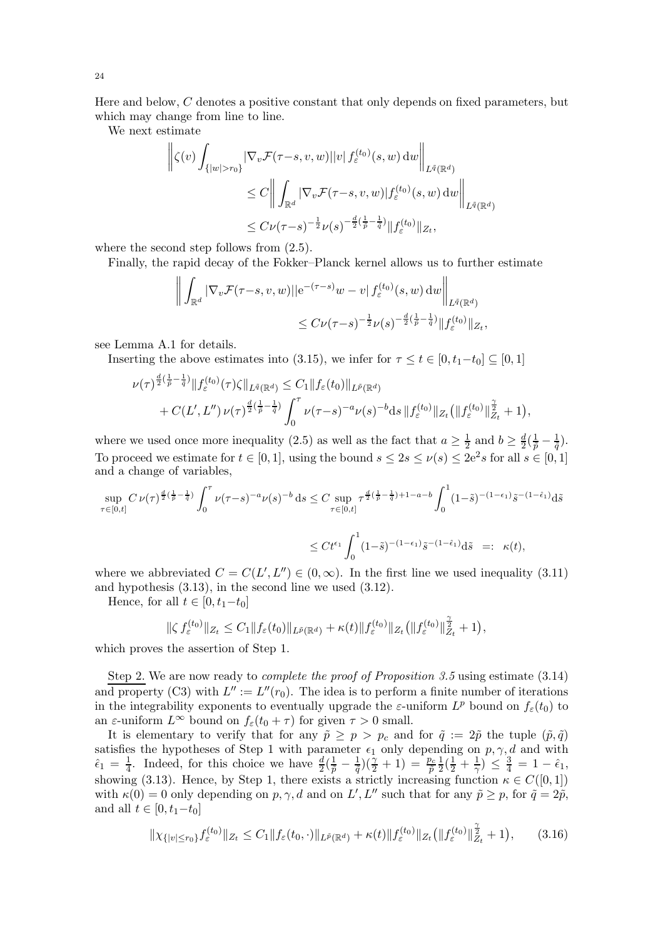Here and below, C denotes a positive constant that only depends on fixed parameters, but which may change from line to line.

We next estimate

$$
\left\| \zeta(v) \int_{\{|w|>r_0\}} |\nabla_v \mathcal{F}(\tau-s, v, w)||v| f_{\varepsilon}^{(t_0)}(s, w) dw \right\|_{L^{\tilde{q}}(\mathbb{R}^d)}
$$
  
\n
$$
\leq C \left\| \int_{\mathbb{R}^d} |\nabla_v \mathcal{F}(\tau-s, v, w)| f_{\varepsilon}^{(t_0)}(s, w) dw \right\|_{L^{\tilde{q}}(\mathbb{R}^d)}
$$
  
\n
$$
\leq C \nu (\tau-s)^{-\frac{1}{2}} \nu(s)^{-\frac{d}{2}(\frac{1}{\tilde{p}} - \frac{1}{\tilde{q}})} \| f_{\varepsilon}^{(t_0)} \|_{Z_t},
$$

where the second step follows from  $(2.5)$ .

Finally, the rapid decay of the Fokker–Planck kernel allows us to further estimate

$$
\left\| \int_{\mathbb{R}^d} |\nabla_v \mathcal{F}(\tau - s, v, w)| |e^{-(\tau - s)}w - v| f_{\varepsilon}^{(t_0)}(s, w) dw \right\|_{L^{\tilde{q}}(\mathbb{R}^d)}
$$
  

$$
\leq C \nu (\tau - s)^{-\frac{1}{2}} \nu(s)^{-\frac{d}{2}(\frac{1}{\tilde{p}} - \frac{1}{\tilde{q}})} \|f_{\varepsilon}^{(t_0)}\|_{Z_t},
$$

see Lemma [A.1](#page-32-1) for details.

Inserting the above estimates into [\(3.15\)](#page-22-1), we infer for  $\tau \le t \in [0, t_1-t_0] \subseteq [0, 1]$ 

$$
\nu(\tau)^{\frac{d}{2}(\frac{1}{\tilde{p}}-\frac{1}{\tilde{q}})}\|f_{\varepsilon}^{(t_{0})}(\tau)\zeta\|_{L^{\tilde{q}}(\mathbb{R}^{d})} \leq C_{1}\|f_{\varepsilon}(t_{0})\|_{L^{\tilde{p}}(\mathbb{R}^{d})} \n+ C(L',L'')\nu(\tau)^{\frac{d}{2}(\frac{1}{\tilde{p}}-\frac{1}{\tilde{q}})}\int_{0}^{\tau}\nu(\tau-s)^{-a}\nu(s)^{-b}\mathrm{d}s\|f_{\varepsilon}^{(t_{0})}\|z_{t}(\|f_{\varepsilon}^{(t_{0})}\|_{Z_{t}}^{\frac{\gamma}{2}}+1),
$$

where we used once more inequality [\(2.5\)](#page-7-4) as well as the fact that  $a \ge \frac{1}{2}$  and  $b \ge \frac{d}{2}(\frac{1}{\tilde{p}} - \frac{1}{\tilde{q}})$ . To proceed we estimate for  $t \in [0, 1]$ , using the bound  $s \leq 2s \leq \nu(s) \leq 2e^2 s$  for all  $s \in [0, 1]$ and a change of variables,

$$
\sup_{\tau \in [0,t]} C \nu(\tau)^{\frac{d}{2}(\frac{1}{p} - \frac{1}{q})} \int_0^{\tau} \nu(\tau - s)^{-a} \nu(s)^{-b} ds \le C \sup_{\tau \in [0,t]} \tau^{\frac{d}{2}(\frac{1}{p} - \frac{1}{q}) + 1 - a - b} \int_0^1 (1 - \tilde{s})^{-(1 - \epsilon_1)} \tilde{s}^{-(1 - \hat{\epsilon}_1)} d\tilde{s}
$$
  

$$
\le C t^{\epsilon_1} \int_0^1 (1 - \tilde{s})^{-(1 - \epsilon_1)} \tilde{s}^{-(1 - \hat{\epsilon}_1)} d\tilde{s} \implies \kappa(t),
$$

where we abbreviated  $C = C(L', L'') \in (0, \infty)$ . In the first line we used inequality [\(3.11\)](#page-22-2) and hypothesis [\(3.13\)](#page-22-3), in the second line we used [\(3.12\)](#page-22-4).

Hence, for all  $t \in [0, t_1 - t_0]$ 

$$
\|\zeta f_{\varepsilon}^{(t_0)}\|_{Z_t} \leq C_1 \|f_{\varepsilon}(t_0)\|_{L^{\tilde{p}}(\mathbb{R}^d)} + \kappa(t) \|f_{\varepsilon}^{(t_0)}\|_{Z_t} \big( \|f_{\varepsilon}^{(t_0)}\|_{Z_t}^{\frac{\gamma}{2}} + 1 \big),
$$

which proves the assertion of Step 1.

Step 2. We are now ready to *complete the proof of Proposition [3.5](#page-21-2)* using estimate [\(3.14\)](#page-22-5) and property [\(C3\)](#page-21-5) with  $L'' := L''(r_0)$ . The idea is to perform a finite number of iterations in the integrability exponents to eventually upgrade the  $\varepsilon$ -uniform  $L^p$  bound on  $f_{\varepsilon}(t_0)$  to an  $\varepsilon$ -uniform  $L^{\infty}$  bound on  $f_{\varepsilon}(t_0 + \tau)$  for given  $\tau > 0$  small.

It is elementary to verify that for any  $\tilde{p} \ge p > p_c$  and for  $\tilde{q} := 2\tilde{p}$  the tuple  $(\tilde{p}, \tilde{q})$ satisfies the hypotheses of Step 1 with parameter  $\epsilon_1$  only depending on  $p, \gamma, d$  and with  $\hat{\epsilon}_1 = \frac{1}{4}$ . Indeed, for this choice we have  $\frac{d}{2}(\frac{1}{\tilde{p}} - \frac{1}{\tilde{q}})(\frac{\gamma}{2} + 1) = \frac{p_c}{\tilde{p}}$ 1  $\frac{1}{2}(\frac{1}{2}+\frac{1}{\gamma}) \leq \frac{3}{4} = 1-\hat{\epsilon}_1,$ showing [\(3.13\)](#page-22-3). Hence, by Step 1, there exists a strictly increasing function  $\kappa \in C([0,1])$ with  $\kappa(0) = 0$  only depending on  $p, \gamma, d$  and on  $L', L''$  such that for any  $\tilde{p} \geq p$ , for  $\tilde{q} = 2\tilde{p}$ , and all  $t \in [0, t_1-t_0]$ 

<span id="page-23-0"></span>
$$
\|\chi_{\{|v|\leq r_0\}}f_{\varepsilon}^{(t_0)}\|_{Z_t} \leq C_1 \|f_{\varepsilon}(t_0,\cdot)\|_{L^{\tilde{p}}(\mathbb{R}^d)} + \kappa(t) \|f_{\varepsilon}^{(t_0)}\|_{Z_t} \left(\|f_{\varepsilon}^{(t_0)}\|_{Z_t}^{\frac{\gamma}{2}} + 1\right),\tag{3.16}
$$

24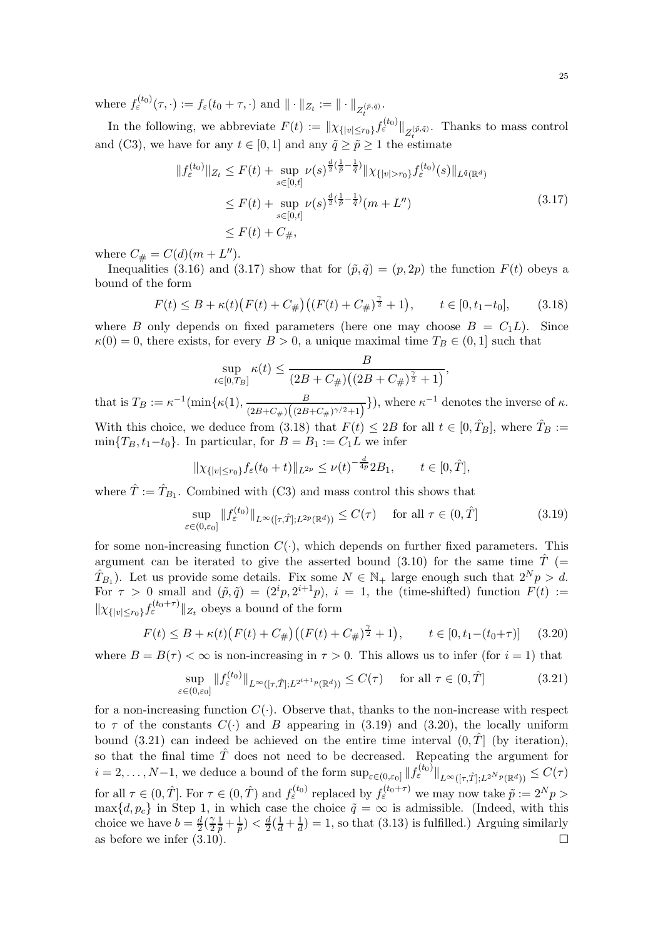where  $f_{\varepsilon}^{(t_0)}(\tau, \cdot) := f_{\varepsilon}(t_0 + \tau, \cdot)$  and  $\|\cdot\|_{Z_t} := \|\cdot\|_{Z_t^{(\tilde{p}, \tilde{q})}}$ .

In the following, we abbreviate  $F(t) := \|\chi_{\{|v| \le r_0\}} f_{\varepsilon}^{(t_0)}\|_{Z_{t}^{(\tilde{p}, \tilde{q})}}$ . Thanks to mass control and [\(C3\),](#page-21-5) we have for any  $t \in [0, 1]$  and any  $\tilde{q} \geq \tilde{p} \geq 1$  the estimate

<span id="page-24-0"></span>
$$
||f_{\varepsilon}^{(t_0)}||_{Z_t} \le F(t) + \sup_{s \in [0,t]} \nu(s)^{\frac{d}{2}(\frac{1}{\tilde{p}} - \frac{1}{\tilde{q}})} ||\chi_{\{|v| > r_0\}} f_{\varepsilon}^{(t_0)}(s)||_{L^{\tilde{q}}(\mathbb{R}^d)}
$$
  
\n
$$
\le F(t) + \sup_{s \in [0,t]} \nu(s)^{\frac{d}{2}(\frac{1}{\tilde{p}} - \frac{1}{\tilde{q}})}(m + L'')
$$
\n
$$
\le F(t) + C_{\#},
$$
\n(3.17)

where  $C_{\#} = C(d)(m + L'')$ .

Inequalities [\(3.16\)](#page-23-0) and [\(3.17\)](#page-24-0) show that for  $(\tilde{p}, \tilde{q}) = (p, 2p)$  the function  $F(t)$  obeys a bound of the form

$$
F(t) \le B + \kappa(t) \big( F(t) + C_{\#} \big) \big( (F(t) + C_{\#})^{\frac{\gamma}{2}} + 1 \big), \qquad t \in [0, t_1 - t_0], \tag{3.18}
$$

where B only depends on fixed parameters (here one may choose  $B = C_1L$ ). Since  $\kappa(0) = 0$ , there exists, for every  $B > 0$ , a unique maximal time  $T_B \in (0, 1]$  such that

<span id="page-24-1"></span>
$$
\sup_{t \in [0,T_B]} \kappa(t) \leq \frac{B}{(2B+C_{\#})((2B+C_{\#})^{\frac{\gamma}{2}}+1)},
$$

that is  $T_B := \kappa^{-1}(\min\{\kappa(1), \frac{B}{(2B+C_{\mu})}(\frac{B}{(2B_{\mu})})\})$  $\frac{B}{(2B+C_{\#})(2B+C_{\#})^{\gamma/2}+1)}\},\$  where  $\kappa^{-1}$  denotes the inverse of  $\kappa$ .

With this choice, we deduce from [\(3.18\)](#page-24-1) that  $F(t) \leq 2B$  for all  $t \in [0, \hat{T}_B]$ , where  $\hat{T}_B :=$  $\min\{T_B, t_1-t_0\}$ . In particular, for  $B = B_1 := C_1L$  we infer

<span id="page-24-2"></span>
$$
\|\chi_{\{|v|\leq r_0\}}f_{\varepsilon}(t_0+t)\|_{L^{2p}} \leq \nu(t)^{-\frac{d}{4p}} 2B_1, \qquad t \in [0,\hat{T}],
$$

where  $\hat{T} := \hat{T}_{B_1}$ . Combined with [\(C3\)](#page-21-5) and mass control this shows that

$$
\sup_{\varepsilon \in (0,\varepsilon_0]} \|f_{\varepsilon}^{(t_0)}\|_{L^{\infty}([\tau,\hat{T}];L^{2p}(\mathbb{R}^d))} \le C(\tau) \quad \text{ for all } \tau \in (0,\hat{T}]
$$
\n(3.19)

for some non-increasing function  $C(\cdot)$ , which depends on further fixed parameters. This argument can be iterated to give the asserted bound [\(3.10\)](#page-21-6) for the same time  $\hat{T}$  (=  $T_{B_1}$ ). Let us provide some details. Fix some  $N \in \mathbb{N}_+$  large enough such that  $2^N p > d$ . For  $\tau > 0$  small and  $(\tilde{p}, \tilde{q}) = (2^i p, 2^{i+1} p), i = 1$ , the (time-shifted) function  $F(t) :=$  $\|\chi_{\{|v| \le r_0\}} f_{\varepsilon}^{(t_0+\tau)}\|_{Z_t}$  obeys a bound of the form

$$
F(t) \le B + \kappa(t) \big( F(t) + C_{\#} \big) \big( (F(t) + C_{\#})^{\frac{\gamma}{2}} + 1 \big), \qquad t \in [0, t_1 - (t_0 + \tau)] \tag{3.20}
$$

where  $B = B(\tau) < \infty$  is non-increasing in  $\tau > 0$ . This allows us to infer (for  $i = 1$ ) that

<span id="page-24-4"></span><span id="page-24-3"></span>
$$
\sup_{\varepsilon \in (0,\varepsilon_0]} \|f_{\varepsilon}^{(t_0)}\|_{L^{\infty}([\tau,\hat{T}];L^{2^{i+1}p}(\mathbb{R}^d))} \le C(\tau) \quad \text{ for all } \tau \in (0,\hat{T}]
$$
\n(3.21)

for a non-increasing function  $C(\cdot)$ . Observe that, thanks to the non-increase with respect to  $\tau$  of the constants  $C(\cdot)$  and B appearing in [\(3.19\)](#page-24-2) and [\(3.20\)](#page-24-3), the locally uniform bound [\(3.21\)](#page-24-4) can indeed be achieved on the entire time interval  $(0, \hat{T}]$  (by iteration), so that the final time  $\hat{T}$  does not need to be decreased. Repeating the argument for  $i = 2, \ldots, N-1$ , we deduce a bound of the form  $\sup_{\varepsilon \in (0,\varepsilon_0]} \| f_{\varepsilon}^{(t_0)} \|_{L^{\infty}([\tau,\hat{T}];L^{2^N p}(\mathbb{R}^d))} \leq C(\tau)$ for all  $\tau \in (0, \hat{T}]$ . For  $\tau \in (0, \hat{T})$  and  $f_{\varepsilon}^{(t_0)}$  replaced by  $f_{\varepsilon}^{(t_0+\tau)}$  we may now take  $\tilde{p} := 2^N p >$  $\max\{d, p_c\}$  in Step 1, in which case the choice  $\tilde{q} = \infty$  is admissible. (Indeed, with this choice we have  $b = \frac{d}{2}(\frac{\gamma}{2})$ 2  $(\frac{1}{\tilde{p}} + \frac{1}{\tilde{p}}) < \frac{d}{2}(\frac{1}{d} + \frac{1}{d}) = 1$ , so that [\(3.13\)](#page-22-3) is fulfilled.) Arguing similarly as before we infer  $(3.10)$ .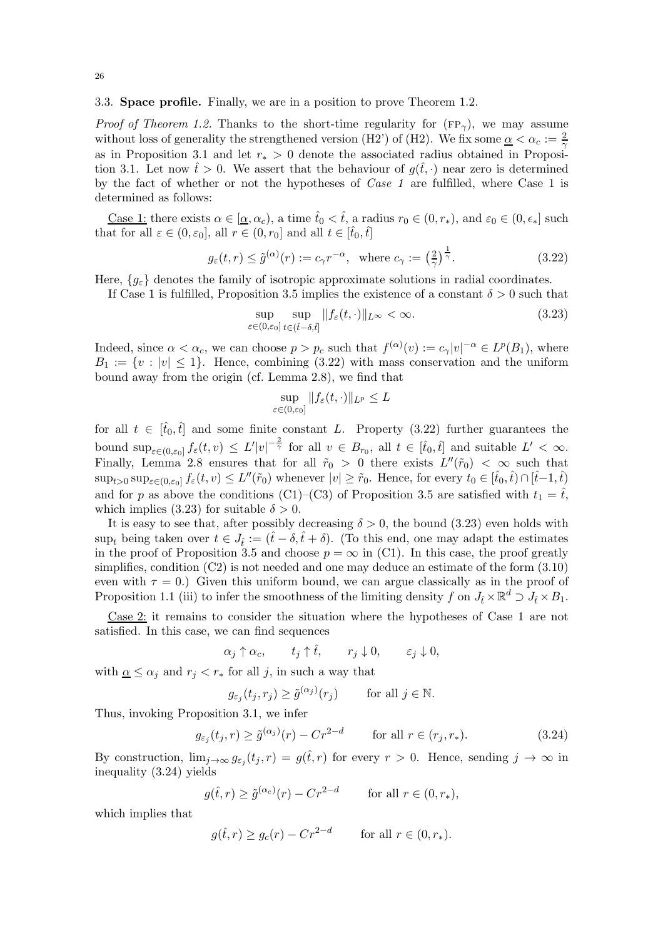### <span id="page-25-0"></span>3.3. Space profile. Finally, we are in a position to prove Theorem [1.2.](#page-4-1)

*Proof of Theorem [1.2.](#page-4-1)* Thanks to the short-time regularity for  $(FP_{\gamma})$ , we may assume without loss of generality the strengthened version [\(H2'\)](#page-11-2) of [\(H2\).](#page-2-0) We fix some  $\alpha < \alpha_c := \frac{2}{\gamma}$ as in Proposition [3.1](#page-18-3) and let  $r_* > 0$  denote the associated radius obtained in Proposi-tion [3.1.](#page-18-3) Let now  $\hat{t} > 0$ . We assert that the behaviour of  $q(\hat{t}, \cdot)$  near zero is determined by the fact of whether or not the hypotheses of *Case 1* are fulfilled, where Case 1 is determined as follows:

<u>Case 1:</u> there exists  $\alpha \in [\alpha, \alpha_c)$ , a time  $\hat{t}_0 < \hat{t}$ , a radius  $r_0 \in (0, r_*)$ , and  $\varepsilon_0 \in (0, \epsilon_*]$  such that for all  $\varepsilon \in (0, \varepsilon_0]$ , all  $r \in (0, r_0]$  and all  $t \in [\tilde{t}_0, \tilde{t}]$ 

$$
g_{\varepsilon}(t,r) \le \tilde{g}^{(\alpha)}(r) := c_{\gamma}r^{-\alpha}, \text{ where } c_{\gamma} := \left(\frac{2}{\gamma}\right)^{\frac{1}{\gamma}}.
$$
 (3.22)

Here,  ${g_{\varepsilon}}$  denotes the family of isotropic approximate solutions in radial coordinates.

If Case 1 is fulfilled, Proposition [3.5](#page-21-2) implies the existence of a constant  $\delta > 0$  such that

<span id="page-25-1"></span>
$$
\sup_{\varepsilon \in (0,\varepsilon_0]} \sup_{t \in (\hat{t}-\delta,\hat{t}]} \|f_{\varepsilon}(t,\cdot)\|_{L^{\infty}} < \infty.
$$
\n(3.23)

Indeed, since  $\alpha < \alpha_c$ , we can choose  $p > p_c$  such that  $f^{(\alpha)}(v) := c_\gamma |v|^{-\alpha} \in L^p(B_1)$ , where  $B_1 := \{v : |v| \leq 1\}.$  Hence, combining [\(3.22\)](#page-25-1) with mass conservation and the uniform bound away from the origin (cf. Lemma [2.8\)](#page-14-1), we find that

<span id="page-25-2"></span>
$$
\sup_{\varepsilon\in(0,\varepsilon_0]}\|f_\varepsilon(t,\cdot)\|_{L^p}\leq L
$$

for all  $t \in [\hat{t}_0, \hat{t}]$  and some finite constant L. Property [\(3.22\)](#page-25-1) further guarantees the bound  $\sup_{\varepsilon \in (0,\varepsilon_0]} f_{\varepsilon}(t,v) \leq L'|v|^{-\frac{2}{\gamma}}$  for all  $v \in B_{r_0}$ , all  $t \in [\hat{t}_0,\hat{t}]$  and suitable  $L' < \infty$ . Finally, Lemma [2.8](#page-14-1) ensures that for all  $\tilde{r}_0 > 0$  there exists  $L''(\tilde{r}_0) < \infty$  such that  $\sup_{t>0} \sup_{\varepsilon \in (0,\varepsilon_0]} f_{\varepsilon}(t,v) \leq L''(\tilde{r}_0)$  whenever  $|v| \geq \tilde{r}_0$ . Hence, for every  $t_0 \in [\hat{t}_0,\hat{t}) \cap [\hat{t}-1,\hat{t}]$ and for p as above the conditions [\(C1\)–](#page-21-7)[\(C3\)](#page-21-5) of Proposition [3.5](#page-21-2) are satisfied with  $t_1 = \hat{t}$ , which implies [\(3.23\)](#page-25-2) for suitable  $\delta > 0$ .

It is easy to see that, after possibly decreasing  $\delta > 0$ , the bound [\(3.23\)](#page-25-2) even holds with sup<sub>t</sub> being taken over  $t \in J_{\hat{t}} := (\hat{t} - \delta, \hat{t} + \delta)$ . (To this end, one may adapt the estimates in the proof of Proposition [3.5](#page-21-2) and choose  $p = \infty$  in [\(C1\).](#page-21-7) In this case, the proof greatly simplifies, condition  $(C2)$  is not needed and one may deduce an estimate of the form  $(3.10)$ even with  $\tau = 0$ .) Given this uniform bound, we can argue classically as in the proof of Proposition [1.1](#page-3-5) [\(iii\)](#page-3-3) to infer the smoothness of the limiting density f on  $J_{\hat{t}} \times \mathbb{R}^d \supset J_{\hat{t}} \times B_1$ .

Case 2: it remains to consider the situation where the hypotheses of Case 1 are not satisfied. In this case, we can find sequences

$$
\alpha_j \uparrow \alpha_c, \qquad t_j \uparrow \hat{t}, \qquad r_j \downarrow 0, \qquad \varepsilon_j \downarrow 0,
$$

with  $\underline{\alpha} \leq \alpha_i$  and  $r_i < r_*$  for all j, in such a way that

<span id="page-25-3"></span>
$$
g_{\varepsilon_j}(t_j, r_j) \ge \tilde{g}^{(\alpha_j)}(r_j) \quad \text{for all } j \in \mathbb{N}.
$$

Thus, invoking Proposition [3.1,](#page-18-3) we infer

$$
g_{\varepsilon_j}(t_j, r) \ge \tilde{g}^{(\alpha_j)}(r) - Cr^{2-d} \qquad \text{for all } r \in (r_j, r_*)
$$
 (3.24)

By construction,  $\lim_{j\to\infty} g_{\varepsilon_j}(t_j,r) = g(\hat{t},r)$  for every  $r > 0$ . Hence, sending  $j \to \infty$  in inequality [\(3.24\)](#page-25-3) yields

$$
g(\hat{t},r) \ge \tilde{g}^{(\alpha_c)}(r) - Cr^{2-d} \qquad \text{for all } r \in (0,r_*),
$$

which implies that

$$
g(\hat{t},r) \ge g_c(r) - Cr^{2-d} \qquad \text{for all } r \in (0,r_*).
$$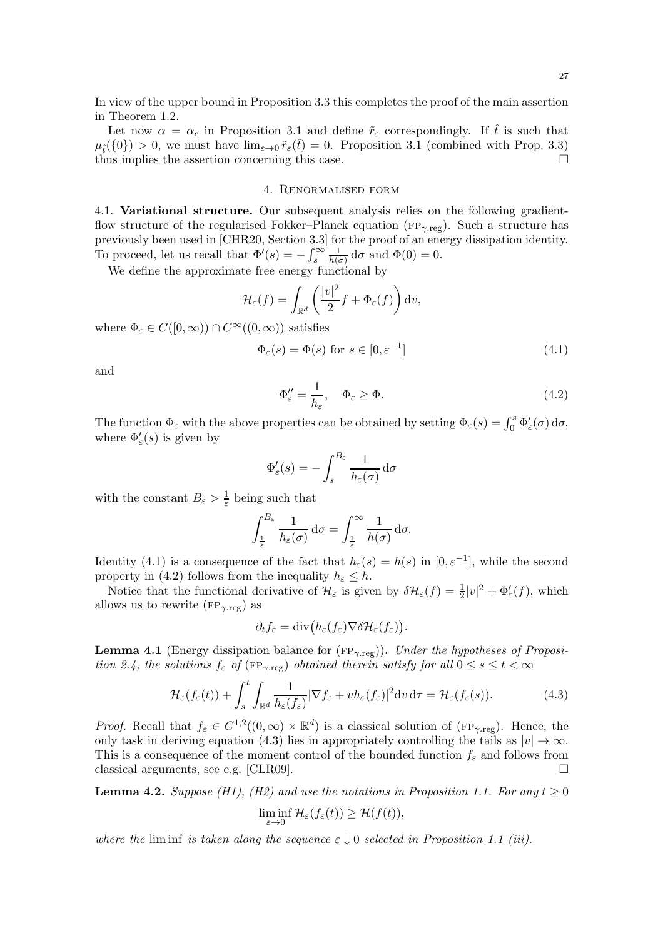In view of the upper bound in Proposition [3.3](#page-20-3) this completes the proof of the main assertion in Theorem [1.2.](#page-4-1)

Let now  $\alpha = \alpha_c$  in Proposition [3.1](#page-18-3) and define  $\tilde{r}_{\varepsilon}$  correspondingly. If  $\hat{t}$  is such that  $\mu_i({0}) > 0$ , we must have  $\lim_{\varepsilon \to 0} \tilde{r}_{\varepsilon}(t) = 0$ . Proposition [3.1](#page-18-3) (combined with Prop. [3.3\)](#page-20-3) thus implies the assection concerning this case. thus implies the assertion concerning this case.

# 4. Renormalised form

<span id="page-26-0"></span>4.1. Variational structure. Our subsequent analysis relies on the following gradientflow structure of the regularised Fokker–Planck equation ( $FP_{\gamma, reg}$ ). Such a structure has previously been used in [\[CHR20,](#page-33-9) Section 3.3] for the proof of an energy dissipation identity. To proceed, let us recall that  $\Phi'(s) = -\int_s^\infty$ 1  $\frac{1}{h(\sigma)} d\sigma$  and  $\Phi(0) = 0$ .

We define the approximate free energy functional by

$$
\mathcal{H}_{\varepsilon}(f) = \int_{\mathbb{R}^d} \left( \frac{|v|^2}{2} f + \Phi_{\varepsilon}(f) \right) \mathrm{d}v,
$$

where  $\Phi_{\varepsilon} \in C([0,\infty)) \cap C^{\infty}((0,\infty))$  satisfies

$$
\Phi_{\varepsilon}(s) = \Phi(s) \text{ for } s \in [0, \varepsilon^{-1}]
$$
\n(4.1)

and

<span id="page-26-2"></span><span id="page-26-1"></span>
$$
\Phi''_{\varepsilon} = \frac{1}{h_{\varepsilon}}, \quad \Phi_{\varepsilon} \ge \Phi. \tag{4.2}
$$

The function  $\Phi_{\varepsilon}$  with the above properties can be obtained by setting  $\Phi_{\varepsilon}(s) = \int_0^s \Phi'_{\varepsilon}(\sigma) d\sigma$ , where  $\Phi_{\varepsilon}'(s)$  is given by

$$
\Phi_{\varepsilon}'(s) = -\int_{s}^{B_{\varepsilon}} \frac{1}{h_{\varepsilon}(\sigma)} d\sigma
$$

with the constant  $B_{\varepsilon} > \frac{1}{\varepsilon}$  being such that

$$
\int_{\frac{1}{\varepsilon}}^{B_{\varepsilon}} \frac{1}{h_{\varepsilon}(\sigma)} d\sigma = \int_{\frac{1}{\varepsilon}}^{\infty} \frac{1}{h(\sigma)} d\sigma.
$$

Identity [\(4.1\)](#page-26-1) is a consequence of the fact that  $h_{\varepsilon}(s) = h(s)$  in  $[0, \varepsilon^{-1}]$ , while the second property in [\(4.2\)](#page-26-2) follows from the inequality  $h_{\varepsilon} \leq h$ .

Notice that the functional derivative of  $\mathcal{H}_{\varepsilon}$  is given by  $\delta \mathcal{H}_{\varepsilon}(f) = \frac{1}{2}|v|^2 + \Phi_{\varepsilon}'(f)$ , which allows us to rewrite ( $FP_{\gamma, \text{reg}}$ ) as

<span id="page-26-3"></span>
$$
\partial_t f_{\varepsilon} = \mathrm{div} \big( h_{\varepsilon}(f_{\varepsilon}) \nabla \delta \mathcal{H}_{\varepsilon}(f_{\varepsilon}) \big).
$$

<span id="page-26-5"></span>**Lemma 4.1** (Energy dissipation balance for  $(FP_{\gamma, \text{reg}})$ ). *Under the hypotheses of Proposition* [2.4,](#page-10-0) the solutions  $f_{\varepsilon}$  of ( $FP_{\gamma, reg}$ ) obtained therein satisfy for all  $0 \le s \le t < \infty$ 

$$
\mathcal{H}_{\varepsilon}(f_{\varepsilon}(t)) + \int_{s}^{t} \int_{\mathbb{R}^{d}} \frac{1}{h_{\varepsilon}(f_{\varepsilon})} |\nabla f_{\varepsilon} + v h_{\varepsilon}(f_{\varepsilon})|^{2} dv d\tau = \mathcal{H}_{\varepsilon}(f_{\varepsilon}(s)). \tag{4.3}
$$

*Proof.* Recall that  $f_{\varepsilon} \in C^{1,2}((0,\infty) \times \mathbb{R}^d)$  is a classical solution of (FP<sub> $\gamma$ </sub>reg). Hence, the only task in deriving equation [\(4.3\)](#page-26-3) lies in appropriately controlling the tails as  $|v| \to \infty$ . This is a consequence of the moment control of the bounded function  $f_{\varepsilon}$  and follows from classical arguments, see e.g. [\[CLR09\]](#page-33-5).  $\Box$ 

<span id="page-26-4"></span>**Lemma 4.2.** *Suppose* (*H1*), (*H2*) and use the notations in Proposition [1.1.](#page-3-5) For any  $t \geq 0$ 

$$
\liminf_{\varepsilon \to 0} \mathcal{H}_{\varepsilon}(f_{\varepsilon}(t)) \geq \mathcal{H}(f(t)),
$$

*where the* liminf *is taken along the sequence*  $\varepsilon \downarrow 0$  *selected in Proposition [1.1](#page-3-5) [\(iii\).](#page-3-3)*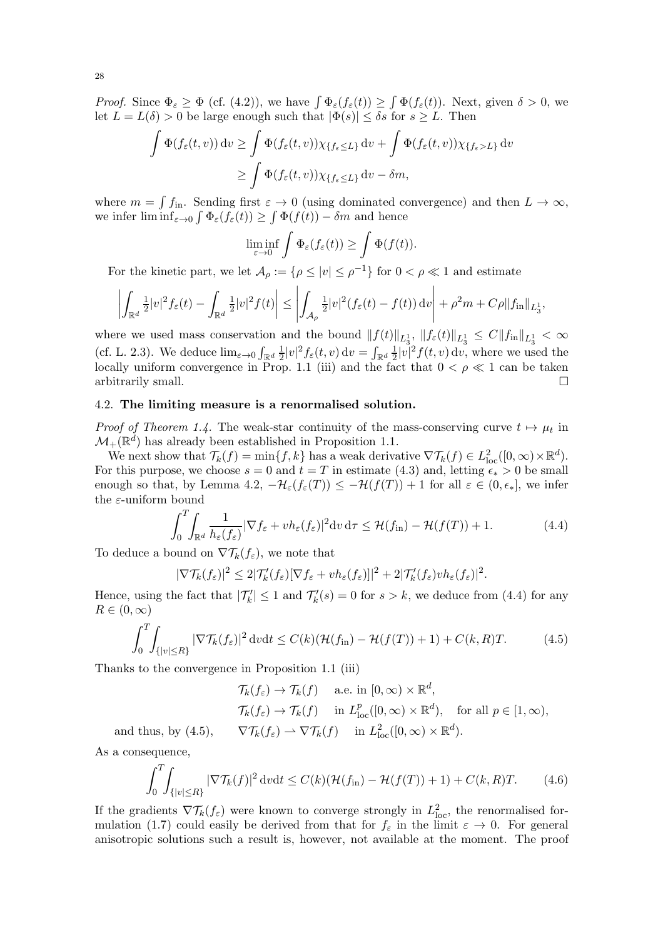*Proof.* Since  $\Phi_{\varepsilon} \geq \Phi$  (cf. [\(4.2\)](#page-26-2)), we have  $\int \Phi_{\varepsilon}(f_{\varepsilon}(t)) \geq \int \Phi(f_{\varepsilon}(t))$ . Next, given  $\delta > 0$ , we let  $L = L(\delta) > 0$  be large enough such that  $|\Phi(s)| \leq \delta s$  for  $s \geq L$ . Then

$$
\int \Phi(f_{\varepsilon}(t,v)) dv \ge \int \Phi(f_{\varepsilon}(t,v)) \chi_{\{f_{\varepsilon} \le L\}} dv + \int \Phi(f_{\varepsilon}(t,v)) \chi_{\{f_{\varepsilon} > L\}} dv
$$
  

$$
\ge \int \Phi(f_{\varepsilon}(t,v)) \chi_{\{f_{\varepsilon} \le L\}} dv - \delta m,
$$

where  $m = \int f_{\text{in}}$ . Sending first  $\varepsilon \to 0$  (using dominated convergence) and then  $L \to \infty$ , we infer  $\liminf_{\varepsilon \to 0} \int \Phi_{\varepsilon}(f_{\varepsilon}(t)) \ge \int \Phi(f(t)) - \delta m$  and hence

$$
\liminf_{\varepsilon \to 0} \int \Phi_{\varepsilon}(f_{\varepsilon}(t)) \geq \int \Phi(f(t)).
$$

For the kinetic part, we let  $\mathcal{A}_{\rho} := \{ \rho \leq |v| \leq \rho^{-1} \}$  for  $0 < \rho \ll 1$  and estimate

$$
\left|\int_{\mathbb{R}^d} \frac{1}{2} |v|^2 f_{\varepsilon}(t) - \int_{\mathbb{R}^d} \frac{1}{2} |v|^2 f(t)\right| \leq \left|\int_{\mathcal{A}_{\rho}} \frac{1}{2} |v|^2 (f_{\varepsilon}(t) - f(t)) dv\right| + \rho^2 m + C\rho \|f_{\mathrm{in}}\|_{L^1_3},
$$

where we used mass conservation and the bound  $||f(t)||_{L_3^1}$ ,  $||f_\varepsilon(t)||_{L_3^1} \leq C||f_{\text{in}}||_{L_3^1} < \infty$ (cf. L. [2.3\)](#page-9-1). We deduce  $\lim_{\varepsilon \to 0} \int_{\mathbb{R}^d} \frac{1}{2}$  $\frac{1}{2}|v|^2 f_{\varepsilon}(t,v) dv = \int_{\mathbb{R}^d} \frac{1}{2}$  $\frac{1}{2}|v|^2 f(t, v) dv$ , where we used the locally uniform convergence in Prop. [1.1](#page-3-5) [\(iii\)](#page-3-3) and the fact that  $0 < \rho \ll 1$  can be taken arbitrarily small.

### <span id="page-27-0"></span>4.2. The limiting measure is a renormalised solution.

*Proof of Theorem [1.4.](#page-5-2)* The weak-star continuity of the mass-conserving curve  $t \mapsto \mu_t$  in  $\mathcal{M}_{+}(\mathbb{R}^{d})$  has already been established in Proposition [1.1.](#page-3-5)

We next show that  $\mathcal{T}_k(f) = \min\{f, k\}$  has a weak derivative  $\nabla \mathcal{T}_k(f) \in L^2_{\text{loc}}([0, \infty) \times \mathbb{R}^d)$ . For this purpose, we choose  $s = 0$  and  $t = T$  in estimate [\(4.3\)](#page-26-3) and, letting  $\epsilon_* > 0$  be small enough so that, by Lemma [4.2,](#page-26-4)  $-\mathcal{H}_{\varepsilon}(f_{\varepsilon}(T)) \leq -\mathcal{H}(f(T)) + 1$  for all  $\varepsilon \in (0, \epsilon_*]$ , we infer the ε-uniform bound

$$
\int_0^T \int_{\mathbb{R}^d} \frac{1}{h_{\varepsilon}(f_{\varepsilon})} |\nabla f_{\varepsilon} + v h_{\varepsilon}(f_{\varepsilon})|^2 dv d\tau \le \mathcal{H}(f_{\rm in}) - \mathcal{H}(f(T)) + 1.
$$
 (4.4)

<span id="page-27-3"></span><span id="page-27-2"></span><span id="page-27-1"></span>.

To deduce a bound on  $\nabla \mathcal{T}_k(f_\varepsilon)$ , we note that

$$
|\nabla \mathcal{T}_{k}(f_{\varepsilon})|^{2} \leq 2|\mathcal{T}'_{k}(f_{\varepsilon})[\nabla f_{\varepsilon} + v h_{\varepsilon}(f_{\varepsilon})]|^{2} + 2|\mathcal{T}'_{k}(f_{\varepsilon})v h_{\varepsilon}(f_{\varepsilon})|^{2}
$$

Hence, using the fact that  $|\mathcal{T}'_k| \leq 1$  and  $\mathcal{T}'_k(s) = 0$  for  $s > k$ , we deduce from [\(4.4\)](#page-27-1) for any  $R\in(0,\infty)$ 

$$
\int_0^T \int_{\{|v| \le R\}} |\nabla \mathcal{T}_k(f_\varepsilon)|^2 dv dt \le C(k) (\mathcal{H}(f_{\rm in}) - \mathcal{H}(f(T)) + 1) + C(k, R)T.
$$
 (4.5)

Thanks to the convergence in Proposition [1.1](#page-3-5) [\(iii\)](#page-3-3)

$$
\mathcal{T}_{k}(f_{\varepsilon}) \to \mathcal{T}_{k}(f) \quad \text{a.e. in } [0, \infty) \times \mathbb{R}^{d},
$$
  

$$
\mathcal{T}_{k}(f_{\varepsilon}) \to \mathcal{T}_{k}(f) \quad \text{in } L_{\text{loc}}^{p}([0, \infty) \times \mathbb{R}^{d}), \quad \text{for all } p \in [1, \infty),
$$
  
(4.5), 
$$
\nabla \mathcal{T}_{k}(f_{\varepsilon}) \to \nabla \mathcal{T}_{k}(f) \quad \text{in } L_{\text{loc}}^{2}([0, \infty) \times \mathbb{R}^{d}).
$$

and thus, by As a consequence,

$$
\int_0^T \int_{\{|v| \le R\}} |\nabla \mathcal{T}_k(f)|^2 \, \mathrm{d}v \mathrm{d}t \le C(k) (\mathcal{H}(f_{\text{in}}) - \mathcal{H}(f(T)) + 1) + C(k, R)T. \tag{4.6}
$$

If the gradients  $\nabla \mathcal{T}_k(f_\varepsilon)$  were known to converge strongly in  $L^2_{\text{loc}}$ , the renormalised for-mulation [\(1.7\)](#page-5-0) could easily be derived from that for  $f_{\varepsilon}$  in the limit  $\varepsilon \to 0$ . For general anisotropic solutions such a result is, however, not available at the moment. The proof

28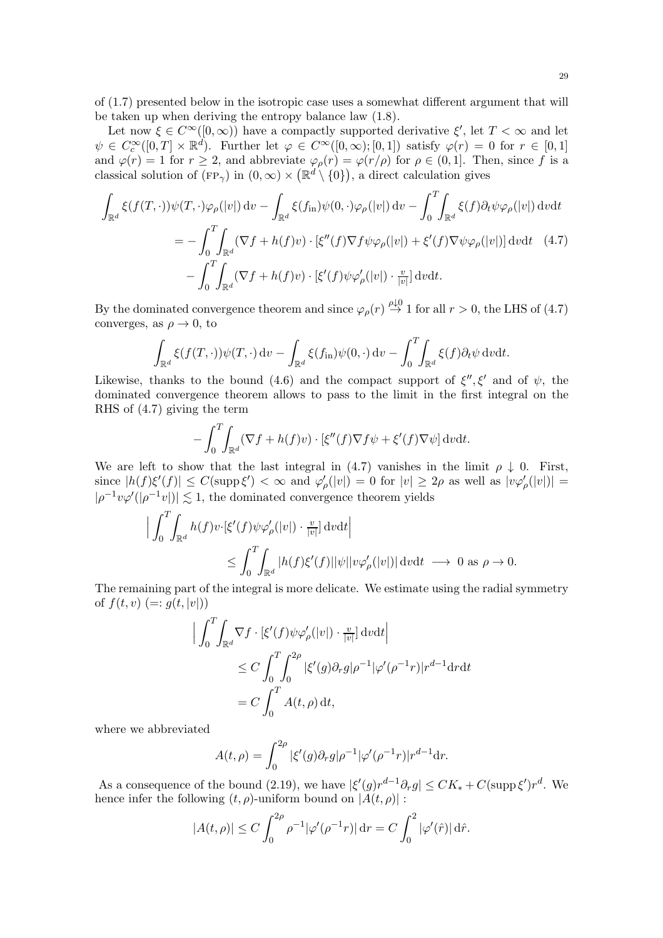of [\(1.7\)](#page-5-0) presented below in the isotropic case uses a somewhat different argument that will be taken up when deriving the entropy balance law [\(1.8\)](#page-5-3).

Let now  $\xi \in C^{\infty}([0,\infty))$  have a compactly supported derivative  $\xi'$ , let  $T < \infty$  and let  $\psi \in C_c^{\infty}([0,T] \times \mathbb{R}^d)$ . Further let  $\varphi \in C^{\infty}([0,\infty);[0,1])$  satisfy  $\varphi(r) = 0$  for  $r \in [0,1]$ and  $\varphi(r) = 1$  for  $r \geq 2$ , and abbreviate  $\varphi_{\rho}(r) = \varphi(r/\rho)$  for  $\rho \in (0, 1]$ . Then, since f is a classical solution of  $(\text{FP}_{\gamma})$  in  $(0, \infty) \times (\mathbb{R}^d \setminus \{0\})$ , a direct calculation gives

$$
\int_{\mathbb{R}^d} \xi(f(T,\cdot))\psi(T,\cdot)\varphi_{\rho}(|v|) dv - \int_{\mathbb{R}^d} \xi(f_{\rm in})\psi(0,\cdot)\varphi_{\rho}(|v|) dv - \int_0^T \int_{\mathbb{R}^d} \xi(f)\partial_t\psi\varphi_{\rho}(|v|) dv dt
$$
\n
$$
= -\int_0^T \int_{\mathbb{R}^d} (\nabla f + h(f)v) \cdot [\xi''(f)\nabla f\psi\varphi_{\rho}(|v|) + \xi'(f)\nabla\psi\varphi_{\rho}(|v|)] dv dt \quad (4.7)
$$
\n
$$
- \int_0^T \int_{\mathbb{R}^d} (\nabla f + h(f)v) \cdot [\xi'(f)\psi\varphi'_{\rho}(|v|) \cdot \frac{v}{|v|}] dv dt.
$$

By the dominated convergence theorem and since  $\varphi_{\rho}(r) \stackrel{\rho \downarrow 0}{\rightarrow} 1$  for all  $r > 0$ , the LHS of [\(4.7\)](#page-28-0) converges, as  $\rho \to 0$ , to

$$
\int_{\mathbb{R}^d} \xi(f(T,\cdot))\psi(T,\cdot) \, \mathrm{d}v - \int_{\mathbb{R}^d} \xi(f_{\mathrm{in}})\psi(0,\cdot) \, \mathrm{d}v - \int_0^T \int_{\mathbb{R}^d} \xi(f)\partial_t\psi \, \mathrm{d}v \mathrm{d}t.
$$

Likewise, thanks to the bound [\(4.6\)](#page-27-3) and the compact support of  $\xi''$ ,  $\xi'$  and of  $\psi$ , the dominated convergence theorem allows to pass to the limit in the first integral on the RHS of [\(4.7\)](#page-28-0) giving the term

<span id="page-28-0"></span>
$$
- \int_0^T \int_{\mathbb{R}^d} (\nabla f + h(f)v) \cdot [\xi''(f) \nabla f \psi + \xi'(f) \nabla \psi] dv dt.
$$

We are left to show that the last integral in [\(4.7\)](#page-28-0) vanishes in the limit  $\rho \downarrow 0$ . First, since  $|h(f)\xi'(f)| \leq C(\text{supp }\xi') < \infty$  and  $\varphi'_\rho(|v|) = 0$  for  $|v| \geq 2\rho$  as well as  $|v\varphi'_\rho(|v|)| =$  $|\rho^{-1}v\varphi'(|\rho^{-1}v|)| \lesssim 1$ , the dominated convergence theorem yields

$$
\Big| \int_0^T \int_{\mathbb{R}^d} h(f) v \cdot [\xi'(f) \psi \varphi'_{\rho}(|v|) \cdot \frac{v}{|v|}] dv dt \Big|
$$
  

$$
\leq \int_0^T \int_{\mathbb{R}^d} |h(f) \xi'(f)| |\psi| |v \varphi'_{\rho}(|v|) | dv dt \longrightarrow 0 \text{ as } \rho \to 0.
$$

The remaining part of the integral is more delicate. We estimate using the radial symmetry of  $f(t, v) (= g(t, |v|))$ 

$$
\left| \int_0^T \int_{\mathbb{R}^d} \nabla f \cdot \left[ \xi'(f) \psi \varphi'_{\rho}(|v|) \cdot \frac{v}{|v|} \right] dv dt \right|
$$
  
\n
$$
\leq C \int_0^T \int_0^{2\rho} |\xi'(g) \partial_r g| \rho^{-1} |\varphi'(\rho^{-1}r)| r^{d-1} dr dt
$$
  
\n
$$
= C \int_0^T A(t, \rho) dt,
$$

where we abbreviated

$$
A(t,\rho) = \int_0^{2\rho} |\xi'(g)\partial_r g|\rho^{-1}|\varphi'(\rho^{-1}r)|r^{d-1}\mathrm{d}r.
$$

As a consequence of the bound [\(2.19\)](#page-12-8), we have  $|\xi'(g)r^{d-1}\partial_r g| \leq CK_* + C(\text{supp }\xi')r^d$ . We hence infer the following  $(t, \rho)$ -uniform bound on  $|A(t, \rho)|$ :

$$
|A(t,\rho)| \le C \int_0^{2\rho} \rho^{-1} |\varphi'(\rho^{-1}r)| dr = C \int_0^2 |\varphi'(\hat{r})| d\hat{r}.
$$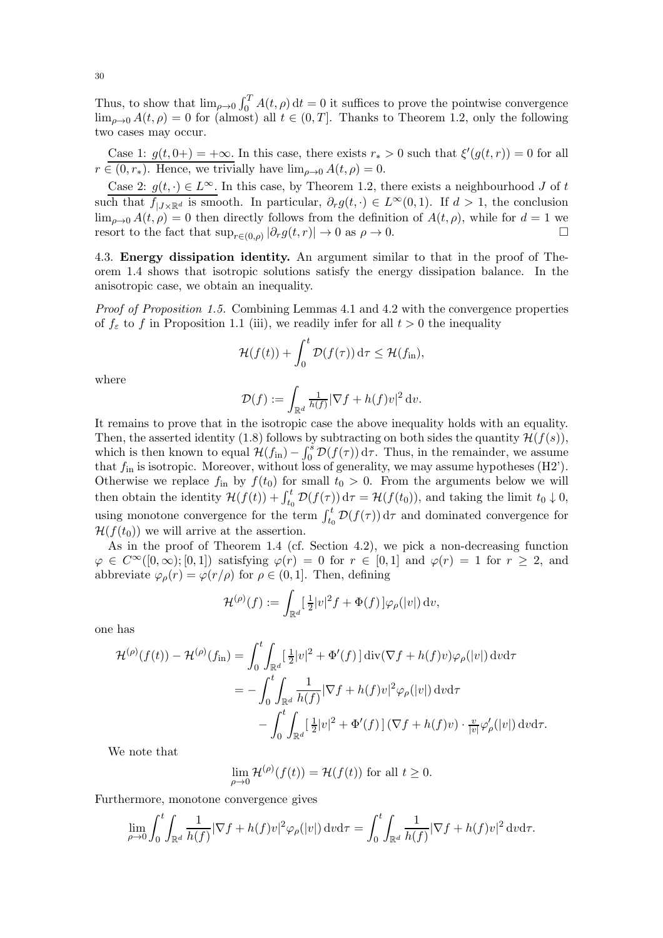Thus, to show that  $\lim_{\rho\to 0} \int_0^T A(t,\rho) dt = 0$  it suffices to prove the pointwise convergence  $\lim_{\rho\to 0} A(t,\rho) = 0$  for (almost) all  $t \in (0,T]$ . Thanks to Theorem [1.2,](#page-4-1) only the following two cases may occur.

Case 1:  $g(t, 0+) = +\infty$ . In this case, there exists  $r_* > 0$  such that  $\xi'(g(t, r)) = 0$  for all  $r \in (0, r_*)$ . Hence, we trivially have  $\lim_{\rho \to 0} A(t, \rho) = 0$ .

Case 2:  $g(t, \cdot) \in L^{\infty}$ . In this case, by Theorem [1.2,](#page-4-1) there exists a neighbourhood J of t such that  $f_{|J\times\mathbb{R}^d}$  is smooth. In particular,  $\partial_r g(t, \cdot) \in L^\infty(0,1)$ . If  $d > 1$ , the conclusion  $\lim_{\rho\to 0} A(t,\rho) = 0$  then directly follows from the definition of  $A(t,\rho)$ , while for  $d=1$  we resort to the fact that  $\sup_{r\in(0,\rho)}|\partial_r g(t,r)|\to 0$  as  $\rho\to 0$ .

<span id="page-29-0"></span>4.3. Energy dissipation identity. An argument similar to that in the proof of Theorem [1.4](#page-5-2) shows that isotropic solutions satisfy the energy dissipation balance. In the anisotropic case, we obtain an inequality.

*Proof of Proposition [1.5.](#page-5-1)* Combining Lemmas [4.1](#page-26-5) and [4.2](#page-26-4) with the convergence properties of  $f_{\varepsilon}$  to f in Proposition [1.1](#page-3-5) [\(iii\),](#page-3-3) we readily infer for all  $t > 0$  the inequality

$$
\mathcal{H}(f(t)) + \int_0^t \mathcal{D}(f(\tau)) \, \mathrm{d}\tau \leq \mathcal{H}(f_{\text{in}}),
$$

where

$$
\mathcal{D}(f) := \int_{\mathbb{R}^d} \frac{1}{h(f)} |\nabla f + h(f)v|^2 \, \mathrm{d} v.
$$

It remains to prove that in the isotropic case the above inequality holds with an equality. Then, the asserted identity [\(1.8\)](#page-5-3) follows by subtracting on both sides the quantity  $\mathcal{H}(f(s))$ , which is then known to equal  $\mathcal{H}(f_{\text{in}}) - \int_0^s \mathcal{D}(f(\tau)) d\tau$ . Thus, in the remainder, we assume that  $f_{\text{in}}$  is isotropic. Moreover, without loss of generality, we may assume hypotheses [\(H2'\).](#page-11-2) Otherwise we replace  $f_{\text{in}}$  by  $f(t_0)$  for small  $t_0 > 0$ . From the arguments below we will then obtain the identity  $\mathcal{H}(f(t)) + \int_{t_0}^t \mathcal{D}(f(\tau)) d\tau = \mathcal{H}(f(t_0))$ , and taking the limit  $t_0 \downarrow 0$ , using monotone convergence for the term  $\int_{t_0}^t \mathcal{D}(f(\tau)) d\tau$  and dominated convergence for  $\mathcal{H}(f(t_0))$  we will arrive at the assertion.

As in the proof of Theorem [1.4](#page-5-2) (cf. Section [4.2\)](#page-27-0), we pick a non-decreasing function  $\varphi \in C^{\infty}([0,\infty);[0,1])$  satisfying  $\varphi(r) = 0$  for  $r \in [0,1]$  and  $\varphi(r) = 1$  for  $r \geq 2$ , and abbreviate  $\varphi_{\rho}(r) = \varphi(r/\rho)$  for  $\rho \in (0, 1]$ . Then, defining

$$
\mathcal{H}^{(\rho)}(f) := \int_{\mathbb{R}^d} \left[ \frac{1}{2} |v|^2 f + \Phi(f) \right] \varphi_\rho(|v|) dv,
$$

one has

$$
\mathcal{H}^{(\rho)}(f(t)) - \mathcal{H}^{(\rho)}(f_{\rm in}) = \int_0^t \int_{\mathbb{R}^d} \left[ \frac{1}{2} |v|^2 + \Phi'(f) \right] \operatorname{div}(\nabla f + h(f)v) \varphi_\rho(|v|) \operatorname{dv} d\tau \n= - \int_0^t \int_{\mathbb{R}^d} \frac{1}{h(f)} |\nabla f + h(f)v|^2 \varphi_\rho(|v|) \operatorname{dv} d\tau \n- \int_0^t \int_{\mathbb{R}^d} \left[ \frac{1}{2} |v|^2 + \Phi'(f) \right] (\nabla f + h(f)v) \cdot \frac{v}{|v|} \varphi'_\rho(|v|) \operatorname{dv} d\tau.
$$

We note that

$$
\lim_{\rho \to 0} \mathcal{H}^{(\rho)}(f(t)) = \mathcal{H}(f(t))
$$
 for all  $t \ge 0$ .

Furthermore, monotone convergence gives

$$
\lim_{\rho \to 0} \int_0^t \int_{\mathbb{R}^d} \frac{1}{h(f)} |\nabla f + h(f) v|^2 \varphi_\rho(|v|) dv d\tau = \int_0^t \int_{\mathbb{R}^d} \frac{1}{h(f)} |\nabla f + h(f) v|^2 dv d\tau.
$$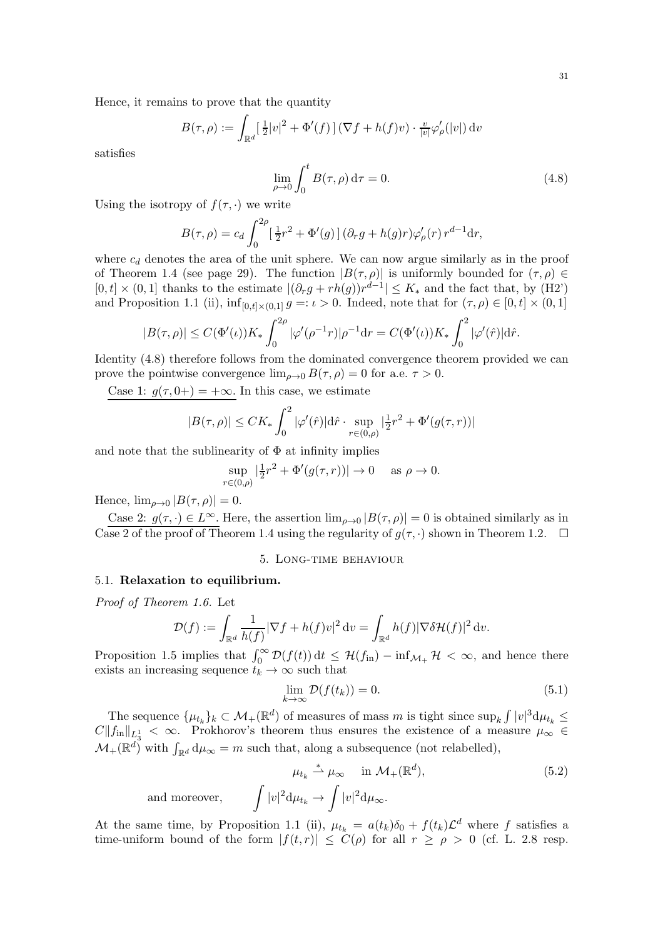$$
B(\tau,\rho) := \int_{\mathbb{R}^d} \left[ \frac{1}{2} |v|^2 + \Phi'(f) \right] (\nabla f + h(f)v) \cdot \frac{v}{|v|} \varphi'_{\rho}(|v|) dv
$$

satisfies

<span id="page-30-2"></span>
$$
\lim_{\rho \to 0} \int_0^t B(\tau, \rho) d\tau = 0.
$$
\n(4.8)

Using the isotropy of  $f(\tau, \cdot)$  we write

$$
B(\tau,\rho) = c_d \int_0^{2\rho} \left[\frac{1}{2}r^2 + \Phi'(g)\right] (\partial_r g + h(g)r) \varphi'_\rho(r) r^{d-1} dr,
$$

where  $c_d$  denotes the area of the unit sphere. We can now argue similarly as in the proof of Theorem [1.4](#page-5-2) (see page [29\)](#page-28-0). The function  $|B(\tau,\rho)|$  is uniformly bounded for  $(\tau,\rho) \in$  $[0, t] \times (0, 1]$  thanks to the estimate  $|(\partial_r g + rh(g))r^{d-1}| \leq K_*$  and the fact that, by  $(H2)$ and Proposition [1.1](#page-3-5) [\(ii\),](#page-3-1)  $\inf_{[0,t]\times(0,1]} g =: \iota > 0$ . Indeed, note that for  $(\tau, \rho) \in [0, t] \times (0, 1]$ 

$$
|B(\tau,\rho)| \le C(\Phi'(\iota)) K_* \int_0^{2\rho} |\varphi'(\rho^{-1}r)| \rho^{-1} dr = C(\Phi'(\iota)) K_* \int_0^2 |\varphi'(\hat{r})| d\hat{r}.
$$

Identity [\(4.8\)](#page-30-2) therefore follows from the dominated convergence theorem provided we can prove the pointwise convergence  $\lim_{\rho\to 0} B(\tau,\rho) = 0$  for a.e.  $\tau > 0$ .

Case 1:  $g(\tau, 0+) = +\infty$ . In this case, we estimate

$$
|B(\tau,\rho)| \leq CK_* \int_0^2 |\varphi'(\hat{r})| d\hat{r} \cdot \sup_{r \in (0,\rho)} |\frac{1}{2}r^2 + \Phi'(g(\tau,r))|
$$

and note that the sublinearity of  $\Phi$  at infinity implies

$$
\sup_{r \in (0,\rho)} |\frac{1}{2}r^2 + \Phi'(g(\tau,r))| \to 0 \quad \text{ as } \rho \to 0.
$$

Hence,  $\lim_{\rho\to 0} |B(\tau,\rho)| = 0.$ 

<span id="page-30-0"></span>Case 2:  $g(\tau, \cdot) \in L^{\infty}$ . Here, the assertion  $\lim_{\rho \to 0} |B(\tau, \rho)| = 0$  is obtained similarly as in Case 2 of the proof of Theorem [1.4](#page-5-2) using the regularity of  $g(\tau, \cdot)$  shown in Theorem [1.2.](#page-4-1)

### 5. Long-time behaviour

## <span id="page-30-1"></span>5.1. Relaxation to equilibrium.

*Proof of Theorem [1.6.](#page-5-4)* Let

$$
\mathcal{D}(f) := \int_{\mathbb{R}^d} \frac{1}{h(f)} |\nabla f + h(f)v|^2 dv = \int_{\mathbb{R}^d} h(f) |\nabla \delta \mathcal{H}(f)|^2 dv.
$$

Proposition [1.5](#page-5-1) implies that  $\int_0^\infty \mathcal{D}(f(t)) dt \leq \mathcal{H}(f_{\text{in}}) - \inf_{\mathcal{M}_+} \mathcal{H} < \infty$ , and hence there exists an increasing sequence  $t_k \to \infty$  such that

<span id="page-30-4"></span>
$$
\lim_{k \to \infty} \mathcal{D}(f(t_k)) = 0.
$$
\n(5.1)

The sequence  $\{\mu_{t_k}\}_k \subset \mathcal{M}_+(\mathbb{R}^d)$  of measures of mass m is tight since  $\sup_k \int |v|^3 d\mu_{t_k} \leq$  $C||f_{\text{in}}||_{L_3^1} < \infty$ . Prokhorov's theorem thus ensures the existence of a measure  $\mu_{\infty} \in$  $\mathcal{M}_{+}(\mathbb{R}^{d})$  with  $\int_{\mathbb{R}^{d}} d\mu_{\infty} = m$  such that, along a subsequence (not relabelled),

<span id="page-30-3"></span>
$$
\mu_{t_k} \stackrel{*}{\rightharpoonup} \mu_{\infty} \quad \text{in } \mathcal{M}_+(\mathbb{R}^d), \tag{5.2}
$$

and moreover,  $|v|^2 \mathrm{d} \mu_{t_k} \to \int |v|^2 \mathrm{d} \mu_\infty.$ 

At the same time, by Proposition [1.1](#page-3-5) [\(ii\),](#page-3-1)  $\mu_{t_k} = a(t_k)\delta_0 + f(t_k)\mathcal{L}^d$  where f satisfies a time-uniform bound of the form  $|f(t,r)| \leq C(\rho)$  for all  $r \geq \rho > 0$  (cf. L. [2.8](#page-14-1) resp.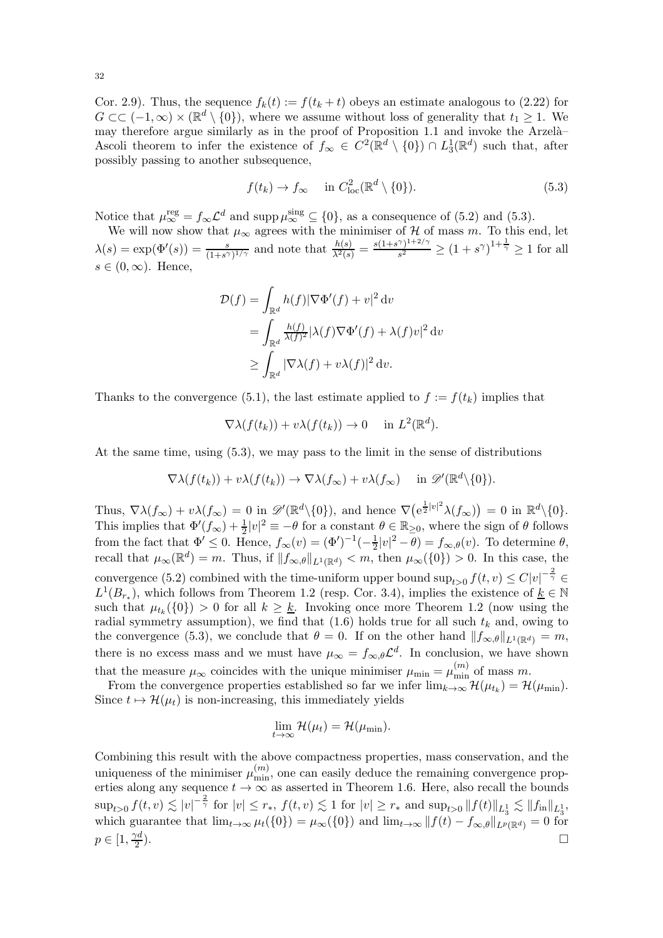Cor. [2.9\)](#page-15-2). Thus, the sequence  $f_k(t) := f(t_k + t)$  obeys an estimate analogous to [\(2.22\)](#page-15-1) for  $G \subset \subset (-1,\infty) \times (\mathbb{R}^d \setminus \{0\}),$  where we assume without loss of generality that  $t_1 \geq 1$ . We may therefore argue similarly as in the proof of Proposition [1.1](#page-3-5) and invoke the Arzelà-Ascoli theorem to infer the existence of  $f_{\infty} \in C^2(\mathbb{R}^d \setminus \{0\}) \cap L_3^1(\mathbb{R}^d)$  such that, after possibly passing to another subsequence,

<span id="page-31-0"></span>
$$
f(t_k) \to f_{\infty} \quad \text{in } C^2_{\text{loc}}(\mathbb{R}^d \setminus \{0\}).
$$
 (5.3)

Notice that  $\mu_{\infty}^{\text{reg}} = f_{\infty} \mathcal{L}^d$  and supp $\mu_{\infty}^{\text{sing}} \subseteq \{0\}$ , as a consequence of [\(5.2\)](#page-30-3) and [\(5.3\)](#page-31-0).

We will now show that  $\mu_{\infty}$  agrees with the minimiser of  $\mathcal{H}$  of mass m. To this end, let  $\lambda(s) = \exp(\Phi'(s)) = \frac{s}{(1+s^{\gamma})^{1/\gamma}}$  and note that  $\frac{h(s)}{\lambda^2(s)} = \frac{s(1+s^{\gamma})^{1+2/\gamma}}{s^2}$  $\frac{\gamma}{s^2} \frac{1+2\gamma}{s^2} \ge (1+s^{\gamma})^{1+\frac{1}{\gamma}} \ge 1$  for all  $s \in (0,\infty)$ . Hence,

$$
\mathcal{D}(f) = \int_{\mathbb{R}^d} h(f) |\nabla \Phi'(f) + v|^2 dv
$$
  
= 
$$
\int_{\mathbb{R}^d} \frac{h(f)}{\lambda(f)^2} |\lambda(f) \nabla \Phi'(f) + \lambda(f) v|^2 dv
$$
  

$$
\geq \int_{\mathbb{R}^d} |\nabla \lambda(f) + v \lambda(f)|^2 dv.
$$

Thanks to the convergence [\(5.1\)](#page-30-4), the last estimate applied to  $f := f(t_k)$  implies that

$$
\nabla \lambda(f(t_k)) + v \lambda(f(t_k)) \to 0 \quad \text{in } L^2(\mathbb{R}^d).
$$

At the same time, using [\(5.3\)](#page-31-0), we may pass to the limit in the sense of distributions

$$
\nabla \lambda(f(t_k)) + v \lambda(f(t_k)) \to \nabla \lambda(f_\infty) + v \lambda(f_\infty) \quad \text{in } \mathscr{D}'(\mathbb{R}^d \setminus \{0\}).
$$

Thus,  $\nabla \lambda(f_\infty) + v \lambda(f_\infty) = 0$  in  $\mathscr{D}'(\mathbb{R}^d \setminus \{0\})$ , and hence  $\nabla (\mathrm{e}^{\frac{1}{2}|v|^2} \lambda(f_\infty)) = 0$  in  $\mathbb{R}^d \setminus \{0\}$ . This implies that  $\Phi'(f_{\infty}) + \frac{1}{2}|v|^2 \equiv -\theta$  for a constant  $\theta \in \mathbb{R}_{\geq 0}$ , where the sign of  $\theta$  follows from the fact that  $\Phi' \leq 0$ . Hence,  $f_{\infty}(v) = (\Phi')^{-1}(-\frac{1}{2})$  $\frac{1}{2}|v|^2 - \theta$  =  $f_{\infty,\theta}(v)$ . To determine  $\theta$ , recall that  $\mu_{\infty}(\mathbb{R}^d) = m$ . Thus, if  $||f_{\infty,\theta}||_{L^1(\mathbb{R}^d)} < m$ , then  $\mu_{\infty}(\{0\}) > 0$ . In this case, the convergence [\(5.2\)](#page-30-3) combined with the time-uniform upper bound  $\sup_{t>0} f(t,v) \leq C|v|^{-\frac{2}{\gamma}} \in$  $L^1(B_{r_*})$ , which follows from Theorem [1.2](#page-4-1) (resp. Cor. [3.4\)](#page-21-0), implies the existence of  $\underline{k} \in \mathbb{N}$ such that  $\mu_{t_k}(\{0\}) > 0$  for all  $k \geq \underline{k}$ . Invoking once more Theorem [1.2](#page-4-1) (now using the radial symmetry assumption), we find that  $(1.6)$  holds true for all such  $t_k$  and, owing to the convergence [\(5.3\)](#page-31-0), we conclude that  $\theta = 0$ . If on the other hand  $||f_{\infty,\theta}||_{L^1(\mathbb{R}^d)} = m$ , there is no excess mass and we must have  $\mu_{\infty} = f_{\infty,\theta} \mathcal{L}^d$ . In conclusion, we have shown that the measure  $\mu_{\infty}$  coincides with the unique minimiser  $\mu_{\min} = \mu_{\min}^{(m)}$  of mass m.

From the convergence properties established so far we infer  $\lim_{k\to\infty} \mathcal{H}(\mu_{t_k}) = \mathcal{H}(\mu_{\min}).$ Since  $t \mapsto \mathcal{H}(\mu_t)$  is non-increasing, this immediately yields

$$
\lim_{t\to\infty} \mathcal{H}(\mu_t) = \mathcal{H}(\mu_{\min}).
$$

Combining this result with the above compactness properties, mass conservation, and the uniqueness of the minimiser  $\mu_{\min}^{(m)}$ , one can easily deduce the remaining convergence properties along any sequence  $t \to \infty$  as asserted in Theorem [1.6.](#page-5-4) Here, also recall the bounds  $\sup_{t>0} f(t,v) \lesssim |v|^{-\frac{2}{\gamma}} \text{ for } |v| \leq r_*, \ f(t,v) \lesssim 1 \text{ for } |v| \geq r_* \text{ and } \sup_{t>0} ||f(t)||_{L^1_3} \lesssim ||f_{\text{in}}||_{L^1_3},$ which guarantee that  $\lim_{t\to\infty}\mu_t(\{0\})=\mu_\infty(\{0\})$  and  $\lim_{t\to\infty}||f(t)-f_{\infty,\theta}||_{L^p(\mathbb{R}^d)}=0$  for  $p \in \left[1, \frac{\gamma d}{2}\right]$ 2 ).  $\Box$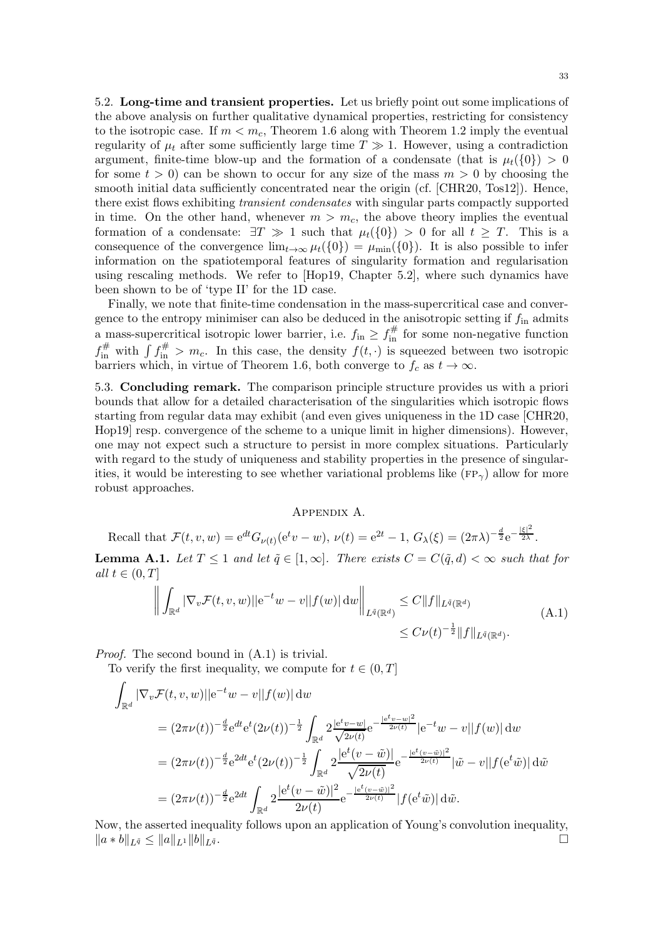<span id="page-32-0"></span>5.2. Long-time and transient properties. Let us briefly point out some implications of the above analysis on further qualitative dynamical properties, restricting for consistency to the isotropic case. If  $m < m_c$ , Theorem [1.6](#page-5-4) along with Theorem [1.2](#page-4-1) imply the eventual regularity of  $\mu_t$  after some sufficiently large time  $T \gg 1$ . However, using a contradiction argument, finite-time blow-up and the formation of a condensate (that is  $\mu_t({0}) > 0$ for some  $t > 0$  can be shown to occur for any size of the mass  $m > 0$  by choosing the smooth initial data sufficiently concentrated near the origin (cf. [\[CHR20,](#page-33-9) [Tos12\]](#page-34-0)). Hence, there exist flows exhibiting *transient condensates* with singular parts compactly supported in time. On the other hand, whenever  $m > m_c$ , the above theory implies the eventual formation of a condensate:  $\exists T \gg 1$  such that  $\mu_t(\{0\}) > 0$  for all  $t \geq T$ . This is a consequence of the convergence  $\lim_{t\to\infty}\mu_t(\{0\})=\mu_{\min}(\{0\})$ . It is also possible to infer information on the spatiotemporal features of singularity formation and regularisation using rescaling methods. We refer to [\[Hop19,](#page-33-15) Chapter 5.2], where such dynamics have been shown to be of 'type II' for the 1D case.

Finally, we note that finite-time condensation in the mass-supercritical case and convergence to the entropy minimiser can also be deduced in the anisotropic setting if  $f_{\text{in}}$  admits a mass-supercritical isotropic lower barrier, i.e.  $f_{\text{in}} \ge f_{\text{in}}^{\#}$  for some non-negative function  $f_{\text{in}}^{\#}$  with  $\int f_{\text{in}}^{\#} > m_c$ . In this case, the density  $f(t, \cdot)$  is squeezed between two isotropic barriers which, in virtue of Theorem [1.6,](#page-5-4) both converge to  $f_c$  as  $t \to \infty$ .

5.3. Concluding remark. The comparison principle structure provides us with a priori bounds that allow for a detailed characterisation of the singularities which isotropic flows starting from regular data may exhibit (and even gives uniqueness in the 1D case [\[CHR20,](#page-33-9) [Hop19\]](#page-33-15) resp. convergence of the scheme to a unique limit in higher dimensions). However, one may not expect such a structure to persist in more complex situations. Particularly with regard to the study of uniqueness and stability properties in the presence of singularities, it would be interesting to see whether variational problems like  $(\text{FP}_{\gamma})$  allow for more robust approaches.

### <span id="page-32-2"></span>Appendix A.

Recall that  $\mathcal{F}(t, v, w) = e^{dt} G_{\nu(t)}(e^t v - w), \nu(t) = e^{2t} - 1, G_{\lambda}(\xi) = (2\pi\lambda)^{-\frac{d}{2}} e^{-\frac{|\xi|^2}{2\lambda}}.$ 

<span id="page-32-1"></span>**Lemma A.1.** Let  $T \leq 1$  and let  $\tilde{q} \in [1,\infty]$ . There exists  $C = C(\tilde{q}, d) < \infty$  such that for *all*  $t \in (0, T]$ 

$$
\left\| \int_{\mathbb{R}^d} |\nabla_v \mathcal{F}(t, v, w)| |e^{-t} w - v| |f(w)| \, dw \right\|_{L^{\tilde{q}}(\mathbb{R}^d)} \leq C \|f\|_{L^{\tilde{q}}(\mathbb{R}^d)}
$$
\n(A.1)\n
$$
\leq C \nu(t)^{-\frac{1}{2}} \|f\|_{L^{\tilde{q}}(\mathbb{R}^d)}.
$$

*Proof.* The second bound in [\(A.1\)](#page-32-2) is trivial.

To verify the first inequality, we compute for  $t \in (0, T]$ 

$$
\int_{\mathbb{R}^d} |\nabla_v \mathcal{F}(t, v, w)| |e^{-t} w - v||f(w)| \, dw
$$
\n
$$
= (2\pi\nu(t))^{-\frac{d}{2}} e^{dt} e^{t} (2\nu(t))^{-\frac{1}{2}} \int_{\mathbb{R}^d} 2 \frac{|e^{t}v - w|}{\sqrt{2\nu(t)}} e^{-\frac{|e^{t}v - w|^2}{2\nu(t)}} |e^{-t}w - v||f(w)| \, dw
$$
\n
$$
= (2\pi\nu(t))^{-\frac{d}{2}} e^{2dt} e^{t} (2\nu(t))^{-\frac{1}{2}} \int_{\mathbb{R}^d} 2 \frac{|e^{t}(v - \tilde{w})|}{\sqrt{2\nu(t)}} e^{-\frac{|e^{t}(v - \tilde{w})|^2}{2\nu(t)}} |\tilde{w} - v||f(e^{t}\tilde{w})| \, d\tilde{w}
$$
\n
$$
= (2\pi\nu(t))^{-\frac{d}{2}} e^{2dt} \int_{\mathbb{R}^d} 2 \frac{|e^{t}(v - \tilde{w})|^2}{2\nu(t)} e^{-\frac{|e^{t}(v - \tilde{w})|^2}{2\nu(t)}} |f(e^{t}\tilde{w})| \, d\tilde{w}.
$$

Now, the asserted inequality follows upon an application of Young's convolution inequality,  $||a * b||_{L^{\tilde{q}}} \leq ||a||_{L^1} ||b||_{L^{\tilde{q}}}$ .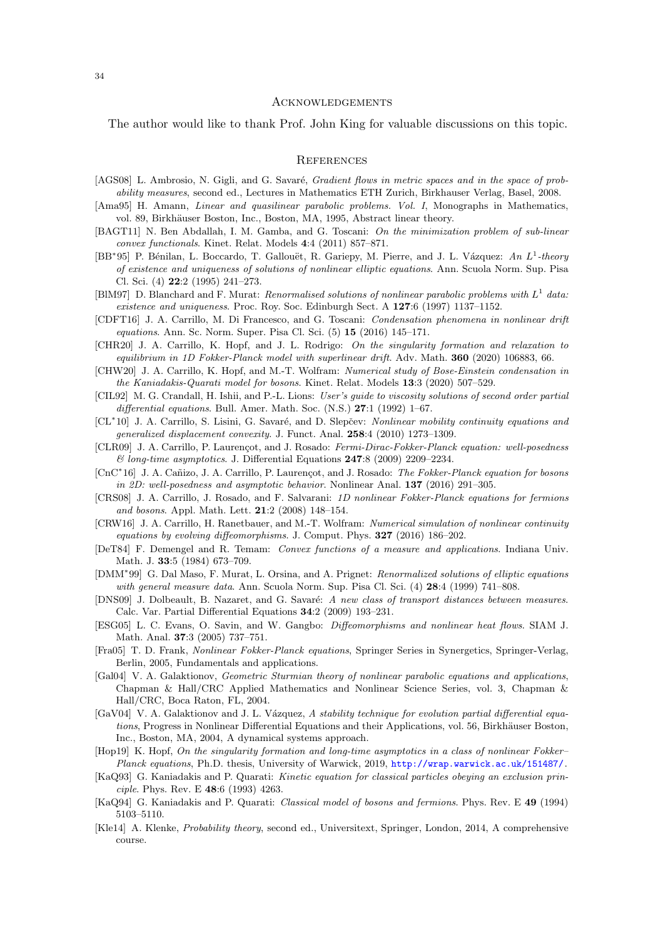### **ACKNOWLEDGEMENTS**

The author would like to thank Prof. John King for valuable discussions on this topic.

### **REFERENCES**

- <span id="page-33-22"></span>[AGS08] L. Ambrosio, N. Gigli, and G. Savaré, *Gradient flows in metric spaces and in the space of prob*ability measures, second ed., Lectures in Mathematics ETH Zurich, Birkhauser Verlag, Basel, 2008.
- <span id="page-33-24"></span>[Ama95] H. Amann, *Linear and quasilinear parabolic problems. Vol. I*, Monographs in Mathematics, vol. 89, Birkhäuser Boston, Inc., Boston, MA, 1995, Abstract linear theory.
- <span id="page-33-11"></span>[BAGT11] N. Ben Abdallah, I. M. Gamba, and G. Toscani: On the minimization problem of sub-linear convex functionals. Kinet. Relat. Models 4:4 (2011) 857–871.
- <span id="page-33-18"></span>[BB<sup>∗</sup>95] P. Bénilan, L. Boccardo, T. Gallouët, R. Gariepy, M. Pierre, and J. L. Vázquez: An L<sup>1</sup>-theory of existence and uniqueness of solutions of nonlinear elliptic equations. Ann. Scuola Norm. Sup. Pisa Cl. Sci. (4) 22:2 (1995) 241–273.
- <span id="page-33-21"></span>[BIM97] D. Blanchard and F. Murat: Renormalised solutions of nonlinear parabolic problems with  $L^1$  data: existence and uniqueness. Proc. Roy. Soc. Edinburgh Sect. A 127:6 (1997) 1137–1152.
- <span id="page-33-20"></span>[CDFT16] J. A. Carrillo, M. Di Francesco, and G. Toscani: Condensation phenomena in nonlinear drift equations. Ann. Sc. Norm. Super. Pisa Cl. Sci. (5) 15 (2016) 145–171.
- <span id="page-33-9"></span>[CHR20] J. A. Carrillo, K. Hopf, and J. L. Rodrigo: On the singularity formation and relaxation to equilibrium in 1D Fokker-Planck model with superlinear drift. Adv. Math. 360 (2020) 106883, 66.
- <span id="page-33-2"></span>[CHW20] J. A. Carrillo, K. Hopf, and M.-T. Wolfram: Numerical study of Bose-Einstein condensation in the Kaniadakis-Quarati model for bosons. Kinet. Relat. Models 13:3 (2020) 507–529.
- <span id="page-33-12"></span>[CIL92] M. G. Crandall, H. Ishii, and P.-L. Lions: User's quide to viscosity solutions of second order partial differential equations. Bull. Amer. Math. Soc. (N.S.) 27:1 (1992) 1–67.
- <span id="page-33-8"></span>[CL<sup>∗</sup>10] J. A. Carrillo, S. Lisini, G. Savaré, and D. Slepčev: Nonlinear mobility continuity equations and generalized displacement convexity. J. Funct. Anal. 258:4 (2010) 1273–1309.
- <span id="page-33-5"></span>[CLR09] J. A. Carrillo, P. Laurencot, and J. Rosado: Fermi-Dirac-Fokker-Planck equation: well-posedness  $\mathcal{O}$  long-time asymptotics. J. Differential Equations 247:8 (2009) 2209–2234.
- <span id="page-33-10"></span>[CnC<sup>∗</sup>16] J. A. Cañizo, J. A. Carrillo, P. Laurençot, and J. Rosado: The Fokker-Planck equation for bosons in 2D: well-posedness and asymptotic behavior. Nonlinear Anal.  $137$  (2016) 291–305.
- <span id="page-33-6"></span>[CRS08] J. A. Carrillo, J. Rosado, and F. Salvarani: 1D nonlinear Fokker-Planck equations for fermions and bosons. Appl. Math. Lett. 21:2 (2008) 148–154.
- <span id="page-33-13"></span>[CRW16] J. A. Carrillo, H. Ranetbauer, and M.-T. Wolfram: Numerical simulation of nonlinear continuity equations by evolving diffeomorphisms. J. Comput. Phys. 327 (2016) 186–202.
- <span id="page-33-4"></span>[DeT84] F. Demengel and R. Temam: Convex functions of a measure and applications. Indiana Univ. Math. J. 33:5 (1984) 673–709.
- <span id="page-33-19"></span>[DMM<sup>\*99]</sup> G. Dal Maso, F. Murat, L. Orsina, and A. Prignet: Renormalized solutions of elliptic equations with general measure data. Ann. Scuola Norm. Sup. Pisa Cl. Sci. (4) **28**:4 (1999) 741–808.
- <span id="page-33-7"></span>[DNS09] J. Dolbeault, B. Nazaret, and G. Savaré: A new class of transport distances between measures. Calc. Var. Partial Differential Equations 34:2 (2009) 193–231.
- <span id="page-33-14"></span>[ESG05] L. C. Evans, O. Savin, and W. Gangbo: Diffeomorphisms and nonlinear heat flows. SIAM J. Math. Anal. 37:3 (2005) 737–751.
- <span id="page-33-3"></span>[Fra05] T. D. Frank, Nonlinear Fokker-Planck equations, Springer Series in Synergetics, Springer-Verlag, Berlin, 2005, Fundamentals and applications.
- <span id="page-33-16"></span>[Gal04] V. A. Galaktionov, Geometric Sturmian theory of nonlinear parabolic equations and applications, Chapman & Hall/CRC Applied Mathematics and Nonlinear Science Series, vol. 3, Chapman & Hall/CRC, Boca Raton, FL, 2004.
- <span id="page-33-17"></span>[GaV04] V. A. Galaktionov and J. L. Vázquez, A stability technique for evolution partial differential equations, Progress in Nonlinear Differential Equations and their Applications, vol. 56, Birkhäuser Boston, Inc., Boston, MA, 2004, A dynamical systems approach.
- <span id="page-33-15"></span>[Hop19] K. Hopf, On the singularity formation and long-time asymptotics in a class of nonlinear Fokker– Planck equations, Ph.D. thesis, University of Warwick, 2019, <http://wrap.warwick.ac.uk/151487/>.
- <span id="page-33-0"></span>[KaQ93] G. Kaniadakis and P. Quarati: Kinetic equation for classical particles obeying an exclusion principle. Phys. Rev. E 48:6 (1993) 4263.
- <span id="page-33-1"></span>[KaQ94] G. Kaniadakis and P. Quarati: Classical model of bosons and fermions. Phys. Rev. E 49 (1994) 5103–5110.
- <span id="page-33-23"></span>[Kle14] A. Klenke, Probability theory, second ed., Universitext, Springer, London, 2014, A comprehensive course.